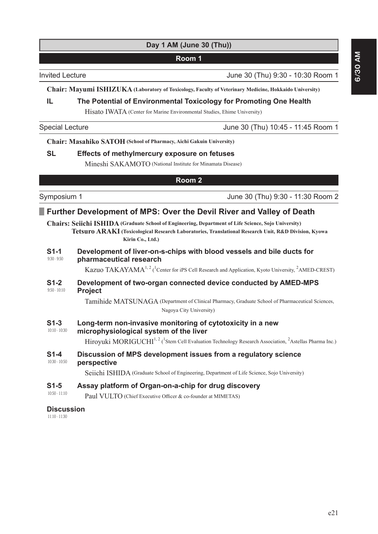# **Day 1 AM (June 30 (Thu))**

### **Room 1**

Invited Lecture **Invited Lecture 1.1** (Invited Lecture 1.1 (Invited Lecture 1.1 (Invited Lecture 1.1 (Inc. 20  $\mu$ 

**Chair: Mayumi ISHIZUKA (Laboratory of Toxicology, Faculty of Veterinary Medicine, Hokkaido University)**

### **IL The Potential of Environmental Toxicology for Promoting One Health**

Hisato IWATA (Center for Marine Environmental Studies, Ehime University)

Special Lecture June 30 (Thu) 10:45 - 11:45 Room 1

**Chair: Masahiko SATOH (School of Pharmacy, Aichi Gakuin University)**

### **62. Effects of methylmercury exposure on fetuses**

Mineshi SAKAMOTO (National Institute for Minamata Disease)

### **Room 2**

Symposium 1 **June 30 (Thu) 9:30 - 11:30 Room 2** 

# **Further Development of MPS: Over the Devil River and Valley of Death**

**Chairs: Seiichi ISHIDA (Graduate School of Engineering, Department of Life Science, Sojo University) Tetsuro ARAKI ( Toxicological Research Laboratories, Translational Research Unit, R&D Division, Kyowa Kirin Co., Ltd.)**

#### 9:30 - 9:50 **61-1** Development of liver-on-s-chips with blood vessels and bile ducts for **pharmaceutical research**

Kazuo TAKAYAMA<sup>1, 2</sup> (<sup>1</sup>Center for iPS Cell Research and Application, Kyoto University, <sup>2</sup>AMED-CREST)

#### 9:50 - 10:10 **61-2** Development of two-organ connected device conducted by AMED-MPS **Project**

Tamihide MATSUNAGA (Department of Clinical Pharmacy, Graduate School of Pharmaceutical Sciences, Nagoya City University)

#### 10:10 - 10:30 **61-3** Long-term non-invasive monitoring of cytotoxicity in a new

microphysiological system of the liver

Hiroyuki MORIGUCHI<sup>1, 2</sup> (<sup>1</sup>Stem Cell Evaluation Technology Research Association, <sup>2</sup>Astellas Pharma Inc.)

10:30 - 10:50 **61-4** Discussion of MPS development issues from a regulatory science **perspective** 

Seiichi ISHIDA (Graduate School of Engineering, Department of Life Science, Sojo University)

### **61-5** Assay platform of Organ-on-a-chip for drug discovery

10:50 - 11:10 Paul VULTO (Chief Executive Officer & co-founder at MIMETAS)

### **Discussion**

11:10 - 11:30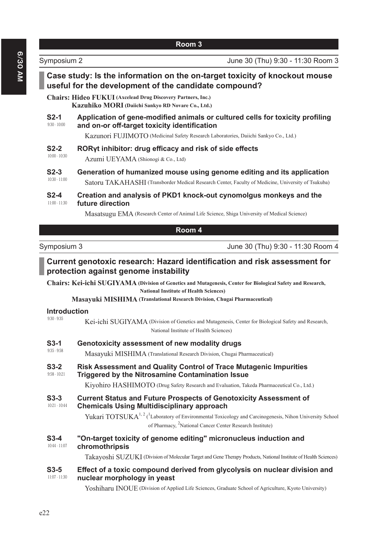Symposium 2 June 30 (Thu) 9:30 - 11:30 Room 3

|                 | Case study: Is the information on the on-target toxicity of knockout mouse<br>useful for the development of the candidate compound? |
|-----------------|-------------------------------------------------------------------------------------------------------------------------------------|
|                 | <b>Chairs: Hideo FUKUI</b> (Axcelead Drug Discovery Partners, Inc.)<br>Kazuhiko MORI (Daiichi Sankyo RD Novare Co., Ltd.)           |
| $S2-1$          | Application of gene-modified animals or cultured cells for toxicity profiling                                                       |
| $9:30 - 10:00$  | and on-or off-target toxicity identification                                                                                        |
|                 | Kazunori FUJIMOTO (Medicinal Safety Research Laboratories, Daiichi Sankyo Co., Ltd.)                                                |
| $S2-2$          | RORyt inhibitor: drug efficacy and risk of side effects                                                                             |
| $10:00 - 10:30$ | Azumi UEYAMA (Shionogi & Co., Ltd)                                                                                                  |
| $S2-3$          | Generation of humanized mouse using genome editing and its application                                                              |
| $10:30 - 11:00$ | Satoru TAKAHASHI (Transborder Medical Research Center, Faculty of Medicine, University of Tsukuba)                                  |
| $S2-4$          | Creation and analysis of PKD1 knock-out cynomolgus monkeys and the                                                                  |
| $11:00 - 11:30$ | future direction                                                                                                                    |
|                 | Masatsugu EMA (Research Center of Animal Life Science, Shiga University of Medical Science)                                         |

| Room 4 |
|--------|
|--------|

Symposium 3 June 30 (Thu) 9:30 - 11:30 Room 4

# **Current genotoxic research: Hazard identification and risk assessment for** protection against genome instability

**Chairs: Kei-ichi SUGIYAMA ( Division of Genetics and Mutagenesis, Center for Biological Safety and Research, National Institute of Health Sciences)**

**Masayuki MISHIMA (Translational Research Division, Chugai Pharmaceutical)**

# **Introduction**

| Y.3U - Y.3D               | Kei-ichi SUGIYAMA (Division of Genetics and Mutagenesis, Center for Biological Safety and Research,<br>National Institute of Health Sciences)                                                     |
|---------------------------|---------------------------------------------------------------------------------------------------------------------------------------------------------------------------------------------------|
| $S3-1$                    | Genotoxicity assessment of new modality drugs                                                                                                                                                     |
| $9:35 - 9:58$             | Masayuki MISHIMA (Translational Research Division, Chugai Pharmaceutical)                                                                                                                         |
| $S3-2$<br>$9:58 - 10:21$  | Risk Assessment and Quality Control of Trace Mutagenic Impurities<br>Triggered by the Nitrosamine Contamination Issue                                                                             |
|                           | Kiyohiro HASHIMOTO (Drug Safety Research and Evaluation, Takeda Pharmaceutical Co., Ltd.)                                                                                                         |
| $S3-3$<br>$10:21 - 10:44$ | <b>Current Status and Future Prospects of Genotoxicity Assessment of</b><br><b>Chemicals Using Multidisciplinary approach</b>                                                                     |
|                           | Yukari TOTSUK $A^{1,2}$ ( <sup>1</sup> Laboratory of Environmental Toxicology and Carcinogenesis, Nihon University School<br>of Pharmacy, <sup>2</sup> National Cancer Center Research Institute) |
| $S3-4$<br>$10:44 - 11:07$ | "On-target toxicity of genome editing" micronucleus induction and<br>chromothripsis                                                                                                               |
|                           | Takayoshi SUZUKI (Division of Molecular Target and Gene Therapy Products, National Institute of Health Sciences)                                                                                  |
| $S3-5$<br>$11:07 - 11:30$ | Effect of a toxic compound derived from glycolysis on nuclear division and<br>nuclear morphology in yeast                                                                                         |
|                           | Yoshiharu INOUE (Division of Applied Life Sciences, Graduate School of Agriculture, Kyoto University)                                                                                             |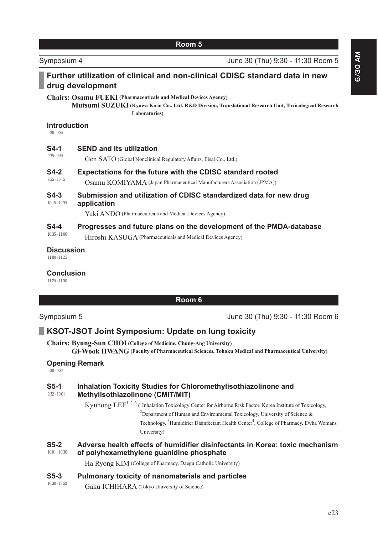|                                      | Room 5                                                                                                                                                                                              |
|--------------------------------------|-----------------------------------------------------------------------------------------------------------------------------------------------------------------------------------------------------|
| Symposium 4                          | June 30 (Thu) 9:30 - 11:30 Room 5                                                                                                                                                                   |
|                                      | Further utilization of clinical and non-clinical CDISC standard data in new<br>drug development                                                                                                     |
|                                      | <b>Chairs: Osamu FUEKI</b> (Pharmaceuticals and Medical Devices Agency)<br>Mutsumi SUZUKI (Kyowa Kirin Co., Ltd. R&D Division, Translational Research Unit, Toxicological Research<br>Laboratories) |
| <b>Introduction</b><br>$9:30 - 9:35$ |                                                                                                                                                                                                     |
| $S4-1$<br>$9:35 - 9:55$              | <b>SEND and its utilization</b><br>Gen SATO (Global Nonclinical Regulatory Affairs, Eisai Co., Ltd.)                                                                                                |
| $S4-2$<br>$9:55 - 10:15$             | <b>Expectations for the future with the CDISC standard rooted</b><br>Osamu KOMIYAMA (Japan Pharmaceutical Manufacturers Association (JPMA))                                                         |
| $S4-3$<br>$10:15 - 10:35$            | Submission and utilization of CDISC standardized data for new drug<br>application<br>Yuki ANDO (Pharmaceuticals and Medical Devices Agency)                                                         |
| $S4-4$<br>$10:35 - 11:00$            | Progresses and future plans on the development of the PMDA-database<br>Hiroshi KASUGA (Pharmaceuticals and Medical Devices Agency)                                                                  |
| <b>Discussion</b><br>$11:00 - 11:25$ |                                                                                                                                                                                                     |
| <b>Conclusion</b><br>$11:25 - 11:30$ |                                                                                                                                                                                                     |
|                                      | Room 6                                                                                                                                                                                              |

Symposium 5 **Symposium 5** June 30 (Thu) 9:30 - 11:30 Room 6

# **KSOT-JSOT Joint Symposium: Update on lung toxicity**

**Chairs: Byung-Sun CHOI (College of Medicine, Chung-Ang University) Gi-Wook HWANG (Faculty of Pharmaceutical Sciences, Tohoku Medical and Pharmaceutical University)**

# **2DB 2DB 2DB 2DB 2DB 2DB 2DB 2DB 2DB 2DB 2DB 2DB 2DB 2DB 2DB 2DB 2DB 2DB 2DB 2DB 2DB 2DB 2DB 2DB 2DB 2DB 2DB 2DB 2DB 2DB 2DB 2DB 2DB 2DB 2DB 2DB 2DB**

9:30 - 9:32

#### 9:32 - 10:01 **65-1** Inhalation Toxicity Studies for Chloromethylisothiazolinone and **Methylisothiazolinone (CMIT/MIT)**

Kyuhong LEE<sup>1, 2, 3</sup> (<sup>1</sup>Inhalation Toxicology Center for Airborne Risk Factor, Korea Institute of Toxicology, <sup>2</sup>Department of Human and Environmental Toxicology, University of Science & Technology, <sup>3</sup>Humidifier Disinfectant Health Center<sup>4</sup>, College of Pharmacy, Ewha Womans University)

#### 10:01 - 10:30 **65-2** Adverse health effects of humidifier disinfectants in Korea: toxic mechanism of polyhexamethylene guanidine phosphate

Ha Ryong KIM (College of Pharmacy, Daegu Catholic University)

# **65-3** Pulmonary toxicity of nanomaterials and particles

10:30 - 10:59 Gaku ICHIHARA (Tokyo University of Science) **6/30 AM**

6/30 AM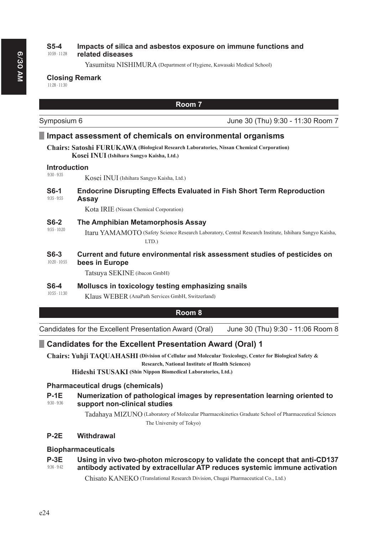#### 10:59 - 11:28 **65-4** Impacts of silica and asbestos exposure on immune functions and related diseases

Yasumitsu NISHIMURA (Department of Hygiene, Kawasaki Medical School)

### **Closing Remark**

11:28 - 11:30

|                                      |                                                           | Room 7                                                                                                  |
|--------------------------------------|-----------------------------------------------------------|---------------------------------------------------------------------------------------------------------|
| Symposium 6                          |                                                           | June 30 (Thu) 9:30 - 11:30 Room 7                                                                       |
|                                      | Impact assessment of chemicals on environmental organisms |                                                                                                         |
|                                      | Kosei INUI (Ishihara Sangyo Kaisha, Ltd.)                 | <b>Chairs: Satoshi FURUKAWA (Biological Research Laboratories, Nissan Chemical Corporation)</b>         |
| <b>Introduction</b><br>$9:30 - 9:35$ | Kosei INUI (Ishihara Sangyo Kaisha, Ltd.)                 |                                                                                                         |
| <b>S6-1</b><br>$9:35 - 9:55$         | <b>Assay</b>                                              | <b>Endocrine Disrupting Effects Evaluated in Fish Short Term Reproduction</b>                           |
|                                      | Kota IRIE (Nissan Chemical Corporation)                   |                                                                                                         |
| $S6-2$<br>$9:55 - 10:20$             | The Amphibian Metamorphosis Assay<br>LTD.)                | Itaru YAMAMOTO (Safety Science Research Laboratory, Central Research Institute, Ishihara Sangyo Kaisha, |
| $S6-3$<br>$10:20 - 10:55$            | bees in Europe<br>Tatsuya SEKINE (ibacon GmbH)            | Current and future environmental risk assessment studies of pesticides on                               |
| $S6-4$<br>$10.55 - 11.00$            | Molluscs in toxicology testing emphasizing snails         |                                                                                                         |

10:55 - 11:30 Klaus WEBER (AnaPath Services GmbH, Switzerland)

# **Room 8**

Candidates for the Excellent Presentation Award (Oral) June 30 (Thu) 9:30 - 11:06 Room 8

# **Candidates for the Excellent Presentation Award (Oral) 1**

**Chairs: Yuhji TAQUAHASHI ( Division of Cellular and Molecular Toxicology, Center for Biological Safety & Research, National Institute of Health Sciences)**

**Hideshi TSUSAKI (Shin Nippon Biomedical Laboratories, Ltd.)**

# **Pharmaceutical drugs (chemicals)**

#### 9:30 - 9:36 **P-1E** Numerization of pathological images by representation learning oriented to support non-clinical studies

Tadahaya MIZUNO ( Laboratory of Molecular Pharmacokinetics Graduate School of Pharmaceutical Sciences The University of Tokyo)

# **P-2E** Withdrawal

# **Biopharmaceuticals**

#### 9:36 - 9:42 **P-3E** Using in vivo two-photon microscopy to validate the concept that anti-CD137 antibody activated by extracellular ATP reduces systemic immune activation

Chisato KANEKO (Translational Research Division, Chugai Pharmaceutical Co., Ltd.)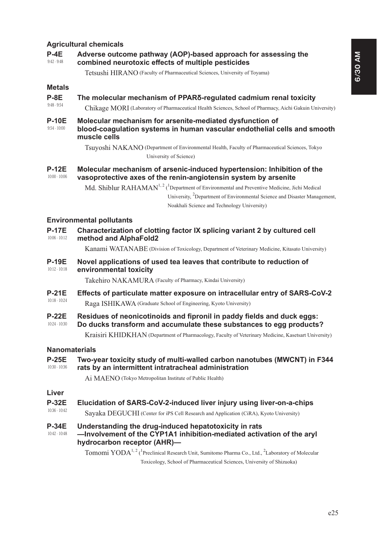### **Agricultural chemicals**

#### 9:42 - 9:48 P-4E Adverse outcome pathway (AOP)-based approach for assessing the combined neurotoxic effects of multiple pesticides

Tetsushi HIRANO (Faculty of Pharmaceutical Sciences, University of Toyama)

### **Metals**

#### 9:48 - 9:54 P-8E The molecular mechanism of PPAR<sub>O</sub>-regulated cadmium renal toxicity

Chikage MORI (Laboratory of Pharmaceutical Health Sciences, School of Pharmacy, Aichi Gakuin University)

#### 9:54 - 10:00 P-10E Molecular mechanism for arsenite-mediated dysfunction of **EORRGHADIATION Systems in human vascular endothelial cells and smooth** muscle cells

Tsuyoshi NAKANO (Department of Environmental Health, Faculty of Pharmaceutical Sciences, Tokyo University of Science)

#### 10:00 - 10:06 **P-12E** Molecular mechanism of arsenic-induced hypertension: Inhibition of the vasoprotective axes of the renin-angiotensin system by arsenite

Md. Shiblur  $\text{RAHAMAN}^{1,2}$  (<sup>1</sup>Department of Environmental and Preventive Medicine, Jichi Medical University, <sup>2</sup>Department of Environmental Science and Disaster Management, Noakhali Science and Technology University)

### **Environmental pollutants**

| <b>P-17E</b><br>$10:06 - 10:12$ | Characterization of clotting factor IX splicing variant 2 by cultured cell<br>method and AlphaFold2                                           |
|---------------------------------|-----------------------------------------------------------------------------------------------------------------------------------------------|
|                                 | Kanami WATANABE (Division of Toxicology, Department of Veterinary Medicine, Kitasato University)                                              |
| <b>P-19E</b><br>$10:12 - 10:18$ | Novel applications of used tea leaves that contribute to reduction of<br>environmental toxicity                                               |
|                                 | Takehiro NAKAMURA (Faculty of Pharmacy, Kindai University)                                                                                    |
| $P-21E$                         | Effects of particulate matter exposure on intracellular entry of SARS-CoV-2                                                                   |
| $10:18 - 10:24$                 | Raga ISHIKAWA (Graduate School of Engineering, Kyoto University)                                                                              |
| $P-22E$<br>$10:24 - 10:30$      | Residues of neonicotinoids and fipronil in paddy fields and duck eggs:<br>Do ducks transform and accumulate these substances to egg products? |
|                                 | Kraisiri KHIDKHAN (Department of Pharmacology, Faculty of Veterinary Medicine, Kasetsart University)                                          |
| <b>Nanomaterials</b>            |                                                                                                                                               |
| <b>P-25E</b><br>10:30 - 10:36   | Two-year toxicity study of multi-walled carbon nanotubes (MWCNT) in F344<br>rats by an intermittent intratracheal administration              |
|                                 | Ai MAENO (Tokyo Metropolitan Institute of Public Health)                                                                                      |
| Liver                           |                                                                                                                                               |
| <b>P-32E</b>                    | Elucidation of SARS-CoV-2-induced liver injury using liver-on-a-chips                                                                         |
| 10:36 - 10:42                   | Sayaka DEGUCHI (Center for iPS Cell Research and Application (CiRA), Kyoto University)                                                        |

#### 10:42 - 10:48 P-34E Understanding the drug-induced hepatotoxicity in rats -Involvement of the CYP1A1 inhibition-mediated activation of the aryl hydrocarbon receptor (AHR)-

Tomomi YODA<sup>1, 2</sup> (<sup>1</sup>Preclinical Research Unit, Sumitomo Pharma Co., Ltd., <sup>2</sup>Laboratory of Molecular Toxicology, School of Pharmaceutical Sciences, University of Shizuoka)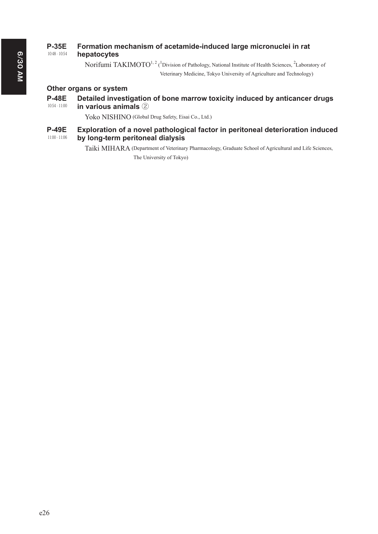#### 10:48 - 10:54 P-35E Formation mechanism of acetamide-induced large micronuclei in rat hepatocytes

Norifumi TAKIMOTO<sup>1, 2</sup> (<sup>1</sup>Division of Pathology, National Institute of Health Sciences, <sup>2</sup>Laboratory of Veterinary Medicine, Tokyo University of Agriculture and Technology)

# Other organs or system

#### 10:54 - 11:00 P-48E Detailed investigation of bone marrow toxicity induced by anticancer drugs **in various animals** 2

Yoko NISHINO (Global Drug Safety, Eisai Co., Ltd.)

#### 11:00 - 11:06 **P-49E** Exploration of a novel pathological factor in peritoneal deterioration induced by long-term peritoneal dialysis

Taiki MIHARA (Department of Veterinary Pharmacology, Graduate School of Agricultural and Life Sciences, The University of Tokyo)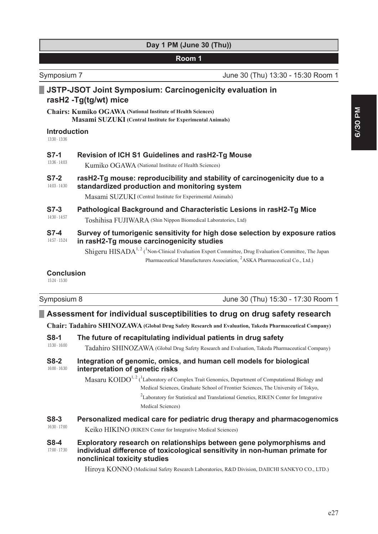|  |  | Day 1 PM (June 30 (Thu)) |  |  |
|--|--|--------------------------|--|--|
|--|--|--------------------------|--|--|

Symposium 7 June 30 (Thu) 13:30 - 15:30 Room 1

# **JSTP-JSOT Joint Symposium: Carcinogenicity evaluation in** rasH2 -Tg(tg/wt) mice

**Chairs: Kumiko OGAWA (National Institute of Health Sciences) Masami SUZUKI (Central Institute for Experimental Animals)**

### **Introduction**

13:30 - 13:36

## **67-1** Revision of ICH S1 Guidelines and rasH2-Tq Mouse

13:36 - 14:03 Kumiko OGAWA (National Institute of Health Sciences)

#### 14:03 - 14:30 **67-2** rasH2-Tq mouse: reproducibility and stability of carcinogenicity due to a standardized production and monitoring system

Masami SUZUKI (Central Institute for Experimental Animals)

#### 14:30 - 14:57 **67-3** Pathological Background and Characteristic Lesions in rasH2-Tq Mice Toshihisa FUJIWARA (Shin Nippon Biomedical Laboratories, Ltd)

# **67-4** Survey of tumorigenic sensitivity for high dose selection by exposure ratios

14:57 - 15:24 in rasH2-Tg mouse carcinogenicity studies

> Shigeru  $HISADA^{1,2}$  (<sup>1</sup>Non-Clinical Evaluation Expert Committee, Drug Evaluation Committee, The Japan Pharmaceutical Manufacturers Association, <sup>2</sup>ASKA Pharmaceutical Co., Ltd.)

### **Conclusion**

15:24 - 15:30

# Symposium 8 June 30 (Thu) 15:30 - 17:30 Room 1

# **EXPLEM** Assessment for individual susceptibilities to drug on drug safety research

**Chair: Tadahiro SHINOZAWA (Global Drug Safety Research and Evaluation, Takeda Pharmaceutical Company)**

### 15:30 - 16:00 **68-1** The future of recapitulating individual patients in drug safety Tadahiro SHINOZAWA (Global Drug Safety Research and Evaluation, Takeda Pharmaceutical Company) 16:00 - 16:30 **68-2** Integration of genomic, omics, and human cell models for biological interpretation of genetic risks Masaru  $K OIDO^{1, 2}$  (<sup>1</sup> Laboratory of Complex Trait Genomics, Department of Computational Biology and Medical Sciences, Graduate School of Frontier Sciences, The University of Tokyo,  $2$ Laboratory for Statistical and Translational Genetics, RIKEN Center for Integrative Medical Sciences) 16:30 - 17:00 **68-3** Personalized medical care for pediatric drug therapy and pharmacogenomics Keiko HIKINO (RIKEN Center for Integrative Medical Sciences) 17:00 - 17:30 **68-4** Exploratory research on relationships between gene polymorphisms and individual difference of toxicological sensitivity in non-human primate for **nonclinical toxicity studies**

Hiroya KONNO (Medicinal Safety Research Laboratories, R&D Division, DAIICHI SANKYO CO., LTD.)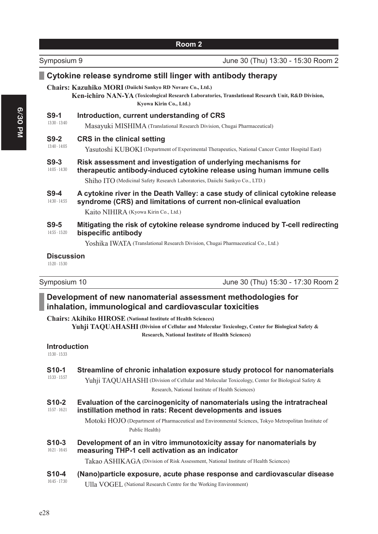| Symposium 9               |                                                                                             | June 30 (Thu) 13:30 - 15:30 Room 2                                                                                                                   |
|---------------------------|---------------------------------------------------------------------------------------------|------------------------------------------------------------------------------------------------------------------------------------------------------|
|                           | Cytokine release syndrome still linger with antibody therapy                                |                                                                                                                                                      |
|                           | <b>Chairs: Kazuhiko MORI</b> (Daiichi Sankyo RD Novare Co., Ltd.)<br>Kyowa Kirin Co., Ltd.) | Ken-ichiro NAN-YA (Toxicological Research Laboratories, Translational Research Unit, R&D Division,                                                   |
| $S9-1$                    | Introduction, current understanding of CRS                                                  |                                                                                                                                                      |
| 13:30 - 13:40             | Masayuki MISHIMA (Translational Research Division, Chugai Pharmaceutical)                   |                                                                                                                                                      |
| $S9-2$<br>$13:40 - 14:05$ | <b>CRS</b> in the clinical setting                                                          |                                                                                                                                                      |
|                           |                                                                                             | Yasutoshi KUBOKI (Department of Experimental Therapeutics, National Cancer Center Hospital East)                                                     |
| $S9-3$<br>14:05 - 14:30   |                                                                                             | Risk assessment and investigation of underlying mechanisms for<br>therapeutic antibody-induced cytokine release using human immune cells             |
|                           | Shiho ITO (Medicinal Safety Research Laboratories, Daiichi Sankyo Co., LTD.)                |                                                                                                                                                      |
| $S9-4$<br>$14:30 - 14:55$ |                                                                                             | A cytokine river in the Death Valley: a case study of clinical cytokine release<br>syndrome (CRS) and limitations of current non-clinical evaluation |
|                           | Kaito NIHIRA (Kyowa Kirin Co., Ltd.)                                                        |                                                                                                                                                      |
| $S9-5$<br>14:55 - 15:20   | bispecific antibody                                                                         | Mitigating the risk of cytokine release syndrome induced by T-cell redirecting                                                                       |
|                           | Yoshika IWATA (Translational Research Division, Chugai Pharmaceutical Co., Ltd.)            |                                                                                                                                                      |
| <b>Discussion</b>         |                                                                                             |                                                                                                                                                      |

15:20 - 15:30

| 3ymposium 10 |  |  |  |
|--------------|--|--|--|
|--------------|--|--|--|

Symposium 10 **Symposium 10** June 30 (Thu) 15:30 - 17:30 Room 2

# Development of new nanomaterial assessment methodologies for inhalation, immunological and cardiovascular toxicities

**Chairs: Akihiko HIROSE (National Institute of Health Sciences)**

Yuhji TAQUAHASHI (Division of Cellular and Molecular Toxicology, Center for Biological Safety & **Research, National Institute of Health Sciences)**

| <b>Introduction</b><br>$15:30 - 15:33$ |                                                                                                                                                                                                                                   |
|----------------------------------------|-----------------------------------------------------------------------------------------------------------------------------------------------------------------------------------------------------------------------------------|
| <b>S10-1</b><br>15:33 - 15:57          | Streamline of chronic inhalation exposure study protocol for nanomaterials<br>Yuhji TAOUAHASHI (Division of Cellular and Molecular Toxicology, Center for Biological Safety &<br>Research, National Institute of Health Sciences) |
| S <sub>10</sub> -2<br>15:57 - 16:21    | Evaluation of the carcinogenicity of nanomaterials using the intratracheal<br>instillation method in rats: Recent developments and issues                                                                                         |
|                                        | Motoki HOJO (Department of Pharmaceutical and Environmental Sciences, Tokyo Metropolitan Institute of<br>Public Health)                                                                                                           |
| S <sub>10</sub> -3<br>$16:21 - 16:45$  | Development of an in vitro immunotoxicity assay for nanomaterials by<br>measuring THP-1 cell activation as an indicator                                                                                                           |
| S <sub>10-4</sub>                      | Takao ASHIKAGA (Division of Risk Assessment, National Institute of Health Sciences)<br>(Nano)particle exposure, acute phase response and cardiovascular disease                                                                   |
| $16:45 - 17:30$                        | Ulla VOGEL (National Research Centre for the Working Environment)                                                                                                                                                                 |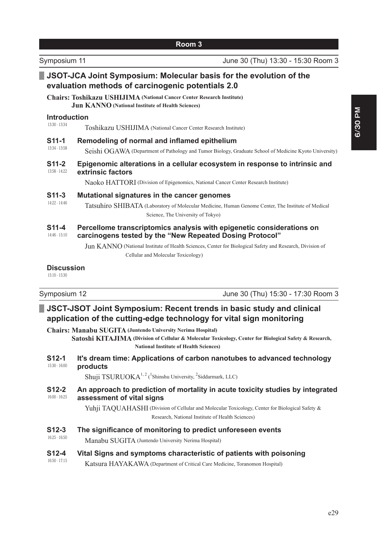| Symposium 11                          | June 30 (Thu) 13:30 - 15:30 Room 3                                                                                                                                                                                                                                                  |
|---------------------------------------|-------------------------------------------------------------------------------------------------------------------------------------------------------------------------------------------------------------------------------------------------------------------------------------|
|                                       | JSOT-JCA Joint Symposium: Molecular basis for the evolution of the<br>evaluation methods of carcinogenic potentials 2.0                                                                                                                                                             |
|                                       | <b>Chairs: Toshikazu USHIJIMA</b> (National Cancer Center Research Institute)<br><b>Jun KANNO</b> (National Institute of Health Sciences)                                                                                                                                           |
| <b>Introduction</b><br>13:30 - 13:34  | Toshikazu USHIJIMA (National Cancer Center Research Institute)                                                                                                                                                                                                                      |
| $S11-1$<br>13:34 - 13:58              | Remodeling of normal and inflamed epithelium<br>Seishi OGAWA (Department of Pathology and Tumor Biology, Graduate School of Medicine Kyoto University)                                                                                                                              |
| S <sub>11</sub> -2<br>13:58 - 14:22   | Epigenomic alterations in a cellular ecosystem in response to intrinsic and<br>extrinsic factors<br>Naoko HATTORI (Division of Epigenomics, National Cancer Center Research Institute)                                                                                              |
| $S11-3$<br>14:22 - 14:46              | Mutational signatures in the cancer genomes<br>Tatsuhiro SHIBATA (Laboratory of Molecular Medicine, Human Genome Center, The Institute of Medical<br>Science, The University of Tokyo)                                                                                              |
| S <sub>11</sub> -4<br>$14:46 - 15:10$ | Percellome transcriptomics analysis with epigenetic considerations on<br>carcinogens tested by the "New Repeated Dosing Protocol"<br>Jun KANNO (National Institute of Health Sciences, Center for Biological Safety and Research, Division of<br>Cellular and Molecular Toxicology) |
| <b>Discussion</b><br>$15:10 - 15:30$  |                                                                                                                                                                                                                                                                                     |

Symposium 12 **Symposium 12** June 30 (Thu) 15:30 - 17:30 Room 3

| JSCT-JSOT Joint Symposium: Recent trends in basic study and clinical |  |
|----------------------------------------------------------------------|--|
| application of the cutting-edge technology for vital sign monitoring |  |

**Chairs: Manabu SUGITA (Juntendo University Nerima Hospital) Satoshi KITAJIMA** (Division of Cellular & Molecular Toxicology, Center for Biological Safety & Research, **National Institute of Health Sciences)** 15:30 - 16:00 **S12-1** It's dream time: Applications of carbon nanotubes to advanced technology products

Shuji TSURUOKA<sup>1, 2</sup> (<sup>1</sup>Shinshu University, <sup>2</sup>Siddarmark, LLC)

#### 16:00 - 16:25 **612-2** An approach to prediction of mortality in acute toxicity studies by integrated assessment of vital signs

Yuhji TAQUAHASHI (Division of Cellular and Molecular Toxicology, Center for Biological Safety & Research, National Institute of Health Sciences)

16:25 - 16:50 **612-3** The significance of monitoring to predict unforeseen events

Manabu SUGITA (Juntendo University Nerima Hospital)

#### 16:50 - 17:15 **612-4** Vital Signs and symptoms characteristic of patients with poisoning

Katsura HAYAKAWA (Department of Critical Care Medicine, Toranomon Hospital)

**6/30 PM**

6/30 PM

e29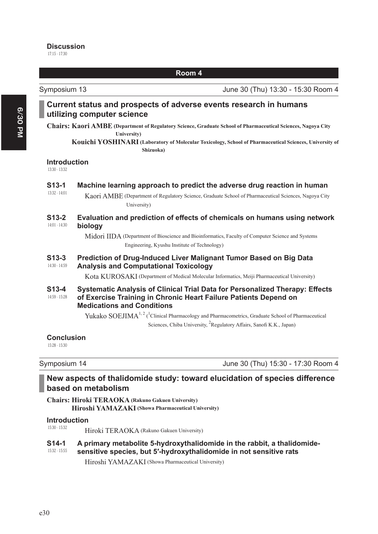#### 17:15 - 17:30 **Discussion**

**Room 4**

Symposium 13 **Symposium 13** June 30 (Thu) 13:30 - 15:30 Room 4

|                                      | Current status and prospects of adverse events research in humans<br>utilizing computer science                                                                                                               |
|--------------------------------------|---------------------------------------------------------------------------------------------------------------------------------------------------------------------------------------------------------------|
|                                      | Chairs: Kaori AMBE (Department of Regulatory Science, Graduate School of Pharmaceutical Sciences, Nagoya City<br>University)                                                                                  |
|                                      | Kouichi YOSHINARI (Laboratory of Molecular Toxicology, School of Pharmaceutical Sciences, University of<br>Shizuoka)                                                                                          |
| <b>Introduction</b><br>13:30 - 13:32 |                                                                                                                                                                                                               |
| $S13-1$                              | Machine learning approach to predict the adverse drug reaction in human                                                                                                                                       |
| $13:32 - 14:01$                      | Kaori AMBE (Department of Regulatory Science, Graduate School of Pharmaceutical Sciences, Nagoya City<br>University)                                                                                          |
| $S13-2$<br>14:01 - 14:30             | Evaluation and prediction of effects of chemicals on humans using network<br>biology                                                                                                                          |
|                                      | Midori IIDA (Department of Bioscience and Bioinformatics, Faculty of Computer Science and Systems<br>Engineering, Kyushu Institute of Technology)                                                             |
| $S13-3$<br>14:30 - 14:59             | Prediction of Drug-Induced Liver Malignant Tumor Based on Big Data<br><b>Analysis and Computational Toxicology</b>                                                                                            |
|                                      | Kota KUROSAKI (Department of Medical Molecular Informatics, Meiji Pharmaceutical University)                                                                                                                  |
| $S13-4$<br>14:59 - 15:28             | Systematic Analysis of Clinical Trial Data for Personalized Therapy: Effects<br>of Exercise Training in Chronic Heart Failure Patients Depend on<br><b>Medications and Conditions</b>                         |
|                                      | Yukako SOEJIMA <sup>1,2</sup> ( <sup>1</sup> Clinical Pharmacology and Pharmacometrics, Graduate School of Pharmaceutical<br>Sciences, Chiba University, <sup>2</sup> Regulatory Affairs, Sanofi K.K., Japan) |
| <b>Conclusion</b><br>15:28 - 15:30   |                                                                                                                                                                                                               |

Symposium 14 **Symposium 14** June 30 (Thu) 15:30 - 17:30 Room 4

# New aspects of thalidomide study: toward elucidation of species difference **based on metabolism**

**Chairs: Hiroki TERAOKA (Rakuno Gakuen University) Hiroshi YAMAZAKI (Showa Pharmaceutical University)**

#### 15:30 - 15:32 **Introduction**

Hiroki TERAOKA (Rakuno Gakuen University)

#### 15:32 - 15:55 **614-1** A primary metabolite 5-hydroxythalidomide in the rabbit, a thalidomidesensitive species, but 5'-hydroxythalidomide in not sensitive rats

Hiroshi YAMAZAKI (Showa Pharmaceutical University)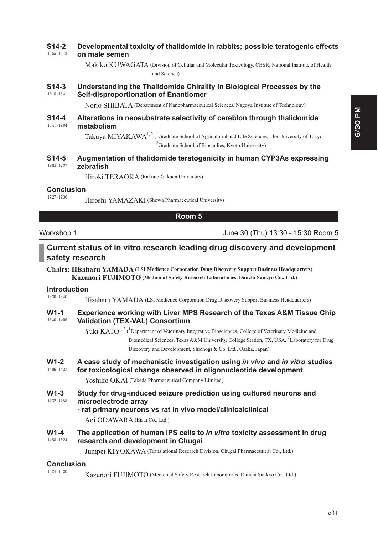#### 15:55 - 16:18 **6 S14-2** Developmental toxicity of thalidomide in rabbits; possible teratogenic effects **on male semen**

Makiko KUWAGATA (Division of Cellular and Molecular Toxicology, CBSR, National Institute of Health and Science)

#### 16:18 - 16:41 **614-3** Understanding the Thalidomide Chirality in Biological Processes by the **Self-disproportionation of Enantiomer**

Norio SHIBATA (Department of Nanopharmaceutical Sciences, Nagoya Institute of Technology)

#### 16:41 - 17:04 **614-4** Alterations in neosubstrate selectivity of cereblon through thalidomide metabolism

Takuya MIYAKAWA<sup>1, 2</sup> (<sup>1</sup>Graduate School of Agricultural and Life Sciences, The University of Tokyo, <sup>2</sup> Graduate School of Biostudies, Kyoto University)

#### 17:04 - 17:27 **6 S14-5** Augmentation of thalidomide teratogenicity in human CYP3As expressing  $zeh$ rafish

Hiroki TERAOKA (Rakuno Gakuen University)

### **Conclusion**

17:27 - 17:30 Hiroshi YAMAZAKI (Showa Pharmaceutical University)

### **Room 5**

Workshop 1 June 30 (Thu) 13:30 - 15:30 Room 5

# Current status of in vitro research leading drug discovery and development safety research

**Chairs: Hisaharu YAMADA (LSI Medience Corporation Drug Discovery Support Business Headquarters) Kazunori FUJIMOTO (Medicinal Safety Research Laboratories, Daiichi Sankyo Co., Ltd.)**

### **Introduction**

13:30 - 13:40 Hisaharu YAMADA (LSI Medience Corporation Drug Discovery Support Business Headquarters)

#### 13:40 - 14:06 W1-1 Experience working with Liver MPS Research of the Texas A&M Tissue Chip **Validation (TEX-VAL) Consortium**

Yuki KATO<sup>1, 2</sup> (<sup>1</sup>Department of Veterinary Integrative Biosciences, College of Veterinary Medicine and Biomedical Sciences, Texas A&M University, College Station, TX, USA, <sup>2</sup>Laboratory for Drug Discovery and Development, Shionogi & Co. Ltd., Osaka, Japan)

#### 14:06 - 14:32 **W1-2** A case study of mechanistic investigation using *in vivo* and *in vitro* studies for toxicological change observed in oligonucleotide development

Yoshiko OKAI (Takeda Pharmaceutical Company Limited)

#### 14:32 - 14:58 W1-3 Study for drug-induced seizure prediction using cultured neurons and microelectrode arrav

### - rat primary neurons vs rat in vivo model/clinicalclinical

Aoi ODAWARA (Eisai Co., Ltd.)

#### 14:58 - 15:24 **W1-4** The application of human iPS cells to *in vitro* toxicity assessment in drug **research and development in Chugai**

Jumpei KIYOKAWA (Translational Research Division, Chugai Pharmaceutical Co., Ltd.)

### **Conclusion**

15:24 - 15:30

Kazunori FUJIMOTO (Medicinal Safety Research Laboratories, Daiichi Sankyo Co., Ltd.)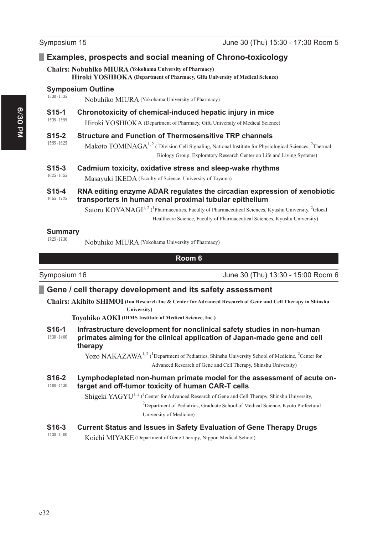# **Examples, prospects and social meaning of Chrono-toxicology**

### **Chairs: Nobuhiko MIURA (Yokohama University of Pharmacy)**

**Hiroki YOSHIOKA (Department of Pharmacy, Gifu University of Medical Science)**

#### 15:30 - 15:35 **Symposium Outline**

Nobuhiko MIURA (Yokohama University of Pharmacy)

#### 15:35 - 15:55 **615-1** Chronotoxicity of chemical-induced hepatic injury in mice

Hiroki YOSHIOKA (Department of Pharmacy, Gifu University of Medical Science)

#### 15:55 - 16:25 **6 6WUXFWXUHDQG)XQFWLRQRI7KHUPRVHQVLWLYH753FKDQQHOV**

Makoto TOMINAGA<sup>1, 2</sup> (<sup>1</sup>Division Cell Signaling, National Institute for Physiological Sciences, <sup>2</sup>Thermal Biology Group, Exploratory Research Center on Life and Living Systems)

#### 16:25 - 16:55 **615-3** Cadmium toxicity, oxidative stress and sleep-wake rhythms

Masayuki IKEDA (Faculty of Science, University of Toyama)

#### 16:55 - 17:25 **615-4** RNA editing enzyme ADAR regulates the circadian expression of xenobiotic transporters in human renal proximal tubular epithelium

Satoru  $KOYANAGI<sup>1, 2</sup>$  (<sup>1</sup>Pharmaceutics, Faculty of Pharmaceutical Sciences, Kyushu University, <sup>2</sup>Glocal Healthcare Science, Faculty of Pharmaceutical Sciences, Kyushu University)

#### 17:25 - 17:30 **Summary**

Nobuhiko MIURA (Yokohama University of Pharmacy)

### **Room 6**

Symposium 16 **Symposium 16** June 30 (Thu) 13:30 - 15:00 Room 6

# **Example 1 Gene / cell therapy development and its safety assessment**

**Chairs: Akihito SHIMOI ( Ina Research Inc & Center for Advanced Research of Gene and Cell Therapy in Shinshu University)**

**Toyohiko AOKI (DIMS Institute of Medical Science, Inc.)**

#### 13:30 - 14:00 **6 S16-1** Infrastructure development for nonclinical safety studies in non-human **Drimates aiming for the clinical application of Japan-made gene and cell** therapy

Yozo NAKAZAWA<sup>1, 2</sup> (<sup>1</sup>Department of Pediatrics, Shinshu University School of Medicine, <sup>2</sup>Center for Advanced Research of Gene and Cell Therapy, Shinshu University)

#### 14:00 - 14:30 **616-2** Lymphodepleted non-human primate model for the assessment of acute ontarget and off-tumor toxicity of human CAR-T cells

Shigeki YAGYU<sup>1, 2</sup> (<sup>1</sup>Center for Advanced Research of Gene and Cell Therapy, Shinshu University,  $2$ Department of Pediatrics, Graduate School of Medical Science, Kyoto Prefectural University of Medicine)

#### 14:30 - 15:00 **6 S16-3** Current Status and Issues in Safety Evaluation of Gene Therapy Drugs

Koichi MIYAKE (Department of Gene Therapy, Nippon Medical School)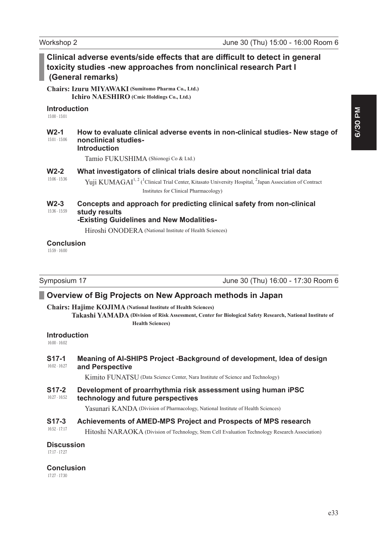|                                        | Clinical adverse events/side effects that are difficult to detect in general<br>toxicity studies -new approaches from nonclinical research Part I<br>(General remarks)                                                                                            |
|----------------------------------------|-------------------------------------------------------------------------------------------------------------------------------------------------------------------------------------------------------------------------------------------------------------------|
|                                        | Chairs: Izuru MIYAWAKI (Sumitomo Pharma Co., Ltd.)<br>Ichiro NAESHIRO (Cmic Holdings Co., Ltd.)                                                                                                                                                                   |
| <b>Introduction</b><br>$15:00 - 15:01$ |                                                                                                                                                                                                                                                                   |
| $W2-1$<br>$15:01 - 15:06$              | How to evaluate clinical adverse events in non-clinical studies- New stage of<br>nonclinical studies-<br><b>Introduction</b>                                                                                                                                      |
|                                        | Tamio FUKUSHIMA (Shionogi Co & Ltd.)                                                                                                                                                                                                                              |
| $W2-2$<br>15:06 - 15:36                | What investigators of clinical trials desire about nonclinical trial data<br>Yuji KUMAGAI <sup>1, 2</sup> ( <sup>1</sup> Clinical Trial Center, Kitasato University Hospital, <sup>2</sup> Japan Association of Contract<br>Institutes for Clinical Pharmacology) |
| $W2-3$<br>15:36 - 15:59                | Concepts and approach for predicting clinical safety from non-clinical<br>study results<br>-Existing Guidelines and New Modalities-<br>Hiroshi ONODERA (National Institute of Health Sciences)                                                                    |
| <b>Conclusion</b><br>$15:59 - 16:00$   |                                                                                                                                                                                                                                                                   |

Symposium 17 **June 30 (Thu) 16:00 - 17:30 Room 6** 

# **2** Overview of Big Projects on New Approach methods in Japan

**Chairs: Hajime KOJIMA (National Institute of Health Sciences)**

**Takashi YAMADA ( Division of Risk Assessment, Center for Biological Safety Research, National Institute of Health Sciences)**

### **Introduction**

16:00 - 16:02

#### 16:02 - 16:27 **617-1** Meaning of AI-SHIPS Project -Background of development, Idea of design and Perspective

Kimito FUNATSU (Data Science Center, Nara Institute of Science and Technology)

#### 16:27 - 16:52 **617-2** Development of proarrhythmia risk assessment using human iPSC technology and future perspectives

Yasunari KANDA (Division of Pharmacology, National Institute of Health Sciences)

#### 16:52 - 17:17 **617-3** Achievements of AMED-MPS Project and Prospects of MPS research

Hitoshi NARAOKA (Division of Technology, Stem Cell Evaluation Technology Research Association)

### **Discussion**

17:17 - 17:27

### **Conclusion**

17:27 - 17:30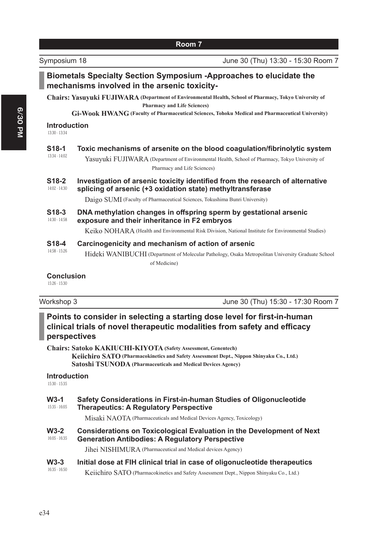|                                      | Chairs: Yasuyuki FUJIWARA (Department of Environmental Health, School of Pharmacy, Tokyo University of<br><b>Pharmacy and Life Sciences)</b>                                                                                            |
|--------------------------------------|-----------------------------------------------------------------------------------------------------------------------------------------------------------------------------------------------------------------------------------------|
|                                      | Gi-Wook HWANG (Faculty of Pharmaceutical Sciences, Tohoku Medical and Pharmaceutical University)                                                                                                                                        |
| <b>Introduction</b><br>13:30 - 13:34 |                                                                                                                                                                                                                                         |
| S18-1<br>13:34 - 14:02               | Toxic mechanisms of arsenite on the blood coagulation/fibrinolytic system<br>Yasuyuki FUJIWARA (Department of Environmental Health, School of Pharmacy, Tokyo University of<br>Pharmacy and Life Sciences)                              |
| S18-2<br>14:02 - 14:30               | Investigation of arsenic toxicity identified from the research of alternative<br>splicing of arsenic (+3 oxidation state) methyltransferase                                                                                             |
|                                      | Daigo SUMI (Faculty of Pharmaceutical Sciences, Tokushima Bunri University)                                                                                                                                                             |
| S18-3<br>14:30 - 14:58               | DNA methylation changes in offspring sperm by gestational arsenic<br>exposure and their inheritance in F2 embryos                                                                                                                       |
|                                      | Keiko NOHARA (Health and Environmental Risk Division, National Institute for Environmental Studies)                                                                                                                                     |
| S18-4                                | Carcinogenicity and mechanism of action of arsenic                                                                                                                                                                                      |
| 14:58 - 15:26                        | Hideki WANIBUCHI (Department of Molecular Pathology, Osaka Metropolitan University Graduate School<br>of Medicine)                                                                                                                      |
| <b>Conclusion</b><br>15:26 - 15:30   |                                                                                                                                                                                                                                         |
| Workshop 3                           | June 30 (Thu) 15:30 - 17:30 Room 7                                                                                                                                                                                                      |
| perspectives                         | Points to consider in selecting a starting dose level for first-in-human<br>clinical trials of novel therapeutic modalities from safety and efficacy                                                                                    |
|                                      | <b>Chairs: Satoko KAKIUCHI-KIYOTA (Safety Assessment, Genentech)</b><br>Keiichiro SATO (Pharmacokinetics and Safety Assessment Dept., Nippon Shinyaku Co., Ltd.)<br><b>Satoshi TSUNODA</b> (Pharmaceuticals and Medical Devices Agency) |
| <b>Introduction</b><br>15:30 - 15:35 |                                                                                                                                                                                                                                         |
| $W3-1$<br>15:35 - 16:05              | Safety Considerations in First-in-human Studies of Oligonucleotide<br><b>Therapeutics: A Regulatory Perspective</b>                                                                                                                     |
|                                      | Misaki NAOTA (Pharmaceuticals and Medical Devices Agency, Toxicology)                                                                                                                                                                   |
| $W3-2$                               | <b>Considerations on Toxicological Evaluation in the Development of Next</b>                                                                                                                                                            |

#### 16:05 - 16:35 **Generation Antibodies: A Regulatory Perspective**

Jihei NISHIMURA (Pharmaceutical and Medical devices Agency)

#### 16:35 - 16:50 W3-3 Initial dose at FIH clinical trial in case of oligonucleotide therapeutics Keiichiro SATO (Pharmacokinetics and Safety Assessment Dept., Nippon Shinyaku Co., Ltd.)

e34

### **Room 7**

Biometals Specialty Section Symposium -Approaches to elucidate the

mechanisms involved in the arsenic toxicity-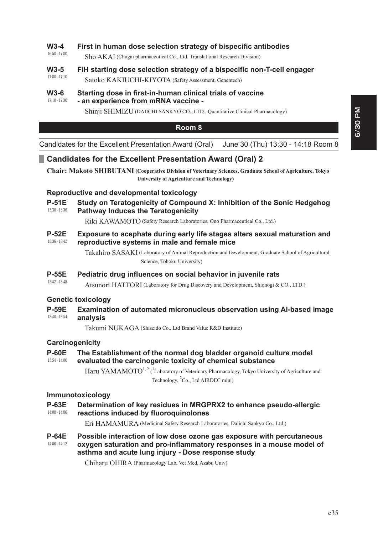### **W3-4** First in human dose selection strategy of bispecific antibodies

16:50 - 17:00 Sho AKAI (Chugai pharmaceutical Co., Ltd. Translational Research Division)

#### 17:00 - 17:10 W3-5 FiH starting dose selection strategy of a bispecific non-T-cell engager

Satoko KAKIUCHI-KIYOTA (Safety Assessment, Genentech)

#### 17:10 - 17:30 W3-6 Starting dose in first-in-human clinical trials of vaccine - an experience from mRNA vaccine -

Shinji SHIMIZU (DAIICHI SANKYO CO., LTD., Quantitative Clinical Pharmacology)

### **Room 8**

Candidates for the Excellent Presentation Award (Oral) June 30 (Thu) 13:30 - 14:18 Room 8

# **Candidates for the Excellent Presentation Award (Oral) 2**

**Chair: Makoto SHIBUTANI ( Cooperative Division of Veterinary Sciences, Graduate School of Agriculture, Tokyo University of Agriculture and Technology)**

### **Reproductive and developmental toxicology**

13:30 - 13:36 **P-51E** Study on Teratogenicity of Compound X: Inhibition of the Sonic Hedgehog **Pathway Induces the Teratogenicity** 

Riki KAWAMOTO (Safety Research Laboratories, Ono Pharmaceutical Co., Ltd.)

#### 13:36 - 13:42 **P-52E** Exposure to acephate during early life stages alters sexual maturation and **reproductive systems in male and female mice**

Takahiro SASAKI ( Laboratory of Animal Reproduction and Development, Graduate School of Agricultural Science, Tohoku University)

### **P-55E** Pediatric drug influences on social behavior in iuvenile rats

Atsunori HATTORI (Laboratory for Drug Discovery and Development, Shionogi & CO., LTD.)

### **Genetic toxicology**

13:42 - 13:48

13:48 - 13:54 **P-59E** Examination of automated micronucleus observation using AI-based image analysis

Takumi NUKAGA (Shiseido Co., Ltd Brand Value R&D Institute)

### **Carcinogenicity**

#### 13:54 - 14:00 **P-60E** The Establishment of the normal dog bladder organoid culture model evaluated the carcinogenic toxicity of chemical substance

Haru YAMAMOTO<sup>1, 2</sup> (<sup>1</sup>Laboratory of Veterinary Pharmacology, Tokyo University of Agriculture and Technology, <sup>2</sup>Co., Ltd AIRDEC mini)

### **Immunotoxicology**

14:00 - 14:06 **P-63E** Determination of key residues in MRGPRX2 to enhance pseudo-allergic reactions induced by fluoroquinolones

Eri HAMAMURA (Medicinal Safety Research Laboratories, Daiichi Sankyo Co., Ltd.)

14:06 - 14:12 **P-64E** Possible interaction of low dose ozone gas exposure with percutaneous oxygen saturation and pro-inflammatory responses in a mouse model of asthma and acute lung injury - Dose response study

Chiharu OHIRA (Pharmacology Lab, Vet Med, Azabu Univ)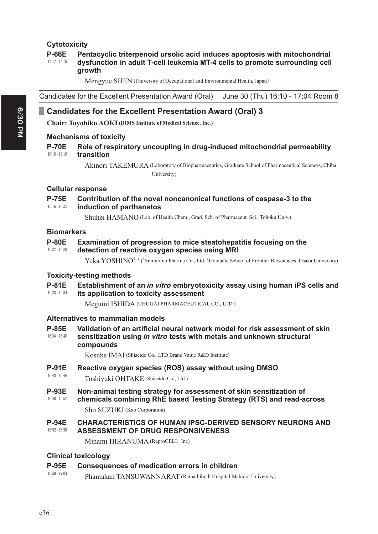## **Cytotoxicity**

#### 14:12 - 14:18 **P-66E** Pentacyclic triterpenoid ursolic acid induces apoptosis with mitochondrial dysfunction in adult T-cell leukemia MT-4 cells to promote surrounding cell **arowth**

Mengyue SHEN (University of Occupational and Environmental Health, Japan)

Candidates for the Excellent Presentation Award (Oral) June 30 (Thu) 16:10 - 17:04 Room 8

# **Candidates for the Excellent Presentation Award (Oral) 3**

**Chair: Toyohiko AOKI (DIMS Institute of Medical Science, Inc.)**

### **Mechanisms of toxicity**

#### 16:10 - 16:16 **P-70E** Role of respiratory uncoupling in drug-induced mitochondrial permeability **transition**

Akinori TAKEMURA ( Laboratory of Biopharmaceutics, Graduate School of Pharmaceutical Sciences, Chiba University)

### **Cellular response**

#### 16:16 - 16:22 **P-75E** Contribution of the novel noncanonical functions of caspase-3 to the **induction of parthanatos**

Shuhei HAMANO (Lab. of Health Chem., Grad. Sch. of Pharmaceut. Sci., Tohoku Univ.)

### **Biomarkers**

| <b>P-80E</b>  | <b>Examination of progression to mice steatohepatitis focusing on the</b> |
|---------------|---------------------------------------------------------------------------|
| 16:22 - 16:28 | detection of reactive oxygen species using MRI                            |

Yuka YOSHINO<sup>1, 2</sup> (<sup>1</sup>Sumitomo Pharma Co., Ltd, <sup>2</sup>Graduate School of Frontier Biosciences, Osaka University)

### **Toxicity-testing methods**

#### 16:28 - 16:34 **P-81E** Establishment of an *in vitro* embryotoxicity assay using human iPS cells and **its application to toxicity assessment**

Megumi ISHIDA (CHUGAI PHARMACEUTICAL CO., LTD.)

### **Alternatives to mammalian models**

16:34 - 16:40 **P-85E** Validation of an artificial neural network model for risk assessment of skin **Sensitization using in vitro tests with metals and unknown structural** compounds

Kosuke IMAI (Shiseido Co., LTD Brand Value R&D Institute)

16:40 - 16:46 **P-91E** Reactive oxygen species (ROS) assay without using DMSO Toshiyuki OHTAKE (Shiseido Co., Ltd.)

#### 16:46 - 16:52 **P-93E** Non-animal testing strategy for assessment of skin sensitization of chemicals combining RhE based Testing Strategy (RTS) and read-across

Sho SUZUKI (Kao Corporation)

#### 16:52 - 16:58 **2-94E CHARACTERISTICS OF HUMAN IPSC-DERIVED SENSORY NEURONS AND ASSESSMENT OF DRUG RESPONSIVENESS**

Minami HIRANUMA (ReproCELL. Inc)

### **Clinical toxicology**

### **P-95E** Consequences of medication errors in children

16:58 - 17:04 Phantakan TANSUWANNARAT (Ramathibodi Hospital Mahidol University)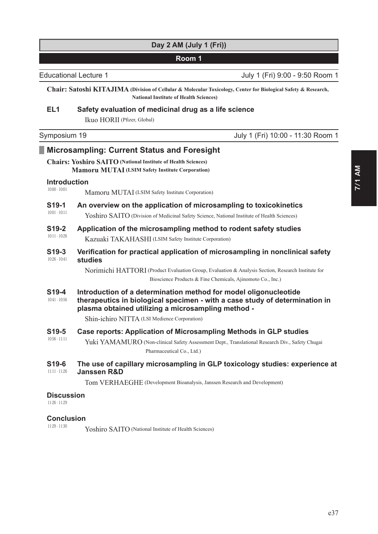# **Day 2 AM (July 1 (Fri))**

# **Room 1**

Educational Lecture 1 July 1 (Fri) 9:00 - 9:50 Room 1

**Chair: Satoshi KITAJIMA ( Division of Cellular & Molecular Toxicology, Center for Biological Safety & Research, National Institute of Health Sciences)**

# **EL1** Safety evaluation of medicinal drug as a life science

Ikuo HORII (Pfizer, Global)

| Symposium 19 | July 1 (Fri) 10:00 - 11:30 Room 1 |
|--------------|-----------------------------------|
|--------------|-----------------------------------|

# **Microsampling: Current Status and Foresight**

### **Chairs: Yoshiro SAITO (National Institute of Health Sciences) Mamoru MUTAI (LSIM Safety Institute Corporation)**

#### 10:00 - 10:01 **Introduction**

Mamoru MUTAI (LSIM Safety Institute Corporation)

#### 10:01 - 10:11 **6 S19-1** An overview on the application of microsampling to toxicokinetics

Yoshiro SAITO (Division of Medicinal Safety Science, National Institute of Health Sciences)

#### 10:11 - 10:26 **S19-2** Application of the microsampling method to rodent safety studies Kazuaki TAKAHASHI (LSIM Safety Institute Corporation)

#### 10:26 - 10:41 **619-3** Verification for practical application of microsampling in nonclinical safety studies

Norimichi HATTORI (Product Evaluation Group, Evaluation & Analysis Section, Research Institute for Bioscience Products & Fine Chemicals, Ajinomoto Co., Inc.)

#### 10:41 - 10:56 **619-4** Introduction of a determination method for model oligonucleotide therapeutics in biological specimen - with a case study of determination in plasma obtained utilizing a microsampling method -

Shin-ichiro NITTA (LSI Medience Corporation)

#### 10:56 - 11:11 **619-5** Case reports: Application of Microsampling Methods in GLP studies

Yuki YAMAMURO (Non-clinical Safety Assessment Dept., Translational Research Div., Safety Chugai Pharmaceutical Co., Ltd.)

#### 11:11 - 11:26 **6 519-6** The use of capillary microsampling in GLP toxicology studies: experience at **Janssen R&D**

Tom VERHAEGHE (Development Bioanalysis, Janssen Research and Development)

# **Discussion**

11:26 - 11:29

#### 11:29 - 11:30 **Conclusion**

Yoshiro SAITO (National Institute of Health Sciences)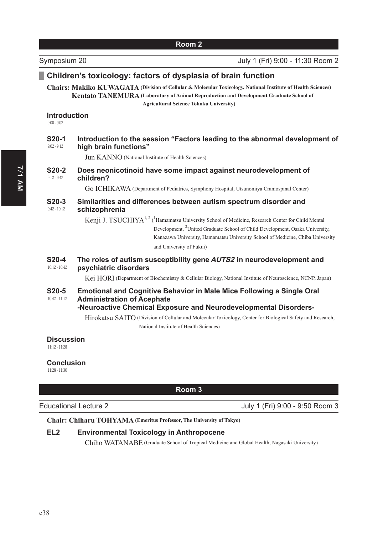# Children's toxicology: factors of dysplasia of brain function

**Chairs: Makiko KUWAGATA (Division of Cellular & Molecular Toxicology, National Institute of Health Sciences) Kentato TANEMURA** (Laboratory of Animal Reproduction and Development Graduate School of **Agricultural Science Tohoku University)**

### **Introduction**

9:00 - 9:02

#### 9:02 - 9:12 **620-1** Introduction to the session "Factors leading to the abnormal development of **high brain functions"**

Jun KANNO (National Institute of Health Sciences)

#### 9:12 - 9:42 **620-2** Does neonicotinoid have some impact against neurodevelopment of children?

Go ICHIKAWA (Department of Pediatrics, Symphony Hospital, Utsunomiya Craniospinal Center)

#### 9:42 - 10:12 S20-3 Similarities and differences between autism spectrum disorder and schizophrenia

Kenji J. TSUCHIYA<sup>1, 2</sup> (<sup>1</sup> Hamamatsu University School of Medicine, Research Center for Child Mental Development, <sup>2</sup>United Graduate School of Child Development, Osaka University, Kanazawa University, Hamamatsu University School of Medicine, Chiba University and University of Fukui)

#### 10:12 - 10:42 **620-4** The roles of autism susceptibility gene AUTS2 in neurodevelopment and **psychiatric disorders**

Kei HORI (Department of Biochemistry & Cellular Biology, National Institute of Neuroscience, NCNP, Japan)

#### 10:42 - 11:12 **620-5** Emotional and Cognitive Behavior in Male Mice Following a Single Oral **Administration of Acephate**

### -Neuroactive Chemical Exposure and Neurodevelopmental Disorders-

Hirokatsu SAITO (Division of Cellular and Molecular Toxicology, Center for Biological Safety and Research, National Institute of Health Sciences)

### **Discussion**

11:12 - 11:28

### **Conclusion**

11:28 - 11:30

### **Room 3**

### Educational Lecture 2 July 1 (Fri) 9:00 - 9:50 Room 3

### **Chair: Chiharu TOHYAMA (Emeritus Professor, The University of Tokyo)**

### **EL2** Environmental Toxicology in Anthropocene

Chiho WATANABE (Graduate School of Tropical Medicine and Global Health, Nagasaki University)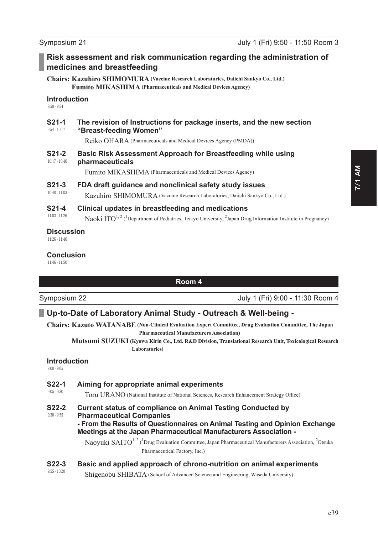9:50 - 9:54

**Introduction** 

medicines and breastfeeding

| <b>S21-1</b>    | The revision of Instructions for package inserts, and the new section                                                                     |  |
|-----------------|-------------------------------------------------------------------------------------------------------------------------------------------|--|
| $9:54 - 10:17$  | "Breast-feeding Women"                                                                                                                    |  |
|                 | Reiko OHARA (Pharmaceuticals and Medical Devices Agency (PMDA))                                                                           |  |
| S21-2           | Basic Risk Assessment Approach for Breastfeeding while using                                                                              |  |
| $10:17 - 10:40$ | pharmaceuticals                                                                                                                           |  |
|                 | Fumito MIKASHIMA (Pharmaceuticals and Medical Devices Agency)                                                                             |  |
| S21-3           | FDA draft guidance and nonclinical safety study issues                                                                                    |  |
| $10:40 - 11:03$ | Kazuhiro SHIMOMURA (Vaccine Research Laboratories, Daiichi Sankyo Co., Ltd.)                                                              |  |
| S21-4           | Clinical updates in breastfeeding and medications                                                                                         |  |
| $11:03 - 11:26$ | Naoki $ITO^{1,2}$ ( <sup>1</sup> Department of Pediatrics, Teikyo University, <sup>2</sup> Japan Drug Information Institute in Pregnancy) |  |

### **Discussion**

11:26 - 11:46

### **Conclusion**

11:46 - 11:50

### **Room 4**

**Risk assessment and risk communication regarding the administration of** 

**Chairs: Kazuhiro SHIMOMURA (Vaccine Research Laboratories, Daiichi Sankyo Co., Ltd.) Fumito MIKASHIMA (Pharmaceuticals and Medical Devices Agency)**

Symposium 22 **Symposium 22** July 1 (Fri) 9:00 - 11:30 Room 4

# **Up-to-Date of Laboratory Animal Study - Outreach & Well-being -**

**Chairs: Kazuto WATANABE ( Non-Clinical Evaluation Expert Committee, Drug Evaluation Committee, The Japan Pharmaceutical Manufacturers Association)**

**Mutsumi SUZUKI ( Kyowa Kirin Co., Ltd. R&D Division, Translational Research Unit, Toxicological Research Laboratories)**

### **Introduction**

9:00 - 9:05

| <b>S22-1</b>  | Aiming for appropriate animal experiments |  |
|---------------|-------------------------------------------|--|
| $9:05 - 9:30$ | T T T 1 3 T C 21                          |  |

Toru URANO (National Institute of National Sciences, Research Enhancement Strategy Office)

9:30 - 9:55 **622-2** Current status of compliance on Animal Testing Conducted by **Pharmaceutical Companies** - From the Results of Questionnaires on Animal Testing and Opinion Exchange **Meetings at the Japan Pharmaceutical Manufacturers Association -**

> Naoyuki SAITO<sup>1, 2</sup> (<sup>1</sup>Drug Evaluation Committee, Japan Pharmaceutical Manufacturers Association, <sup>2</sup>Otsuka Pharmaceutical Factory, Inc.)

### 9:55 - 10:20 **622-3** Basic and applied approach of chrono-nutrition on animal experiments

Shigenobu SHIBATA (School of Advanced Science and Engineering, Waseda University)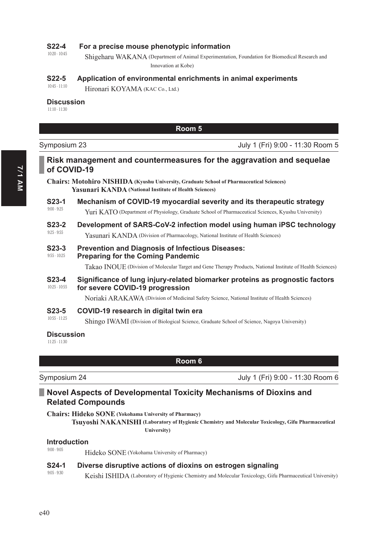### **622-4** • For a precise mouse phenotypic information

10:20 - 10:45 Shigeharu WAKANA ( Department of Animal Experimentation, Foundation for Biomedical Research and Innovation at Kobe)

### **622-5** Application of environmental enrichments in animal experiments

10:45 - 11:10 Hironari KOYAMA (KAC Co., Ltd.)

### Discussion

11:10 - 11:30

### **Room 5**

July 1 (Fri) 9:00 - 11:30 Room 5

# **Risk management and countermeasures for the aggravation and sequelae** of COVID-19

**Chairs: Motohiro NISHIDA (Kyushu University, Graduate School of Pharmaceutical Sciences) Yasunari KANDA (National Institute of Health Sciences)**

#### 9:00 - 9:25 **623-1** Mechanism of COVID-19 myocardial severity and its therapeutic strategy Yuri KATO (Department of Physiology, Graduate School of Pharmaceutical Sciences, Kyushu University)

### 9:25 - 9:55 **623-2** Development of SARS-CoV-2 infection model using human iPSC technology

Yasunari KANDA (Division of Pharmacology, National Institute of Health Sciences)

#### 9:55 - 10:25 **623-3** Prevention and Diagnosis of Infectious Diseases: **Preparing for the Coming Pandemic**

Takao INOUE (Division of Molecular Target and Gene Therapy Products, National Institute of Health Sciences)

#### 10:25 - 10:55 **623-4** Significance of lung injury-related biomarker proteins as prognostic factors **for severe COVID-19 progression**

Noriaki ARAKAWA (Division of Medicinal Safety Science, National Institute of Health Sciences)

**623-5 COVID-19 research in digital twin era** 

Shingo IWAMI (Division of Biological Science, Graduate School of Science, Nagoya University)

### **Discussion**

11:25 - 11:30

10:55 - 11:25

### **Room 6**

Symposium 24 July 1 (Fri) 9:00 - 11:30 Room 6

# **Novel Aspects of Developmental Toxicity Mechanisms of Dioxins and Related Compounds**

**Chairs: Hideko SONE (Yokohama University of Pharmacy)**

**Tsuyoshi NAKANISHI ( Laboratory of Hygienic Chemistry and Molecular Toxicology, Gifu Pharmaceutical University)**

### **Introduction**

9:00 - 9:05

9:05 - 9:30

Hideko SONE (Yokohama University of Pharmacy)

### **624-1** Diverse disruptive actions of dioxins on estrogen signaling

Keishi ISHIDA (Laboratory of Hygienic Chemistry and Molecular Toxicology, Gifu Pharmaceutical University)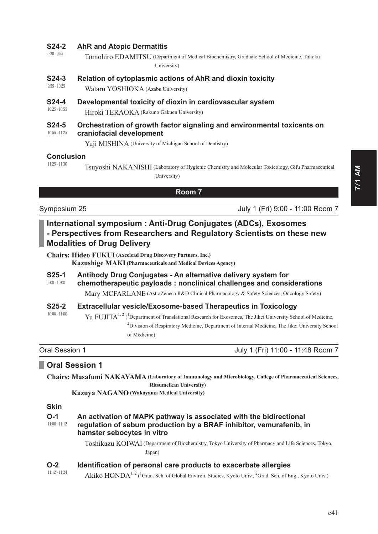### **624-2 AhR and Atopic Dermatitis**

- 9:30 9:55 Tomohiro EDAMITSU ( Department of Medical Biochemistry, Graduate School of Medicine, Tohoku University)
- **624-3** Relation of cytoplasmic actions of AhR and dioxin toxicity
- 9:55 10:25 Wataru YOSHIOKA (Azabu University)
- 10:25 10:55 **624-4** Developmental toxicity of dioxin in cardiovascular system Hiroki TERAOKA (Rakuno Gakuen University)

#### 10:55 - 11:25 **624-5** Orchestration of growth factor signaling and environmental toxicants on craniofacial development

Yuji MISHINA (University of Michigan School of Dentistry)

### **Conclusion**

11:25 - 11:30

Tsuyoshi NAKANISHI (Laboratory of Hygienic Chemistry and Molecular Toxicology, Gifu Pharmaceutical

University)

# **Room 7**

Symposium 25 July 1 (Fri) 9:00 - 11:00 Room 7

# International symposium : Anti-Drug Conjugates (ADCs), Exosomes - Perspectives from Researchers and Requlatory Scientists on these new **Modalities of Drug Delivery**

**Chairs: Hideo FUKUI (Axcelead Drug Discovery Partners, Inc.)**

**Kazushige MAKI (Pharmaceuticals and Medical Devices Agency)**

9:00 - 10:00 **625-1** Antibody Drug Conjugates - An alternative delivery system for chemotherapeutic payloads : nonclinical challenges and considerations

Mary MCFARLANE (AstraZeneca R&D Clinical Pharmacology & Safety Sciences, Oncology Safety)

#### 10:00 - 11:00 **625-2 Extracellular vesicle/Exosome-based Therapeutics in Toxicology**

Yu FUJITA<sup>1, 2</sup> (<sup>1</sup>Department of Translational Research for Exosomes, The Jikei University School of Medicine, <sup>2</sup> Division of Respiratory Medicine, Department of Internal Medicine, The Jikei University School of Medicine)

Oral Session 1 **July 1** (Fri) 11:00 - 11:48 Room 7

# **2** Oral Session 1

**Chairs: Masafumi NAKAYAMA ( Laboratory of Immunology and Microbiology, College of Pharmaceutical Sciences, Ritsumeikan University)**

**Kazuya NAGANO (Wakayama Medical University)**

# **Skin**

| O-1<br>$11:00 - 11:12$ | An activation of MAPK pathway is associated with the bidirectional<br>regulation of sebum production by a BRAF inhibitor, vemurafenib, in<br>hamster sebocytes in vitro |
|------------------------|-------------------------------------------------------------------------------------------------------------------------------------------------------------------------|
|                        | Toshikazu KOIWAI (Department of Biochemistry, Tokyo University of Pharmacy and Life Sciences, Tokyo,                                                                    |

Japan)

### **2** Identification of personal care products to exacerbate allergies

11:12 - 11:24 Akiko  $HONDA^{1, 2}$  (<sup>1</sup>Grad. Sch. of Global Environ. Studies, Kyoto Univ., <sup>2</sup>Grad. Sch. of Eng., Kyoto Univ.)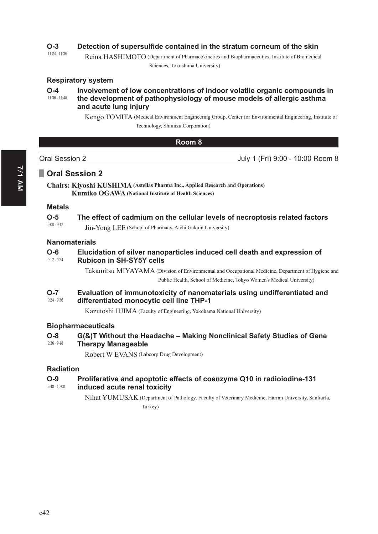### **2** Detection of supersulfide contained in the stratum corneum of the skin

11:24 - 11:36 Reina HASHIMOTO (Department of Pharmacokinetics and Biopharmaceutics, Institute of Biomedical

Sciences, Tokushima University)

### **Respiratory system**

#### 11:36 - 11:48 **2-4** Involvement of low concentrations of indoor volatile organic compounds in the development of pathophysiology of mouse models of allergic asthma and acute lung injury

Kengo TOMITA ( Medical Environment Engineering Group, Center for Environmental Engineering, Institute of Technology, Shimizu Corporation)

### **Room 8**

| Oral Session 2 | July 1 (Fri) 9:00 - 10:00 Room 8 |
|----------------|----------------------------------|

# **D** Oral Session 2

**Chairs: Kiyoshi KUSHIMA (Astellas Pharma Inc., Applied Research and Operations) Kumiko OGAWA (National Institute of Health Sciences)**

### **Metals**

### **2-5** The effect of cadmium on the cellular levels of necroptosis related factors

9:00 - 9:12 Jin-Yong LEE (School of Pharmacy, Aichi Gakuin University)

### **Nanomaterials**

#### 9:12 - 9:24 **2-6** Elucidation of silver nanoparticles induced cell death and expression of **Rubicon in SH-SY5Y cells**

Takamitsu MIYAYAMA ( Division of Environmental and Occupational Medicine, Department of Hygiene and Public Health, School of Medicine, Tokyo Women's Medical University)

#### 9:24 - 9:36 **2-7** Evaluation of immunotoxicity of nanomaterials using undifferentiated and differentiated monocytic cell line THP-1

Kazutoshi IIJIMA (Faculty of Engineering, Yokohama National University)

### **Biopharmaceuticals**

#### 9:36 - 9:48 **2-8** G(&)T Without the Headache - Making Nonclinical Safety Studies of Gene **Therapy Manageable**

Robert W EVANS (Labcorp Drug Development)

### **Radiation**

#### 9:48 - 10:00 **2-9** Proliferative and apoptotic effects of coenzyme Q10 in radioiodine-131 **Langleridge Finduced acute renal toxicity**

Nihat YUMUSAK ( Department of Pathology, Faculty of Veterinary Medicine, Harran University, Sanliurfa,

Turkey)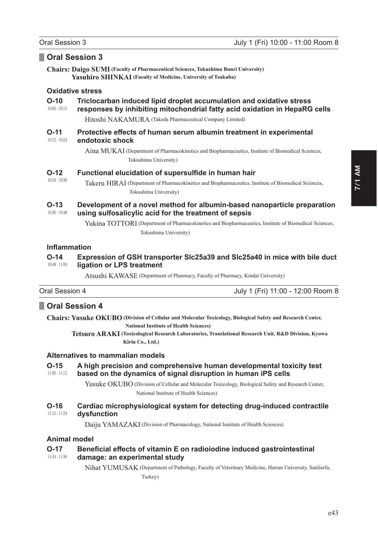### Oral Session 3

**Chairs: Daigo SUMI** (Faculty of Pharmaceutical Sciences, Tokushima Bunri University) **Yasuhiro SHINKAI** (Faculty of Medicine, University of Tsukuba)

### **Oxidative stress**

#### $O-10$ Triclocarban induced lipid droplet accumulation and oxidative stress  $10:00 - 10:12$ responses by inhibiting mitochondrial fatty acid oxidation in HepaRG cells

Hitoshi NAKAMURA (Takeda Pharmaceutical Company Limited)

#### $O-11$ Protective effects of human serum albumin treatment in experimental  $10:12 - 10:24$ endotoxic shock

Aina MUKAI (Department of Pharmacokinetics and Biopharmaceutics, Institute of Biomedical Sciences, Tokushima University)

#### $O-12$ Functional elucidation of supersulfide in human hair

 $10:24 - 10:36$ 

Takeru HIRAI (Department of Pharmacokinetics and Biopharmaceutics, Institute of Biomedical Sciences, Tokushima University)

#### $O-13$ Development of a novel method for albumin-based nanoparticle preparation  $10:36 - 10:48$ using sulfosalicylic acid for the treatment of sepsis

Yukina TOTTORI (Department of Pharmacokinetics and Biopharmaceutics, Institute of Biomedical Sciences, Tokushima University)

### **Inflammation**

#### $0.14$ Expression of GSH transporter SIc25a39 and SIc25a40 in mice with bile duct  $10:48 - 11:00$ ligation or LPS treatment

Atsushi KAWASE (Department of Pharmacy, Faculty of Pharmacy, Kindai University)

| Oral Session 4 | July 1 (Fri) 11:00 - 12:00 Room 8 |
|----------------|-----------------------------------|
|                |                                   |

# Oral Session 4

**Chairs: Yusuke OKUBO** (Division of Cellular and Molecular Toxicology, Biological Safety and Research Center, **National Institute of Health Sciences)** 

Tetsuro ARAKI (Toxicological Research Laboratories, Translational Research Unit, R&D Division, Kyowa Kirin Co., Ltd.)

### Alternatives to mammalian models

#### $O-15$ A high precision and comprehensive human developmental toxicity test  $11:00 - 11:12$ based on the dynamics of signal disruption in human IPS cells

Yusuke OKUBO (Division of Cellular and Molecular Toxicology, Biological Safety and Research Center, National Institute of Health Sciences)

#### $O-16$ Cardiac microphysiological system for detecting drug-induced contractile  $11:12 - 11:24$ dysfunction

Daiju YAMAZAKI (Division of Pharmacology, National Institute of Health Sciences)

### **Animal model**

#### $0 - 17$ Beneficial effects of vitamin E on radioiodine induced gastrointestinal  $11:24 - 11:36$ damage: an experimental study

Nihat YUMUSAK (Department of Pathology, Faculty of Veterinary Medicine, Harran University, Sanliurfa, Turkey)

 $e43$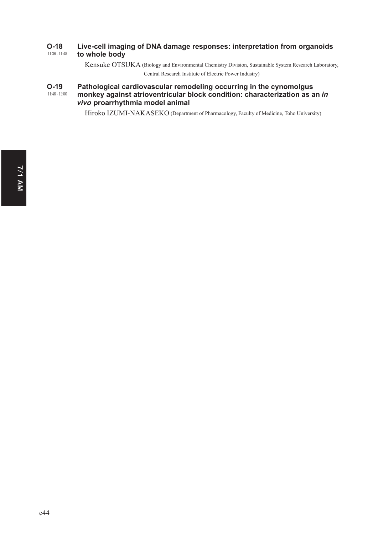#### 11:36 - 11:48 **2-18** Live-cell imaging of DNA damage responses: interpretation from organoids to whole body

Kensuke OTSUKA (Biology and Environmental Chemistry Division, Sustainable System Research Laboratory, Central Research Institute of Electric Power Industry)

#### 11:48 - 12:00 **2-19** Pathological cardiovascular remodeling occurring in the cynomolgus **PRONHEDD MULTERS AND THE PRONHEDD MULTERS AND THE PRONUNCT SOLUTION AS AN IN THE PRONUNCT SCALE IN A SET OF A SET OF A SET OF A SET OF A SET OF A SET OF A SET OF A SET OF A SET OF A SET OF A SET OF A SET OF A SET OF A SET vivo** proarrhythmia model animal

Hiroko IZUMI-NAKASEKO (Department of Pharmacology, Faculty of Medicine, Toho University)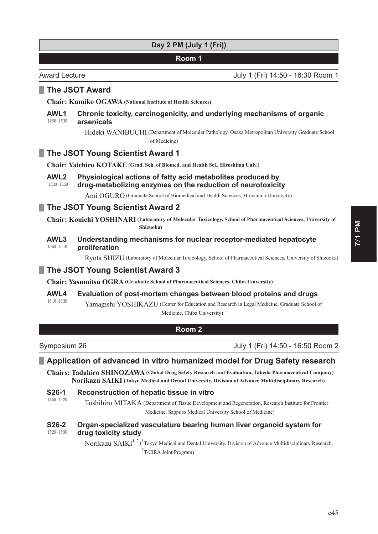Award Lecture July 1 (Fri) 14:50 - 16:30 Room 1

# **The JSOT Award**

**Chair: Kumiko OGAWA (National Institute of Health Sciences)**

#### 14:50 - 15:30 AWL1 Chronic toxicity, carcinogenicity, and underlying mechanisms of organic **arsenicals**

Hideki WANIBUCHI ( Department of Molecular Pathology, Osaka Metropolitan University Graduate School of Medicine)

# **The JSOT Young Scientist Award 1**

**Chair: Yaichiro KOTAKE (Grad. Sch. of Biomed. and Health Sci., Hiroshima Univ.)**

#### 15:30 - 15:50 AWL2 Physiological actions of fatty acid metabolites produced by drug-metabolizing enzymes on the reduction of neurotoxicity

Ami OGURO (Graduate School of Biomedical and Health Sciences, Hiroshima University)

# **The JSOT Young Scientist Award 2**

**Chair: Kouichi YOSHINARI ( Laboratory of Molecular Toxicology, School of Pharmaceutical Sciences, University of Shizuoka)**

#### 15:50 - 16:10 AWL3 Understanding mechanisms for nuclear receptor-mediated hepatocyte **proliferation**

Ryota SHIZU (Laboratory of Molecular Toxicology, School of Pharmaceutical Sciences, University of Shizuoka)

# **The JSOT Young Scientist Award 3**

**Chair: Yasumitsu OGRA (Graduate School of Pharmaceutical Sciences, Chiba University)**

### AWL4 Evaluation of post-mortem changes between blood proteins and drugs

16:10 - 16:30 Yamagishi YOSHIKAZU (Center for Education and Research in Legal Medicine, Graduate School of Medicine, Chiba University)

### **Room 2**

Symposium 26 July 1 (Fri) 14:50 - 16:50 Room 2

# **Example Application of advanced in vitro humanized model for Drug Safety research**

**Chairs: Tadahiro SHINOZAWA (Global Drug Safety Research and Evaluation, Takeda Pharmaceutical Company) Norikazu SAIKI (Tokyo Medical and Dental University, Division of Advance Multidisciplinary Research)**

| S26-1                    | Reconstruction of hepatic tissue in vitro                                                                                          |
|--------------------------|------------------------------------------------------------------------------------------------------------------------------------|
| $14:50 - 15:20$          | Toshihiro MITAKA (Department of Tissue Development and Regeneration, Research Institute for Frontier                               |
|                          | Medicine, Sapporo Medical University School of Medicine)                                                                           |
| S26-2<br>$15:20 - 15:50$ | Organ-specialized vasculature bearing human liver organoid system for<br>drug toxicity study                                       |
|                          | Norikazu SAIKI <sup>1, 2</sup> ( <sup>1</sup> Tokyo Medical and Dental University, Division of Advance Multidisciplinary Research, |
|                          | ${}^{2}$ T-CiRA Joint Program)                                                                                                     |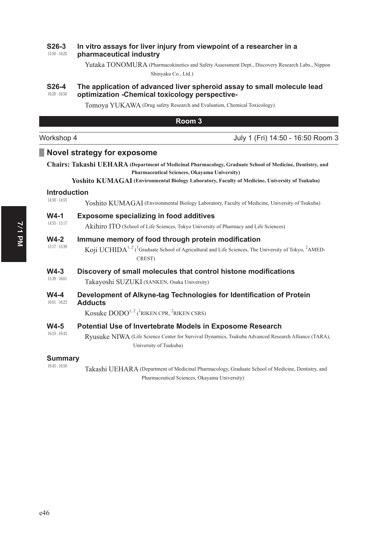#### 15:50 - 16:20 **626-3** In vitro assays for liver injury from viewpoint of a researcher in a pharmaceutical industry

Yutaka TONOMURA (Pharmacokinetics and Safety Assessment Dept., Discovery Research Labs., Nippon Shinyaku Co., Ltd.)

#### 16:20 - 16:50 **626-4** The application of advanced liver spheroid assay to small molecule lead optimization -Chemical toxicology perspective-

Tomoya YUKAWA (Drug safety Research and Evaluation, Chemical Toxicology)

| Room 3                    |                                                                                                                                                                                                                                                                           |
|---------------------------|---------------------------------------------------------------------------------------------------------------------------------------------------------------------------------------------------------------------------------------------------------------------------|
| Workshop 4                | July 1 (Fri) 14:50 - 16:50 Room 3                                                                                                                                                                                                                                         |
|                           | <b>Novel strategy for exposome</b>                                                                                                                                                                                                                                        |
|                           | <b>Chairs: Takashi UEHARA (Department of Medicinal Pharmacology, Graduate School of Medicine, Dentistry, and</b><br>Pharmaceutical Sciences, Okayama University)<br><b>Yoshito KUMAGAI</b> (Environmental Biology Laboratory, Faculty of Medicine, University of Tsukuba) |
| <b>Introduction</b>       |                                                                                                                                                                                                                                                                           |
| 14:50 - 14:55             | Yoshito KUMAGAI (Environmental Biology Laboratory, Faculty of Medicine, University of Tsukuba)                                                                                                                                                                            |
| $W4-1$<br>14:55 - 15:17   | <b>Exposome specializing in food additives</b><br>Akihiro ITO (School of Life Sciences, Tokyo University of Pharmacy and Life Sciences)                                                                                                                                   |
| $W4-2$<br>$15:17 - 15:39$ | Immune memory of food through protein modification<br>Koji UCHIDA <sup>1, 2</sup> ( <sup>1</sup> Graduate School of Agricultural and Life Sciences, The University of Tokyo, <sup>2</sup> AMED-<br>CREST)                                                                 |
| $W4-3$<br>15:39 - 16:01   | Discovery of small molecules that control histone modifications<br>Takayoshi SUZUKI (SANKEN, Osaka University)                                                                                                                                                            |
| $W4-4$<br>$16:01 - 16:23$ | Development of Alkyne-tag Technologies for Identification of Protein<br><b>Adducts</b>                                                                                                                                                                                    |
|                           | Kosuke $DODO^{1, 2}$ ( <sup>1</sup> RIKEN CPR, <sup>2</sup> RIKEN CSRS)                                                                                                                                                                                                   |
| $W4-5$<br>$16:23 - 16:45$ | <b>Potential Use of Invertebrate Models in Exposome Research</b><br>Ryusuke NIWA (Life Science Center for Survival Dynamics, Tsukuba Advanced Research Alliance (TARA),<br>University of Tsukuba)                                                                         |
| Summary                   |                                                                                                                                                                                                                                                                           |

### **Summary**

16:45 - 16:50

Takashi UEHARA ( Department of Medicinal Pharmacology, Graduate School of Medicine, Dentistry, and Pharmaceutical Sciences, Okayama University)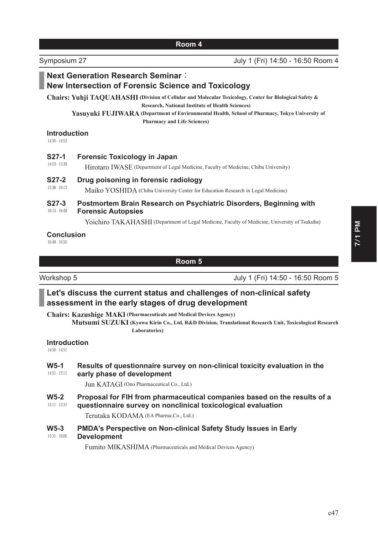Symposium 27 July 1 (Fri) 14:50 - 16:50 Room 4

# **Next Generation Research Seminar: New Intersection of Forensic Science and Toxicology**

**Chairs: Yuhji TAQUAHASHI ( Division of Cellular and Molecular Toxicology, Center for Biological Safety & Research, National Institute of Health Sciences)**

Yasuyuki FUJIWARA (Department of Environmental Health, School of Pharmacy, Tokyo University of **Pharmacy and Life Sciences)**

### **Introduction**

14:50 - 14:53

### **627-1 • Forensic Toxicology in Japan**

14:53 - 15:38 Hirotaro IWASE (Department of Legal Medicine, Faculty of Medicine, Chiba University)

### **627-2** Drug poisoning in forensic radiology

15:38 - 16:13 Maiko YOSHIDA (Chiba University Center for Education Research in Legal Medicine)

#### 16:13 - 16:48 **627-3** Postmortem Brain Research on Psychiatric Disorders, Beginning with **Forensic Autopsies**

Yoichiro TAKAHASHI (Department of Legal Medicine, Faculty of Medicine, University of Tsukuba)

### **Conclusion**

16:48 - 16:50

### **Room 5**

Workshop 5 July 1 (Fri) 14:50 - 16:50 Room 5

# Let's discuss the current status and challenges of non-clinical safety assessment in the early stages of drug development

**Chairs: Kazushige MAKI (Pharmaceuticals and Medical Devices Agency)**

**Mutsumi SUZUKI ( Kyowa Kirin Co., Ltd. R&D Division, Translational Research Unit, Toxicological Research Laboratories)**

### **Introduction**

14:50 - 14:51

#### 14:51 - 15:11 W5-1 Results of questionnaire survey on non-clinical toxicity evaluation in the early phase of development

Jun KATAGI (Ono Pharmaceutical Co., Ltd.)

15:11 - 15:31 W5-2 Proposal for FIH from pharmaceutical companies based on the results of a questionnaire survey on nonclinical toxicological evaluation

Terutaka KODAMA (EA Pharma.Co., Ltd.)

#### 15:31 - 16:06 W5-3 PMDA's Perspective on Non-clinical Safety Study Issues in Early **Development**

Fumito MIKASHIMA (Pharmaceuticals and Medical Devices Agency)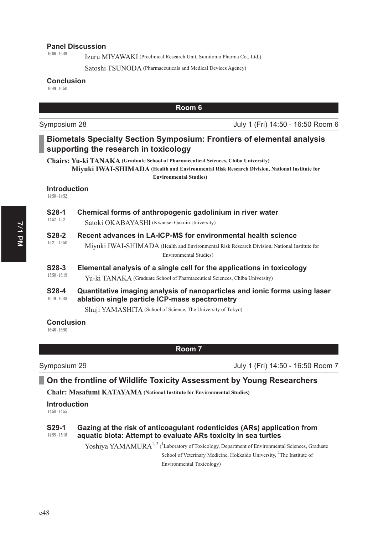### **Panel Discussion**

16:06 - 16:49

Izuru MIYAWAKI (Preclinical Research Unit, Sumitomo Pharma Co., Ltd.)

Satoshi TSUNODA (Pharmaceuticals and Medical Devices Agency)

### **Conclusion**

16:49 - 16:50

|                                      |                                                                                                                              | Room 6                                                                                                                                                                                  |
|--------------------------------------|------------------------------------------------------------------------------------------------------------------------------|-----------------------------------------------------------------------------------------------------------------------------------------------------------------------------------------|
| Symposium 28                         |                                                                                                                              | July 1 (Fri) 14:50 - 16:50 Room 6                                                                                                                                                       |
|                                      | supporting the research in toxicology                                                                                        | <b>Biometals Specialty Section Symposium: Frontiers of elemental analysis</b>                                                                                                           |
|                                      | <b>Chairs: Yu-ki TANAKA</b> (Graduate School of Pharmaceutical Sciences, Chiba University)<br><b>Environmental Studies</b> ) | Miyuki IWAI-SHIMADA (Health and Environmental Risk Research Division, National Institute for                                                                                            |
| <b>Introduction</b><br>14:50 - 14:52 |                                                                                                                              |                                                                                                                                                                                         |
| S <sub>28</sub> -1<br>14:52 - 15:21  | Chemical forms of anthropogenic gadolinium in river water<br>Satoki OKABAYASHI (Kwansei Gakuin University)                   |                                                                                                                                                                                         |
| <b>S28-2</b><br>$15:21 - 15:50$      |                                                                                                                              | Recent advances in LA-ICP-MS for environmental health science<br>Miyuki IWAI-SHIMADA (Health and Environmental Risk Research Division, National Institute for<br>Environmental Studies) |
| S28-3<br>$15:50 - 16:19$             | Yu-ki TANAKA (Graduate School of Pharmaceutical Sciences, Chiba University)                                                  | Elemental analysis of a single cell for the applications in toxicology                                                                                                                  |
| S28-4<br>$16:19 - 16:48$             | ablation single particle ICP-mass spectrometry                                                                               | Quantitative imaging analysis of nanoparticles and ionic forms using laser                                                                                                              |
|                                      | Shuji YAMASHITA (School of Science, The University of Tokyo)                                                                 |                                                                                                                                                                                         |
| <b>Conclusion</b>                    |                                                                                                                              |                                                                                                                                                                                         |

16:48 - 16:50

**Room 7**

Symposium 29 July 1 (Fri) 14:50 - 16:50 Room 7

# **2 On the frontline of Wildlife Toxicity Assessment by Young Researchers**

**Chair: Masafumi KATAYAMA (National Institute for Environmental Studies)**

**Introduction** 

14:50 - 14:55

#### 14:55 - 15:18 **629-1 • Gazing at the risk of anticoagulant rodenticides (ARs) application from** aquatic biota: Attempt to evaluate ARs toxicity in sea turtles

Yoshiya YAMAMURA<sup>1, 2</sup> (<sup>1</sup>Laboratory of Toxicology, Department of Environmental Sciences, Graduate School of Veterinary Medicine, Hokkaido University, <sup>2</sup>The Institute of

Environmental Toxicology)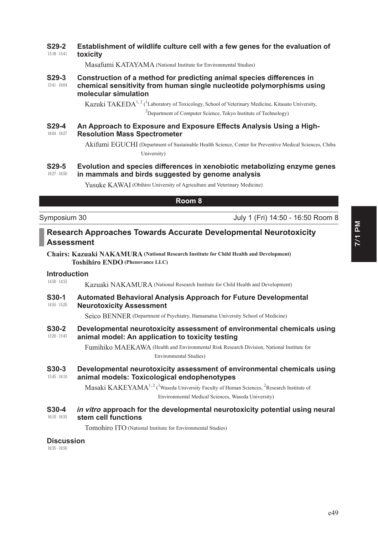#### 15:18 - 15:41 **629-2** Establishment of wildlife culture cell with a few genes for the evaluation of **toxicity**

Masafumi KATAYAMA (National Institute for Environmental Studies)

#### 15:41 - 16:04 **629-3** Construction of a method for predicting animal species differences in chemical sensitivity from human single nucleotide polymorphisms using molecular simulation

Kazuki TAKEDA<sup>1, 2</sup> (<sup>1</sup>Laboratory of Toxicology, School of Veterinary Medicine, Kitasato University, <sup>2</sup>Department of Computer Science, Tokyo Institute of Technology)

#### 16:04 - 16:27 **629-4 • An Approach to Exposure and Exposure Effects Analysis Using a High-Resolution Mass Spectrometer**

Akifumi EGUCHI (Department of Sustainable Health Science, Center for Preventive Medical Sciences, Chiba University)

#### 16:27 - 16:50 **629-5** Evolution and species differences in xenobiotic metabolizing enzyme genes in mammals and birds suggested by genome analysis

Yusuke KAWAI (Obihiro University of Agriculture and Veterinary Medicine)

### **Room 8**

Symposium 30 July 1 (Fri) 14:50 - 16:50 Room 8

# **Research Approaches Towards Accurate Developmental Neurotoxicity** Assessment

**Chairs: Kazuaki NAKAMURA (National Research Institute for Child Health and Development) Toshihiro ENDO (Phenovance LLC)**

#### 14:50 - 14:55 **Introduction**

Kazuaki NAKAMURA (National Research Institute for Child Health and Development)

#### 14:55 - 15:20 **630-1** Automated Behavioral Analysis Approach for Future Developmental **Neurotoxicity Assessment**

Seico BENNER (Department of Psychiatry, Hamamatsu University School of Medicine)

15:20 - 15:45 **630-2** Developmental neurotoxicity assessment of environmental chemicals using animal model: An application to toxicity testing

> Fumihiko MAEKAWA ( Health and Environmental Risk Research Division, National Institute for Environmental Studies)

#### 15:45 - 16:10 **630-3** Developmental neurotoxicity assessment of environmental chemicals using animal models: Toxicological endophenotypes

Masaki KAKEYAMA<sup>1, 2</sup> (<sup>1</sup>Waseda University Faculty of Human Sciences, <sup>2</sup>Research Institute of Environmental Medical Sciences, Waseda University)

#### 16:10 - 16:35 **S30-4** *in vitro* **approach for the developmental neurotoxicity potential using neural** stem cell functions

Tomohiro ITO (National Institute for Environmental Studies)

### Discussion

16:35 - 16:50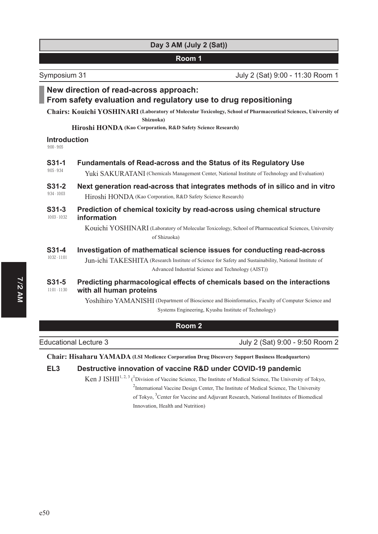# **Day 3 AM (July 2 (Sat))**

### **Room 1**

Symposium 31 July 2 (Sat) 9:00 - 11:30 Room 1

# **New direction of read-across approach:**

# From safety evaluation and regulatory use to drug repositioning

**Chairs: Kouichi YOSHINARI ( Laboratory of Molecular Toxicology, School of Pharmaceutical Sciences, University of Shizuoka)**

### **Hiroshi HONDA (Kao Corporation, R&D Safety Science Research)**

**Introduction** 

9:00 - 9:05

| $S31-1$                    | <b>Fundamentals of Read-across and the Status of its Regulatory Use</b>                                                                                                                                                                 |
|----------------------------|-----------------------------------------------------------------------------------------------------------------------------------------------------------------------------------------------------------------------------------------|
| $9:05 - 9:34$              | Yuki SAKURATANI (Chemicals Management Center, National Institute of Technology and Evaluation)                                                                                                                                          |
| $S31-2$                    | Next generation read-across that integrates methods of in silico and in vitro                                                                                                                                                           |
| $9:34 - 10:03$             | Hiroshi HONDA (Kao Corporation, R&D Safety Science Research)                                                                                                                                                                            |
| $S31-3$<br>$10:03 - 10:32$ | Prediction of chemical toxicity by read-across using chemical structure<br>information<br>Kouichi YOSHINARI (Laboratory of Molecular Toxicology, School of Pharmaceutical Sciences, University<br>of Shizuoka)                          |
| $S31-4$<br>$10:32 - 11:01$ | Investigation of mathematical science issues for conducting read-across<br>Jun-ichi TAKESHITA (Research Institute of Science for Safety and Sustainability, National Institute of<br>Advanced Industrial Science and Technology (AIST)) |
| S31-5                      | Predicting pharmacological effects of chemicals based on the interactions                                                                                                                                                               |
| $11:01 - 11:30$            | with all human proteins                                                                                                                                                                                                                 |
|                            | Yoshihiro YAMANISHI (Department of Bioscience and Bioinformatics, Faculty of Computer Science and<br>Systems Engineering, Kyushu Institute of Technology)                                                                               |

| Room 2 |  |
|--------|--|
|--------|--|

Educational Lecture 3 July 2 (Sat) 9:00 - 9:50 Room 2

**Chair: Hisaharu YAMADA (LSI Medience Corporation Drug Discovery Support Business Headquarters)**

# EL3 Destructive innovation of vaccine R&D under COVID-19 pandemic

Ken J ISHII<sup>1, 2, 3</sup> (<sup>1</sup> Division of Vaccine Science, The Institute of Medical Science, The University of Tokyo,

<sup>2</sup>International Vaccine Design Center, The Institute of Medical Science, The University of Tokyo, <sup>3</sup> Center for Vaccine and Adjuvant Research, National Institutes of Biomedical Innovation, Health and Nutrition)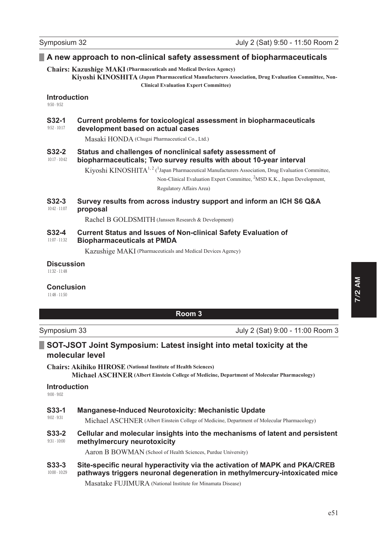# **A** new approach to non-clinical safety assessment of biopharmaceuticals

**Chairs: Kazushige MAKI (Pharmaceuticals and Medical Devices Agency)**

**Kiyoshi KINOSHITA ( Japan Pharmaceutical Manufacturers Association, Drug Evaluation Committee, Non-Clinical Evaluation Expert Committee)**

### **Introduction**

 $0.50 - 0.52$ 

#### 9:52 - 10:17 **632-1** Current problems for toxicological assessment in biopharmaceuticals **development based on actual cases**

Masaki HONDA (Chugai Pharmaceutical Co., Ltd.)

#### 10:17 - 10:42 **632-2** Status and challenges of nonclinical safety assessment of biopharmaceuticals; Two survey results with about 10-year interval

Kiyoshi KINOSHITA<sup>1, 2</sup> (<sup>1</sup> Japan Pharmaceutical Manufacturers Association, Drug Evaluation Committee,

Non-Clinical Evaluation Expert Committee, <sup>2</sup>MSD K.K., Japan Development,

Regulatory Affairs Area)

#### 10:42 - 11:07 **632-3** Survey results from across industry support and inform an ICH S6 Q&A **proposal**

Rachel B GOLDSMITH (Janssen Research & Development)

#### 11:07 - 11:32 **632-4 Current Status and Issues of Non-clinical Safety Evaluation of Biopharmaceuticals at PMDA**

Kazushige MAKI (Pharmaceuticals and Medical Devices Agency)

## Discussion

11:32 - 11:48

### **Conclusion**

11:48 - 11:50

**Room 3**

Symposium 33 July 2 (Sat) 9:00 - 11:00 Room 3

# **6207-JSOT Joint Symposium: Latest insight into metal toxicity at the molecular level**

**Chairs: Akihiko HIROSE (National Institute of Health Sciences) Michael ASCHNER (Albert Einstein College of Medicine, Department of Molecular Pharmacology)**

### **Introduction**

9:00 - 9:02

9:02 - 9:31

### **633-1** Manganese-Induced Neurotoxicity: Mechanistic Update

Michael ASCHNER (Albert Einstein College of Medicine, Department of Molecular Pharmacology)

#### 9:31 - 10:00 **633-2** Cellular and molecular insights into the mechanisms of latent and persistent **methylmercury neurotoxicity**

Aaron B BOWMAN (School of Health Sciences, Purdue University)

#### 10:00 - 10:29 **633-3** Site-specific neural hyperactivity via the activation of MAPK and PKA/CREB pathways triggers neuronal degeneration in methylmercury-intoxicated mice

Masatake FUJIMURA (National Institute for Minamata Disease)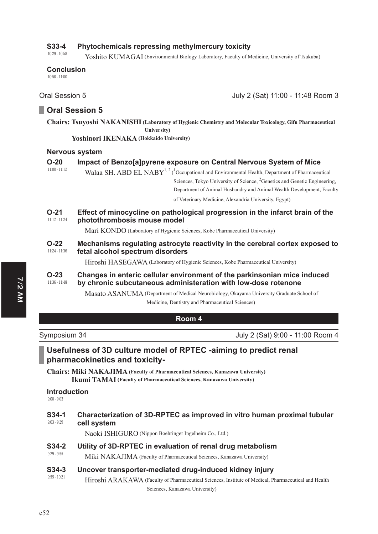#### 10:29 - 10:58 **633-4** Phytochemicals repressing methylmercury toxicity

Yoshito KUMAGAI (Environmental Biology Laboratory, Faculty of Medicine, University of Tsukuba)

### **Conclusion**

10:58 - 11:00

Oral Session 5 July 2 (Sat) 11:00 - 11:48 Room 3

### **D** Oral Session 5

**Chairs: Tsuyoshi NAKANISHI ( Laboratory of Hygienic Chemistry and Molecular Toxicology, Gifu Pharmaceutical University)**

**Yoshinori IKENAKA (Hokkaido University)**

### **Nervous system**

| $O-20$                    | Impact of Benzo[a]pyrene exposure on Central Nervous System of Mice                                                                        |  |
|---------------------------|--------------------------------------------------------------------------------------------------------------------------------------------|--|
| $11:00 - 11:12$           | Walaa SH, ABD EL NABY <sup>1, 2</sup> ( <sup>1</sup> Occupational and Environmental Health, Department of Pharmaceutical                   |  |
|                           | Sciences, Tokyo University of Science, <sup>2</sup> Genetics and Genetic Engineering,                                                      |  |
|                           | Department of Animal Husbandry and Animal Wealth Development, Faculty                                                                      |  |
|                           | of Veterinary Medicine, Alexandria University, Egypt)                                                                                      |  |
| $O-21$<br>$11:12 - 11:24$ | Effect of minocycline on pathological progression in the infarct brain of the<br>photothrombosis mouse model                               |  |
|                           | Mari KONDO (Laboratory of Hygienic Sciences, Kobe Pharmaceutical University)                                                               |  |
| $O-22$<br>$11:24 - 11:36$ | Mechanisms regulating astrocyte reactivity in the cerebral cortex exposed to<br>fetal alcohol spectrum disorders                           |  |
|                           | Hiroshi HASEGAWA (Laboratory of Hygienic Sciences, Kobe Pharmaceutical University)                                                         |  |
| $O-23$<br>$11:36 - 11:48$ | Changes in enteric cellular environment of the parkinsonian mice induced<br>by chronic subcutaneous administeration with low-dose rotenone |  |
|                           | Masato ASANUMA (Department of Medical Neurobiology, Okayama University Graduate School of                                                  |  |

Medicine, Dentistry and Pharmaceutical Sciences)

### **Room 4**

Symposium 34 July 2 (Sat) 9:00 - 11:00 Room 4

# Usefulness of 3D culture model of RPTEC -aiming to predict renal pharmacokinetics and toxicity-

**Chairs: Miki NAKAJIMA (Faculty of Pharmaceutical Sciences, Kanazawa University) Ikumi TAMAI (Faculty of Pharmaceutical Sciences, Kanazawa University)**

### **Introduction**

9:00 - 9:03

#### 9:03 - 9:29 **634-1** Characterization of 3D-RPTEC as improved in vitro human proximal tubular cell system

Naoki ISHIGURO (Nippon Boehringer Ingelheim Co., Ltd.)

### **634-2** Utility of 3D-RPTEC in evaluation of renal drug metabolism

9:29 - 9:55 Miki NAKAJIMA (Faculty of Pharmaceutical Sciences, Kanazawa University)

### **634-3** Uncover transporter-mediated drug-induced kidney injury

9:55 - 10:21 Hiroshi ARAKAWA (Faculty of Pharmaceutical Sciences, Institute of Medical, Pharmaceutical and Health Sciences, Kanazawa University)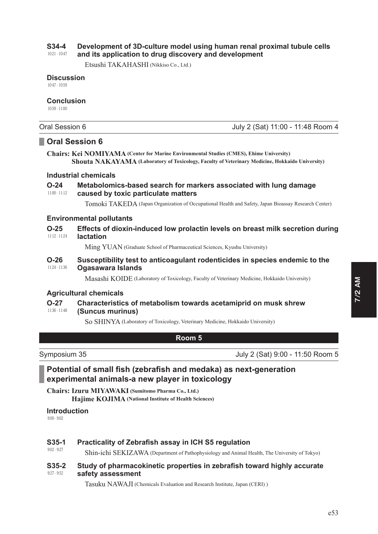#### 10:21 - 10:47 **634-4** Development of 3D-culture model using human renal proximal tubule cells and its application to drug discovery and development

Oral Session 6 July 2 (Sat) 11:00 - 11:48 Room 4

Etsushi TAKAHASHI (Nikkiso Co., Ltd.)

**Discussion** 

10:47 - 10:59

### **Conclusion**

10:59 - 11:00

|                           | <b>Oral Session 6</b>                                                                                                                                                                             |
|---------------------------|---------------------------------------------------------------------------------------------------------------------------------------------------------------------------------------------------|
|                           | <b>Chairs: Kei NOMIYAMA</b> (Center for Marine Environmental Studies (CMES), Ehime University)<br>Shouta NAKAYAMA (Laboratory of Toxicology, Faculty of Veterinary Medicine, Hokkaido University) |
|                           | <b>Industrial chemicals</b>                                                                                                                                                                       |
| $O-24$<br>$11:00 - 11:12$ | Metabolomics-based search for markers associated with lung damage<br>caused by toxic particulate matters                                                                                          |
|                           | Tomoki TAKEDA (Japan Organization of Occupational Health and Safety, Japan Bioassay Research Center)                                                                                              |
|                           | <b>Environmental pollutants</b>                                                                                                                                                                   |
| $O-25$<br>$11:12 - 11:24$ | Effects of dioxin-induced low prolactin levels on breast milk secretion during<br><b>lactation</b>                                                                                                |
|                           | Ming YUAN (Graduate School of Pharmaceutical Sciences, Kyushu University)                                                                                                                         |
| $O-26$<br>11:24 - 11:36   | Susceptibility test to anticoagulant rodenticides in species endemic to the<br>Ogasawara Islands                                                                                                  |
|                           | Masashi KOIDE (Laboratory of Toxicology, Faculty of Veterinary Medicine, Hokkaido University)                                                                                                     |
|                           | <b>Agricultural chemicals</b>                                                                                                                                                                     |
| $O-27$<br>11:36 - 11:48   | Characteristics of metabolism towards acetamiprid on musk shrew<br>(Suncus murinus)                                                                                                               |
|                           | So SHINYA (Laboratory of Toxicology, Veterinary Medicine, Hokkaido University)                                                                                                                    |
|                           | Room 5                                                                                                                                                                                            |
|                           |                                                                                                                                                                                                   |
| Symposium 35              | July 2 (Sat) 9:00 - 11:50 Room 5                                                                                                                                                                  |
|                           | Potential of small fish (zebrafish and medaka) as next-generation                                                                                                                                 |

# Potential of small fish (zebrafish and medaka) as next-generation experimental animals-a new player in toxicology

**Chairs: Izuru MIYAWAKI (Sumitomo Pharma Co., Ltd.) Hajime KOJIMA (National Institute of Health Sciences)**

# **Introduction**

9:00 - 9:02

# **635-1** Practicality of Zebrafish assay in ICH S5 regulation

9:02 - 9:27 Shin-ichi SEKIZAWA (Department of Pathophysiology and Animal Health, The University of Tokyo)

#### 9:27 - 9:52 **635-2** Study of pharmacokinetic properties in zebrafish toward highly accurate safety assessment

Tasuku NAWAJI (Chemicals Evaluation and Research Institute, Japan (CERI) )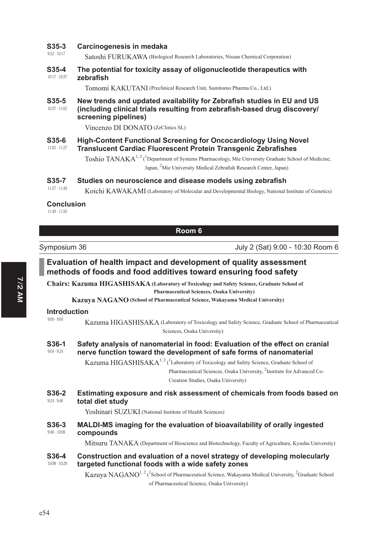### **635-3** Carcinogenesis in medaka

9:52 - 10:17 Satoshi FURUKAWA (Biological Research Laboratories, Nissan Chemical Corporation)

#### 10:17 - 10:37 **635-4** The potential for toxicity assay of oligonucleotide therapeutics with  $zebrafish$

Tomomi KAKUTANI (Preclinical Research Unit, Sumitomo Pharma Co., Ltd.)

#### 10:37 - 11:02 **635-5** New trends and updated availability for Zebrafish studies in EU and US (including clinical trials resulting from zebrafish-based drug discovery/ screening pipelines)

Vincenzo DI DONATO (ZeClinics SL)

#### 11:02 - 11:27 **635-6 • High-Content Functional Screening for Oncocardiology Using Novel Translucent Cardiac Fluorescent Protein Transgenic Zebrafishes**

Toshio TANAKA<sup>1, 2</sup> (<sup>1</sup>Department of Systems Pharmacology, Mie University Graduate School of Medicine, Japan, <sup>2</sup>Mie University Medical Zebrafish Research Center, Japan)

### **635-7** Studies on neuroscience and disease models using zebrafish

11:27 - 11:49 Koichi KAWAKAMI (Laboratory of Molecular and Developmental Biology, National Institute of Genetics)

### **Conclusion**

11:49 - 11:50

|                                      | Room 6                                                                                                                                                                                                  |
|--------------------------------------|---------------------------------------------------------------------------------------------------------------------------------------------------------------------------------------------------------|
| Symposium 36                         | July 2 (Sat) 9:00 - 10:30 Room 6                                                                                                                                                                        |
|                                      | Evaluation of health impact and development of quality assessment<br>methods of foods and food additives toward ensuring food safety                                                                    |
|                                      | <b>Chairs: Kazuma HIGASHISAKA</b> (Laboratory of Toxicology and Safety Science, Graduate School of                                                                                                      |
|                                      | Pharmaceutical Sciences, Osaka University)<br>Kazuya NAGANO (School of Pharmaceutical Science, Wakayama Medical University)                                                                             |
| <b>Introduction</b>                  |                                                                                                                                                                                                         |
| $9:00 - 9:04$                        | Kazuma HIGASHISAKA (Laboratory of Toxicology and Safety Science, Graduate School of Pharmaceutical<br>Sciences, Osaka University)                                                                       |
| S36-1<br>$9:04 - 9:24$               | Safety analysis of nanomaterial in food: Evaluation of the effect on cranial<br>nerve function toward the development of safe forms of nanomaterial                                                     |
|                                      | Kazuma HIGASHISAKA <sup>1, 2</sup> ( <sup>1</sup> Laboratory of Toxicology and Safety Science, Graduate School of<br>Pharmaceutical Sciences, Osaka University, <sup>2</sup> Institute for Advanced Co- |
|                                      | Creation Studies, Osaka University)                                                                                                                                                                     |
| S36-2<br>$9:24 - 9:46$               | Estimating exposure and risk assessment of chemicals from foods based on<br>total diet study                                                                                                            |
|                                      | Yoshinari SUZUKI (National Institute of Health Sciences)                                                                                                                                                |
| S <sub>36</sub> -3<br>$9:46 - 10:08$ | MALDI-MS imaging for the evaluation of bioavailability of orally ingested<br>compounds                                                                                                                  |
|                                      | Mitsuru TANAKA (Department of Bioscience and Biotechnology, Faculty of Agriculture, Kyushu University)                                                                                                  |
| S36-4<br>$10:08 - 10:28$             | Construction and evaluation of a novel strategy of developing molecularly<br>targeted functional foods with a wide safety zones                                                                         |
|                                      | Kazuya NAGANO <sup>1, 2</sup> ( <sup>1</sup> School of Pharmaceutical Science, Wakayama Medical University, <sup>2</sup> Graduate School<br>of Pharmaceutical Science, Osaka University)                |
|                                      |                                                                                                                                                                                                         |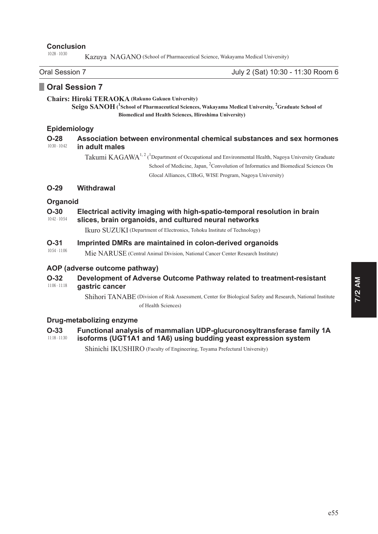### **Conclusion**

10:28 - 10:30

Kazuya NAGANO (School of Pharmaceutical Science, Wakayama Medical University)

Oral Session 7 July 2 (Sat) 10:30 - 11:30 Room 6

# **D** Oral Session 7

**Chairs: Hiroki TERAOKA (Rakuno Gakuen University)**

 $\mathbf{Seqg}$   $\mathbf{SANDH}$  (<sup>1</sup> School of Pharmaceutical Sciences, Wakayama Medical University, <sup>2</sup> Graduate School of **Biomedical and Health Sciences, Hiroshima University)**

### Epidemiology

#### 10:30 - 10:42 **228** Association between environmental chemical substances and sex hormones **Landberry Landberry CDGS**

Takumi KAGAWA<sup>1, 2</sup> (<sup>1</sup>Department of Occupational and Environmental Health, Nagoya University Graduate School of Medicine, Japan, <sup>2</sup> Convolution of Informatics and Biomedical Sciences On Glocal Alliances, CIBoG, WISE Program, Nagoya University)

### **29** Withdrawal

### **Organoid**

#### 10:42 - 10:54 **2-30** Electrical activity imaging with high-spatio-temporal resolution in brain slices, brain organoids, and cultured neural networks

Ikuro SUZUKI (Department of Electronics, Tohoku Institute of Technology)

#### 10:54 - 11:06 **2-31** Imprinted DMRs are maintained in colon-derived organoids

Mie NARUSE (Central Animal Division, National Cancer Center Research Institute)

### AOP (adverse outcome pathway)

#### 11:06 - 11:18 **232 Development of Adverse Outcome Pathway related to treatment-resistant** dastric cancer

Shihori TANABE (Division of Risk Assessment, Center for Biological Safety and Research, National Institute of Health Sciences)

### **Drug-metabolizing enzyme**

# **2-33** • Functional analysis of mammalian UDP-glucuronosyltransferase family 1A

#### 11:18 - 11:30 isoforms (UGT1A1 and 1A6) using budding yeast expression system

Shinichi IKUSHIRO (Faculty of Engineering, Toyama Prefectural University)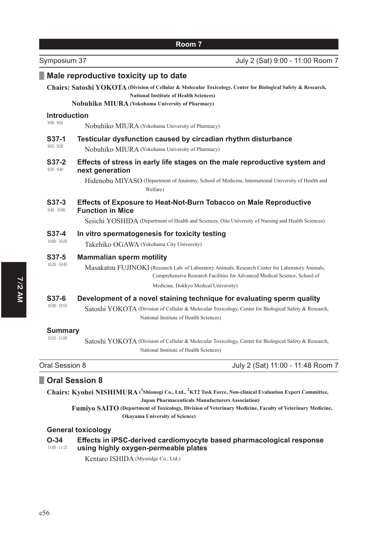| Symposium 37                      | July 2 (Sat) 9:00 - 11:00 Room 7                                                                                                                                                                                                                         |  |
|-----------------------------------|----------------------------------------------------------------------------------------------------------------------------------------------------------------------------------------------------------------------------------------------------------|--|
|                                   | Male reproductive toxicity up to date                                                                                                                                                                                                                    |  |
|                                   | Chairs: Satoshi YOKOTA (Division of Cellular & Molecular Toxicology, Center for Biological Safety & Research,<br><b>National Institute of Health Sciences)</b><br><b>Nobuhiko MIURA</b> (Yokohama University of Pharmacy)                                |  |
| <b>Introduction</b>               |                                                                                                                                                                                                                                                          |  |
| $9:00 - 9:05$                     | Nobuhiko MIURA (Yokohama University of Pharmacy)                                                                                                                                                                                                         |  |
| S37-1<br>$9:05 - 9:20$            | Testicular dysfunction caused by circadian rhythm disturbance<br>Nobuhiko MIURA (Yokohama University of Pharmacy)                                                                                                                                        |  |
| $S37-2$<br>$9:20 - 9:40$          | Effects of stress in early life stages on the male reproductive system and<br>next generation                                                                                                                                                            |  |
|                                   | Hidenobu MIYASO (Department of Anatomy, School of Medicine, International University of Health and<br>Welfare)                                                                                                                                           |  |
| $S37-3$<br>$9:40 - 10:00$         | <b>Effects of Exposure to Heat-Not-Burn Tobacco on Male Reproductive</b><br><b>Function in Mice</b><br>Seiichi YOSHIDA (Department of Health and Sciences, Oita University of Nursing and Health Sciences)                                               |  |
|                                   |                                                                                                                                                                                                                                                          |  |
| S37-4<br>$10:00 - 10:20$          | In vitro spermatogenesis for toxicity testing<br>Takehiko OGAWA (Yokohama City University)                                                                                                                                                               |  |
| S37-5<br>$10:20 - 10:40$          | <b>Mammalian sperm motility</b><br>Masakatsu FUJINOKI (Research Lab. of Laboratory Animals, Research Center for Laboratory Animals,<br>Comprehensive Research Facilities for Advanced Medical Science, School of<br>Medicine, Dokkyo Medical University) |  |
| S37-6<br>$10:40 - 10:55$          | Development of a novel staining technique for evaluating sperm quality<br>Satoshi YOKOTA (Division of Cellular & Molecular Toxicology, Center for Biological Safety & Research,<br>National Institute of Health Sciences)                                |  |
| <b>Summary</b><br>$10:55 - 11:00$ | Satoshi YOKOTA (Division of Cellular & Molecular Toxicology, Center for Biological Safety & Research,<br>National Institute of Health Sciences)                                                                                                          |  |
|                                   |                                                                                                                                                                                                                                                          |  |

# Oral Session 8 July 2 (Sat) 11:00 - 11:48 Room 7

# **Digital Session 8**

Chairs: Kyohei NISHIMURA (<sup>1</sup>Shionogi Co., Ltd., <sup>2</sup>KT2 Task Force, Non-clinical Evaluation Expert Committee, **Japan Pharmaceuticals Manufacturers Association)**

Fumiyo SAITO (Department of Toxicology, Division of Veterinary Medicine, Faculty of Veterinary Medicine, **Okayama University of Science)**

# **General toxicology**

| $O-34$          | Effects in iPSC-derived cardiomyocyte based pharmacological response |
|-----------------|----------------------------------------------------------------------|
| $11:00 - 11:12$ | using highly oxygen-permeable plates                                 |
|                 |                                                                      |

Kentaro ISHIDA (Myoridge Co., Ltd.)

e56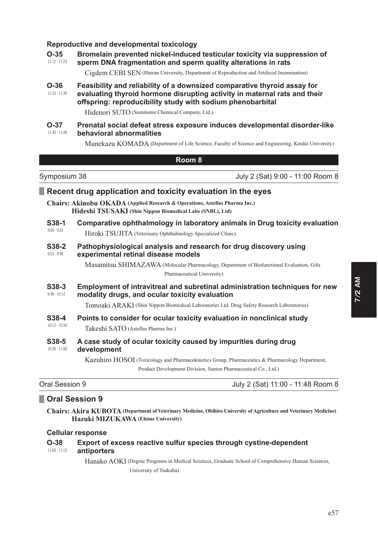### Reproductive and developmental toxicology

| $O-35$          | Bromelain prevented nickel-induced testicular toxicity via suppression of |
|-----------------|---------------------------------------------------------------------------|
| $11:12 - 11:24$ | sperm DNA fragmentation and sperm quality alterations in rats             |

Cigdem CEBI SEN (Harran University, Department of Reproduction and Artificial Insemination)

Feasibility and reliability of a downsized comparative thyroid assay for  $O-36$  $11:24 - 11:36$ evaluating thyroid hormone disrupting activity in maternal rats and their offspring: reproducibility study with sodium phenobarbital

Hidenori SUTO (Sumitomo Chemical Company, Ltd.)

#### $O-37$ Prenatal social defeat stress exposure induces developmental disorder-like  $11:36 - 11:48$ behavioral abnormalities

Munekazu KOMADA (Department of Life Science, Faculty of Science and Engineering, Kindai University)

### Room<sub>8</sub>

Symposium 38 July 2 (Sat) 9:00 - 11:00 Room 8

### Recent drug application and toxicity evaluation in the eyes

Chairs: Akinobu OKADA (Applied Research & Operations, Astellas Pharma Inc.) Hideshi TSUSAKI (Shin Nippon Biomedical Labs (SNBL), Ltd)

- S<sub>38-1</sub> Comparative ophthalmology in laboratory animals in Drug toxicity evaluation  $9:00 - 9:24$ Hiroki TSUJITA (Veterinary Ophthalmology Specialized Clinic)
- S<sub>38</sub>-2 Pathophysiological analysis and research for drug discovery using  $9:24 - 9:48$ experimental retinal disease models

Masamitsu SHIMAZAWA (Molecular Pharmacology, Department of Biofunctional Evaluation, Gifu Pharmaceutical University)

S38-3 Employment of intravitreal and subretinal administration techniques for new  $9:48 - 10:12$ modality drugs, and ocular toxicity evaluation

Tomoaki ARAKI (Shin Nippon Biomedical Laboratories Ltd. Drug Safety Research Laboratories)

#### S<sub>38</sub>-4 Points to consider for ocular toxicity evaluation in nonclinical study  $10:12 - 10:36$

Takeshi SATO (Astellas Pharma Inc.)

#### S38-5 A case study of ocular toxicity caused by impurities during drug  $10:36 - 11:00$ development

Kazuhiro HOSOI (Toxicology and Pharmacokinetics Group, Pharmaceutics & Pharmacology Department, Product Development Division, Santen Pharmaceutical Co., Ltd.)

| Oral Session 9 | July 2 (Sat) 11:00 - 11:48 Room 8 |
|----------------|-----------------------------------|
|----------------|-----------------------------------|

# Oral Session 9

Chairs: Akira KUBOTA (Department of Veterinary Medicine, Obihiro University of Agriculture and Veterinary Medicine) Hazuki MIZUKAWA (Ehime University)

### **Cellular response**

| $O-38$        | Export of excess reactive sulfur species through cystine-dependent |
|---------------|--------------------------------------------------------------------|
| 11:00 - 11:12 | antiporters                                                        |

Hanako AOKI (Degree Programs in Medical Sciences, Graduate School of Comprehensive Human Sciences, University of Tsukuba)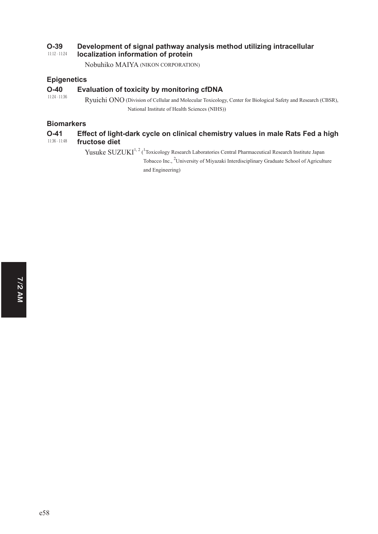#### 11:12 - 11:24 **2-39** Development of signal pathway analysis method utilizing intracellular **localization information of protein**

Nobuhiko MAIYA (NIKON CORPORATION)

## **Epigenetics**

### O-40 Evaluation of toxicity by monitoring cfDNA

11:24 - 11:36 Ryuichi ONO (Division of Cellular and Molecular Toxicology, Center for Biological Safety and Research (CBSR), National Institute of Health Sciences (NIHS))

### **Biomarkers**

#### 11:36 - 11:48 O-41 Effect of light-dark cycle on clinical chemistry values in male Rats Fed a high **fructose diet**

Yusuke SUZUKI<sup>1, 2</sup> (<sup>1</sup>Toxicology Research Laboratories Central Pharmaceutical Research Institute Japan Tobacco Inc., <sup>2</sup>University of Miyazaki Interdisciplinary Graduate School of Agriculture

and Engineering)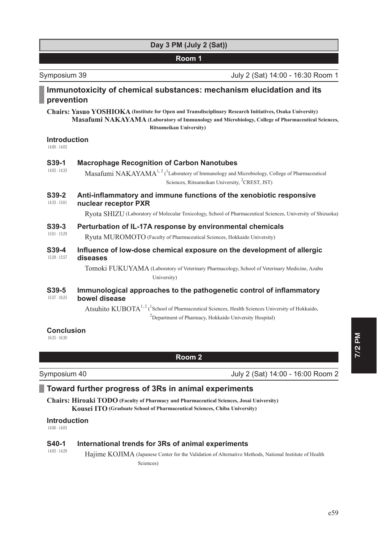# **Day 3 PM (July 2 (Sat))**

### **Room 1**

Symposium 39 July 2 (Sat) 14:00 - 16:30 Room 1

# Immunotoxicity of chemical substances: mechanism elucidation and its **prevention**

**Chairs: Yasuo YOSHIOKA (Institute for Open and Transdisciplinary Research Initiatives, Osaka University) Masafumi NAKAYAMA ( Laboratory of Immunology and Microbiology, College of Pharmaceutical Sciences, Ritsumeikan University)**

# **Introduction**

14:00 - 14:05

## **639-1 Macrophage Recognition of Carbon Nanotubes**

14:05 - 14:33 Masafumi  $NAKAYAMA^{1,2}$  (<sup>1</sup> Laboratory of Immunology and Microbiology, College of Pharmaceutical Sciences, Ritsumeikan University, <sup>2</sup>CREST, JST)

#### 14:33 - 15:01 **639-2** Anti-inflammatory and immune functions of the xenobiotic responsive **nuclear receptor PXR**

Ryota SHIZU (Laboratory of Molecular Toxicology, School of Pharmaceutical Sciences, University of Shizuoka)

### **639-3** Perturbation of IL-17A response by environmental chemicals

15:01 - 15:29 Ryuta MUROMOTO (Faculty of Pharmaceutical Sciences, Hokkaido University)

15:29 - 15:57 **639-4** Influence of low-dose chemical exposure on the development of allergic diseases

> Tomoki FUKUYAMA (Laboratory of Veterinary Pharmacology, School of Veterinary Medicine, Azabu University)

#### 15:57 - 16:25 **639-5** Immunological approaches to the pathogenetic control of inflammatory **bowel disease**

Atsuhito  $KUBOTA^{1, 2}$  (<sup>1</sup>School of Pharmaceutical Sciences, Health Sciences University of Hokkaido, <sup>2</sup>Department of Pharmacy, Hokkaido University Hospital)

### **Conclusion**

16:25 - 16:30

**Room 2**

Symposium 40 July 2 (Sat) 14:00 - 16:00 Room 2

# **7 Toward further progress of 3Rs in animal experiments**

**Chairs: Hiroaki TODO (Faculty of Pharmacy and Pharmaceutical Sciences, Josai University) Kousei ITO (Graduate School of Pharmaceutical Sciences, Chiba University)**

### **Introduction**

14:00 - 14:05

#### 14:05 - 14:29 **640-1** International trends for 3Rs of animal experiments

Hajime KOJIMA (Japanese Center for the Validation of Alternative Methods, National Institute of Health Sciences)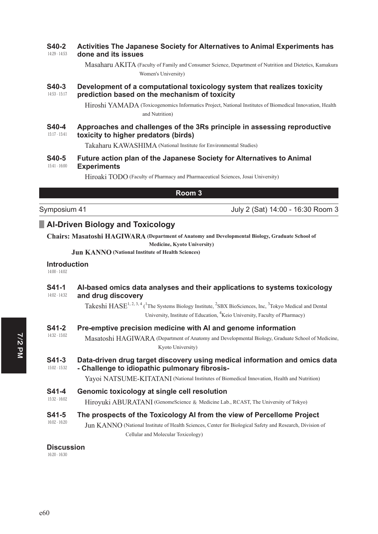#### 14:29 - 14:53 **640-2** Activities The Japanese Society for Alternatives to Animal Experiments has done and its issues

Masaharu AKITA ( Faculty of Family and Consumer Science, Department of Nutrition and Dietetics, Kamakura Women's University)

#### 14:53 - 15:17 **640-3** Development of a computational toxicology system that realizes toxicity **prediction based on the mechanism of toxicity**

Hiroshi YAMADA ( Toxicogenomics Informatics Project, National Institutes of Biomedical Innovation, Health and Nutrition)

#### 15:17 - 15:41 **640-4** Approaches and challenges of the 3Rs principle in assessing reproductive toxicity to higher predators (birds)

Takaharu KAWASHIMA (National Institute for Environmental Studies)

#### 15:41 - 16:00 **640-5** • Future action plan of the Japanese Society for Alternatives to Animal **Experiments**

Hiroaki TODO (Faculty of Pharmacy and Pharmaceutical Sciences, Josai University)

### **Room 3**

Symposium 41 July 2 (Sat) 14:00 - 16:30 Room 3

# **AI-Driven Biology and Toxicology**

**Chairs: Masatoshi HAGIWARA (Department of Anatomy and Developmental Biology, Graduate School of** 

**Medicine, Kyoto University)**

**Jun KANNO (National Institute of Health Sciences)**

### **Introduction**

14:00 - 14:02

#### 14:02 - 14:32 **641-1** Al-based omics data analyses and their applications to systems toxicology and drug discovery

Takeshi  $HASE^{1,2,3,4}$  (<sup>1</sup>The Systems Biology Institute, <sup>2</sup>SBX BioSciences, Inc, <sup>3</sup>Tokyo Medical and Dental University, Institute of Education, <sup>4</sup>Keio University, Faculty of Pharmacy)

### **641-2** Pre-emptive precision medicine with AI and genome information

14:32 - 15:02 Masatoshi HAGIWARA ( Department of Anatomy and Developmental Biology, Graduate School of Medicine, Kyoto University)

#### 15:02 - 15:32 **641-3** Data-driven drug target discovery using medical information and omics data - Challenge to idiopathic pulmonary fibrosis-

Yavoi NATSUME-KITATANI (National Institutes of Biomedical Innovation, Health and Nutrition)

15:32 - 16:02 **641-4** Genomic toxicology at single cell resolution

Hiroyuki ABURATANI (GenomeScience & Medicine Lab., RCAST, The University of Tokyo)

#### 16:02 - 16:20 S41-5 The prospects of the Toxicology AI from the view of Percellome Project

Jun KANNO (National Institute of Health Sciences, Center for Biological Safety and Research, Division of Cellular and Molecular Toxicology)

### **Discussion**

16:20 - 16:30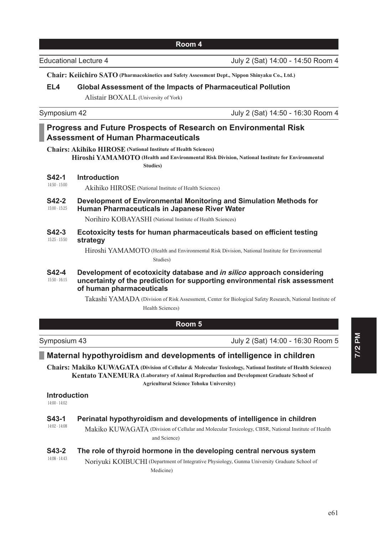**Chair: Keiichiro SATO (Pharmacokinetics and Safety Assessment Dept., Nippon Shinyaku Co., Ltd.)**

### **EL4** Global Assessment of the Impacts of Pharmaceutical Pollution

Alistair BOXALL (University of York)

Symposium 42 July 2 (Sat) 14:50 - 16:30 Room 4

# **Progress and Future Prospects of Research on Environmental Risk Assessment of Human Pharmaceuticals**

**Chairs: Akihiko HIROSE (National Institute of Health Sciences) Hiroshi YAMAMOTO** (Health and Environmental Risk Division, National Institute for Environmental **Studies)**

**S42-1** Introduction

14:50 - 15:00 Akihiko HIROSE (National Institute of Health Sciences)

#### 15:00 - 15:25 **642-2** Development of Environmental Monitoring and Simulation Methods for **Human Pharmaceuticals in Japanese River Water**

Norihiro KOBAYASHI (National Institute of Health Sciences)

15:25 - 15:50 **642-3** Ecotoxicity tests for human pharmaceuticals based on efficient testing strategy

> Hiroshi YAMAMOTO (Health and Environmental Risk Division, National Institute for Environmental Studies)

#### 15:50 - 16:15 **642-4** Development of ecotoxicity database and *in silico* approach considering uncertainty of the prediction for supporting environmental risk assessment **of human pharmaceuticals**

Takashi YAMADA ( Division of Risk Assessment, Center for Biological Safety Research, National Institute of Health Sciences)

# **Room 5**

Symposium 43 July 2 (Sat) 14:00 - 16:30 Room 5

# **DEM** Maternal hypothyroidism and developments of intelligence in children

**Chairs: Makiko KUWAGATA (Division of Cellular & Molecular Toxicology, National Institute of Health Sciences) Kentato TANEMURA** (Laboratory of Animal Reproduction and Development Graduate School of **Agricultural Science Tohoku University)**

### **Introduction**

14:00 - 14:02

| S43-1<br>$14:02 - 14:08$ | Perinatal hypothyroidism and developments of intelligence in children                              |
|--------------------------|----------------------------------------------------------------------------------------------------|
|                          | Makiko KUWAGATA (Division of Cellular and Molecular Toxicology, CBSR, National Institute of Health |
|                          | and Science)                                                                                       |
| S43-2<br>$14:08 - 14:43$ | The role of thyroid hormone in the developing central nervous system                               |
|                          | Noriyuki KOIBUCHI (Department of Integrative Physiology, Gunma University Graduate School of       |
|                          | Medicine)                                                                                          |

Educational Lecture 4 July 2 (Sat) 14:00 - 14:50 Room 4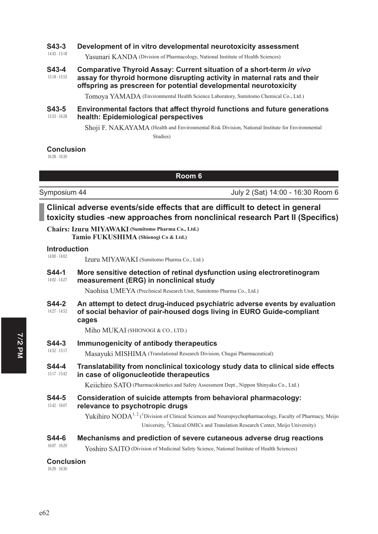### **643-3** Development of in vitro developmental neurotoxicity assessment

14:43 - 15:18 Yasunari KANDA (Division of Pharmacology, National Institute of Health Sciences)

#### 15:18 - 15:53 **643-4 Comparative Thyroid Assay: Current situation of a short-term in vivo** assay for thyroid hormone disrupting activity in maternal rats and their offspring as prescreen for potential developmental neurotoxicity

Tomoya YAMADA (Environmental Health Science Laboratory, Sumitomo Chemical Co., Ltd.)

#### 15:53 - 16:28 **643-5** Environmental factors that affect thyroid functions and future generations **health: Epidemiological perspectives**

Shoji F. NAKAYAMA ( Health and Environmental Risk Division, National Institute for Environmental Studies)

### **Conclusion**

16:28 - 16:30

**Room 6**

Symposium 44 **July 2 (Sat) 14:00 - 16:30 Room 6** 

# Clinical adverse events/side effects that are difficult to detect in general **toxicity studies -new approaches from nonclinical research Part II (Specifics)**

**Chairs: Izuru MIYAWAKI (Sumitomo Pharma Co., Ltd.) Tamio FUKUSHIMA (Shionogi Co & Ltd.)**

#### 14:00 - 14:02 **Introduction**

Izuru MIYAWAKI (Sumitomo Pharma Co., Ltd.)

#### 14:02 - 14:27 **644-1** More sensitive detection of retinal dysfunction using electroretinogram measurement (ERG) in nonclinical study

Naohisa UMEYA (Preclinical Research Unit, Sumitomo Pharma Co., Ltd.)

14:27 - 14:52 **644-2** An attempt to detect drug-induced psychiatric adverse events by evaluation of social behavior of pair-housed dogs living in EURO Guide-compliant cages

Miho MUKAI (SHIONOGI & CO., LTD.)

### **644-3** Immunogenicity of antibody therapeutics

14:52 - 15:17 Masayuki MISHIMA (Translational Research Division, Chugai Pharmaceutical)

#### 15:17 - 15:42 **644-4 • Translatability from nonclinical toxicology study data to clinical side effects** in case of oligonucleotide therapeutics

Keiichiro SATO (Pharmacokinetics and Safety Assessment Dept., Nippon Shinyaku Co., Ltd.)

#### 15:42 - 16:07 **644-5** Consideration of suicide attempts from behavioral pharmacology: relevance to psychotropic drugs

Yukihiro NODA<sup>1, 2</sup> (<sup>1</sup>Division of Clinical Sciences and Neuropsychopharmacology, Faculty of Pharmacy, Meijo University, <sup>2</sup>Clinical OMICs and Translation Research Center, Meijo University)

### **6 6 6 644-6 0 Mechanisms and prediction of severe cutaneous adverse drug reactions**

Yoshiro SAITO (Division of Medicinal Safety Science, National Institute of Health Sciences)

### **Conclusion**

16:29 - 16:30

16:07 - 16:29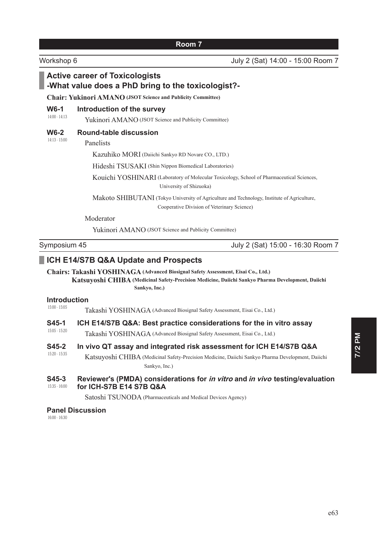# **Active career of Toxicologists -What value does a PhD bring to the toxicologist?-Chair: Yukinori AMANO (JSOT Science and Publicity Committee)** 14:00 - 14:13 **W6-1** Introduction of the survey Yukinori AMANO (JSOT Science and Publicity Committee) 14:13 - 15:00 **W6-2** Round-table discussion Panelists Kazuhiko MORI (Daiichi Sankyo RD Novare CO., LTD.) Hideshi TSUSAKI (Shin Nippon Biomedical Laboratories) Kouichi YOSHINARI ( Laboratory of Molecular Toxicology, School of Pharmaceutical Sciences, University of Shizuoka) Makoto SHIBUTANI ( Tokyo University of Agriculture and Technology, Institute of Agriculture, Cooperative Division of Veterinary Science) Moderator Yukinori AMANO (JSOT Science and Publicity Committee) Symposium 45 July 2 (Sat) 15:00 - 16:30 Room 7 **ICH E14/S7B Q&A Update and Prospects Chairs: Takashi YOSHINAGA (Advanced Biosignal Safety Assessment, Eisai Co., Ltd.) Katsuyoshi CHIBA ( Medicinal Safety-Precision Medicine, Daiichi Sankyo Pharma Development, Daiichi Sankyo, Inc.)** 15:00 - 15:05 **Introduction** Takashi YOSHINAGA (Advanced Biosignal Safety Assessment, Eisai Co., Ltd.) S45-1 **ICH E14/S7B Q&A: Best practice considerations for the in vitro assay**

15:05 - 15:20 Takashi YOSHINAGA (Advanced Biosignal Safety Assessment, Eisai Co., Ltd.)

15:20 - 15:35 **645-2** In vivo QT assay and integrated risk assessment for ICH E14/S7B Q&A

Katsuyoshi CHIBA ( Medicinal Safety-Precision Medicine, Daiichi Sankyo Pharma Development, Daiichi Sankyo, Inc.)

#### 15:35 - 16:00 **S45-3** Reviewer's (PMDA) considerations for *in vitro* and *in vivo* testing/evaluation **for ICH-S7B E14 S7B Q&A**

Satoshi TSUNODA (Pharmaceuticals and Medical Devices Agency)

### **Panel Discussion**

16:00 - 16:30

Workshop 6 July 2 (Sat) 14:00 - 15:00 Room 7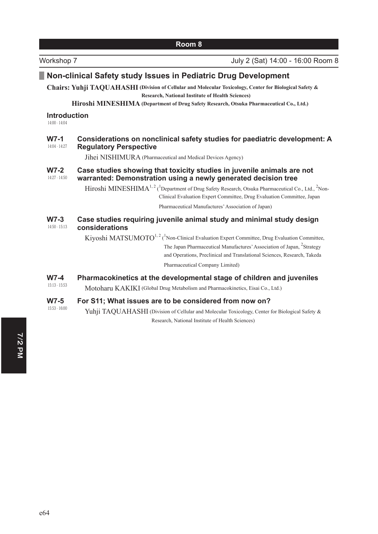| Room 8                                 |                                                                                                                                                                                                                                                                                         |  |
|----------------------------------------|-----------------------------------------------------------------------------------------------------------------------------------------------------------------------------------------------------------------------------------------------------------------------------------------|--|
| Workshop 7                             | July 2 (Sat) 14:00 - 16:00 Room 8                                                                                                                                                                                                                                                       |  |
|                                        | Non-clinical Safety study Issues in Pediatric Drug Development                                                                                                                                                                                                                          |  |
|                                        | Chairs: Yuhji TAQUAHASHI (Division of Cellular and Molecular Toxicology, Center for Biological Safety &<br><b>Research, National Institute of Health Sciences)</b>                                                                                                                      |  |
|                                        | Hiroshi MINESHIMA (Department of Drug Safety Research, Otsuka Pharmaceutical Co., Ltd.)                                                                                                                                                                                                 |  |
| <b>Introduction</b><br>$14:00 - 14:04$ |                                                                                                                                                                                                                                                                                         |  |
| $W7-1$<br>14:04 - 14:27                | Considerations on nonclinical safety studies for paediatric development: A<br><b>Regulatory Perspective</b>                                                                                                                                                                             |  |
|                                        | Jihei NISHIMURA (Pharmaceutical and Medical Devices Agency)                                                                                                                                                                                                                             |  |
| $W7-2$<br>14:27 - 14:50                | Case studies showing that toxicity studies in juvenile animals are not<br>warranted: Demonstration using a newly generated decision tree                                                                                                                                                |  |
|                                        | Hiroshi MINESHIMA <sup>1, 2</sup> ( <sup>1</sup> Department of Drug Safety Research, Otsuka Pharmaceutical Co., Ltd., <sup>2</sup> Non-<br>Clinical Evaluation Expert Committee, Drug Evaluation Committee, Japan                                                                       |  |
|                                        | Pharmaceutical Manufactures' Association of Japan)                                                                                                                                                                                                                                      |  |
| $W7-3$<br>$14:50 - 15:13$              | Case studies requiring juvenile animal study and minimal study design<br>considerations                                                                                                                                                                                                 |  |
|                                        | Kiyoshi MATSUMOTO <sup>1, 2</sup> ( <sup>1</sup> Non-Clinical Evaluation Expert Committee, Drug Evaluation Committee,<br>The Japan Pharmaceutical Manufactures' Association of Japan, <sup>2</sup> Strategy<br>and Operations, Preclinical and Translational Sciences, Research, Takeda |  |
|                                        | Pharmaceutical Company Limited)                                                                                                                                                                                                                                                         |  |
| $W7-4$<br>$15:13 - 15:53$              | Pharmacokinetics at the developmental stage of children and juveniles<br>Motoharu KAKIKI (Global Drug Metabolism and Pharmacokinetics, Eisai Co., Ltd.)                                                                                                                                 |  |
| $W7-5$<br>$15:53 - 16:00$              | For S11; What issues are to be considered from now on?<br>Yuhji TAQUAHASHI (Division of Cellular and Molecular Toxicology, Center for Biological Safety &                                                                                                                               |  |

Research, National Institute of Health Sciences)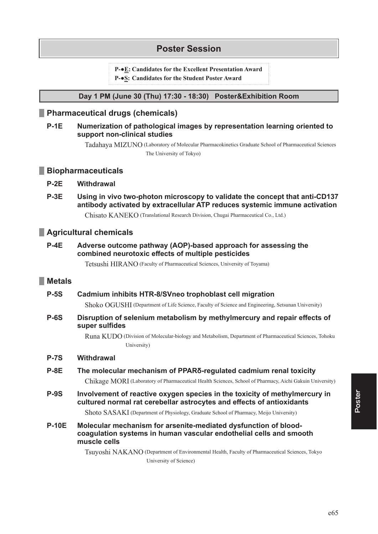# **Poster Session**

P- $\bullet$ E: Candidates for the Excellent Presentation Award

P- $\bullet$ S: Candidates for the Student Poster Award

### Day 1 PM (June 30 (Thu) 17:30 - 18:30) Poster&Exhibition Room

# Pharmaceutical drugs (chemicals)

#### $P-1E$ Numerization of pathological images by representation learning oriented to support non-clinical studies

Tadahaya MIZUNO (Laboratory of Molecular Pharmacokinetics Graduate School of Pharmaceutical Sciences The University of Tokyo)

## **Biopharmaceuticals**

#### $P-2E$ Withdrawal

 $P-3E$ Using in vivo two-photon microscopy to validate the concept that anti-CD137 antibody activated by extracellular ATP reduces systemic immune activation

Chisato KANEKO (Translational Research Division, Chugai Pharmaceutical Co., Ltd.)

# Agricultural chemicals

#### $P-4E$ Adverse outcome pathway (AOP)-based approach for assessing the combined neurotoxic effects of multiple pesticides

Tetsushi HIRANO (Faculty of Pharmaceutical Sciences, University of Toyama)

# **Metals**

#### **P-5S** Cadmium inhibits HTR-8/SVneo trophoblast cell migration

Shoko OGUSHI (Department of Life Science, Faculty of Science and Engineering, Setsunan University)

#### **P-6S** Disruption of selenium metabolism by methylmercury and repair effects of super sulfides

Runa KUDO (Division of Molecular-biology and Metabolism, Department of Pharmaceutical Sciences, Tohoku University)

#### Withdrawal **P-7S**

#### $P-8E$ The molecular mechanism of PPAR<sub>O</sub>-regulated cadmium renal toxicity

Chikage MORI (Laboratory of Pharmaceutical Health Sciences, School of Pharmacy, Aichi Gakuin University)

 $P-9S$ Involvement of reactive oxygen species in the toxicity of methylmercury in cultured normal rat cerebellar astrocytes and effects of antioxidants

Shoto SASAKI (Department of Physiology, Graduate School of Pharmacy, Meijo University)

**P-10E** Molecular mechanism for arsenite-mediated dysfunction of bloodcoaquiation systems in human vascular endothelial cells and smooth muscle cells

> Tsuyoshi NAKANO (Department of Environmental Health, Faculty of Pharmaceutical Sciences, Tokyo University of Science)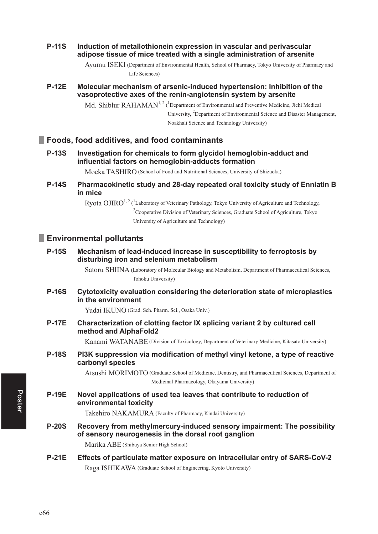### **P-11S** Induction of metallothionein expression in vascular and perivascular adipose tissue of mice treated with a single administration of arsenite

Ayumu ISEKI ( Department of Environmental Health, School of Pharmacy, Tokyo University of Pharmacy and Life Sciences)

### **P-12E** Molecular mechanism of arsenic-induced hypertension: Inhibition of the vasoprotective axes of the renin-angiotensin system by arsenite

Md. Shiblur  $\text{RAHAMAN}^{1,2}$  (<sup>1</sup>Department of Environmental and Preventive Medicine, Jichi Medical University, <sup>2</sup>Department of Environmental Science and Disaster Management, Noakhali Science and Technology University)

# **Foods, food additives, and food contaminants**

**P-13S** Investigation for chemicals to form glycidol hemoglobin-adduct and influential factors on hemoglobin-adducts formation

Moeka TASHIRO (School of Food and Nutritional Sciences, University of Shizuoka)

**P-14S** Pharmacokinetic study and 28-day repeated oral toxicity study of Enniatin B **in mice**

> $Ryota OJIRO^{1, 2}$  (<sup>1</sup>Laboratory of Veterinary Pathology, Tokyo University of Agriculture and Technology, <sup>2</sup>Cooperative Division of Veterinary Sciences, Graduate School of Agriculture, Tokyo University of Agriculture and Technology)

# **Environmental pollutants**

### **P-15S** Mechanism of lead-induced increase in susceptibility to ferroptosis by disturbing iron and selenium metabolism

Satoru SHIINA (Laboratory of Molecular Biology and Metabolism, Department of Pharmaceutical Sciences, Tohoku University)

**P-16S** Cytotoxicity evaluation considering the deterioration state of microplastics **in the environment**

Yudai IKUNO (Grad. Sch. Pharm. Sci., Osaka Univ.)

**2.17E** Characterization of clotting factor IX splicing variant 2 by cultured cell **method and AlphaFold2** 

Kanami WATANABE (Division of Toxicology, Department of Veterinary Medicine, Kitasato University)

**P-18S** PI3K suppression via modification of methyl vinyl ketone, a type of reactive carbonyl species

> Atsushi MORIMOTO ( Graduate School of Medicine, Dentistry, and Pharmaceutical Sciences, Department of Medicinal Pharmacology, Okayama University)

**P-19E** Novel applications of used tea leaves that contribute to reduction of **environmental toxicity**

Takehiro NAKAMURA (Faculty of Pharmacy, Kindai University)

**P-20S** Recovery from methylmercury-induced sensory impairment: The possibility of sensory neurogenesis in the dorsal root ganglion

Marika ABE (Shibuya Senior High School)

**21E** Effects of particulate matter exposure on intracellular entry of SARS-CoV-2 Raga ISHIKAWA (Graduate School of Engineering, Kyoto University)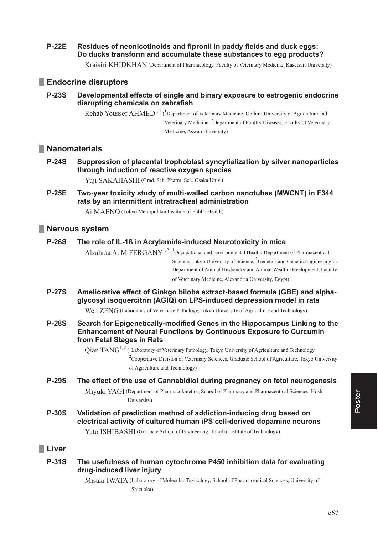**P-22E** Residues of neonicotinoids and fipronil in paddy fields and duck eggs: Do ducks transform and accumulate these substances to egg products?

Kraisiri KHIDKHAN (Department of Pharmacology, Faculty of Veterinary Medicine, Kasetsart University)

# Endocrine disruptors

Developmental effects of single and binary exposure to estrogenic endocrine **P-23S** disrupting chemicals on zebrafish

> Rehab Youssef AHMED<sup>1, 2</sup> (<sup>1</sup>Department of Veterinary Medicine, Obihiro University of Agriculture and Veterinary Medicine, <sup>2</sup>Department of Poultry Diseases, Faculty of Veterinary Medicine, Aswan University)

# Nanomaterials

**P-24S** Suppression of placental trophoblast syncytialization by silver nanoparticles through induction of reactive oxygen species

Yuii SAKAHASHI (Grad. Sch. Pharm. Sci., Osaka Univ.)

**P-25E** Two-year toxicity study of multi-walled carbon nanotubes (MWCNT) in F344 rats by an intermittent intratracheal administration

Ai MAENO (Tokyo Metropolitan Institute of Public Health)

### Nervous system

#### **P-26S** The role of IL-1ß in Acrylamide-induced Neurotoxicity in mice

Alzahraa A. M FERGANY<sup>1, 2</sup> (<sup>1</sup>Occupational and Environmental Health, Department of Pharmaceutical Science, Tokyo University of Science, <sup>2</sup>Genetics and Genetic Engineering in Department of Animal Husbandry and Animal Wealth Development, Faculty of Veterinary Medicine, Alexandria University, Egypt)

**P-27S** Ameliorative effect of Ginkgo biloba extract-based formula (GBE) and alphaglycosyl isoquercitrin (AGIQ) on LPS-induced depression model in rats

Wen ZENG (Laboratory of Veterinary Pathology, Tokyo University of Agriculture and Technology)

**P-28S** Search for Epigenetically-modified Genes in the Hippocampus Linking to the **Enhancement of Neural Functions by Continuous Exposure to Curcumin** from Fetal Stages in Rats

Oian TANG<sup>1, 2</sup> (<sup>1</sup>Laboratory of Veterinary Pathology, Tokyo University of Agriculture and Technology,

 $2^{\circ}$ Cooperative Division of Veterinary Sciences, Graduate School of Agriculture, Tokyo University of Agriculture and Technology)

**P-29S** The effect of the use of Cannabidiol during pregnancy on fetal neurogenesis

> Miyuki YAGI (Department of Pharmacokinetics, School of Pharmacy and Pharmaceutical Sciences, Hoshi University)

**P-30S** Validation of prediction method of addiction-inducing drug based on electrical activity of cultured human iPS cell-derived dopamine neurons

Yuto ISHIBASHI (Graduate School of Engineering, Tohoku Institute of Technology)

## **Liver**

**P-31S** The usefulness of human cytochrome P450 inhibition data for evaluating drug-induced liver injury

> Misaki IWATA (Laboratory of Molecular Toxicology, School of Pharmaceutical Sciences, University of Shizuoka)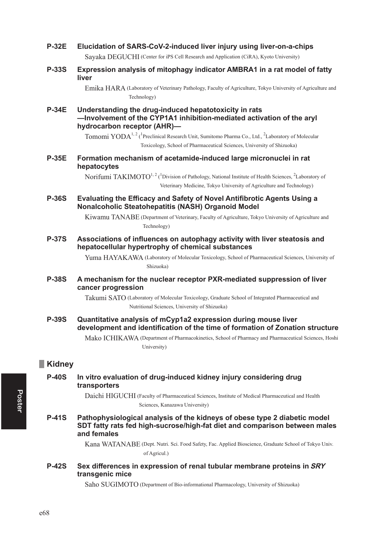| <b>P-32E</b>  | Elucidation of SARS-CoV-2-induced liver injury using liver-on-a-chips<br>Sayaka DEGUCHI (Center for iPS Cell Research and Application (CiRA), Kyoto University)                                                   |
|---------------|-------------------------------------------------------------------------------------------------------------------------------------------------------------------------------------------------------------------|
| <b>P-33S</b>  | Expression analysis of mitophagy indicator AMBRA1 in a rat model of fatty<br>liver                                                                                                                                |
|               | Emika HARA (Laboratory of Veterinary Pathology, Faculty of Agriculture, Tokyo University of Agriculture and<br>Technology)                                                                                        |
| <b>P-34E</b>  | Understanding the drug-induced hepatotoxicity in rats<br>-Involvement of the CYP1A1 inhibition-mediated activation of the aryl<br>hydrocarbon receptor (AHR)-                                                     |
|               | Tomomi YODA <sup>1, 2</sup> ( <sup>1</sup> Preclinical Research Unit, Sumitomo Pharma Co., Ltd., <sup>2</sup> Laboratory of Molecular<br>Toxicology, School of Pharmaceutical Sciences, University of Shizuoka)   |
| <b>P-35E</b>  | Formation mechanism of acetamide-induced large micronuclei in rat<br>hepatocytes                                                                                                                                  |
|               | Norifumi TAKIMOTO <sup>1, 2</sup> ( <sup>1</sup> Division of Pathology, National Institute of Health Sciences, <sup>2</sup> Laboratory of<br>Veterinary Medicine, Tokyo University of Agriculture and Technology) |
| <b>P-36S</b>  | Evaluating the Efficacy and Safety of Novel Antifibrotic Agents Using a<br>Nonalcoholic Steatohepatitis (NASH) Organoid Model                                                                                     |
|               | Kiwamu TANABE (Department of Veterinary, Faculty of Agriculture, Tokyo University of Agriculture and<br>Technology)                                                                                               |
| <b>P-37S</b>  | Associations of influences on autophagy activity with liver steatosis and<br>hepatocellular hypertrophy of chemical substances                                                                                    |
|               | Yuma HAYAKAWA (Laboratory of Molecular Toxicology, School of Pharmaceutical Sciences, University of<br>Shizuoka)                                                                                                  |
| <b>P-38S</b>  | A mechanism for the nuclear receptor PXR-mediated suppression of liver<br>cancer progression                                                                                                                      |
|               | Takumi SATO (Laboratory of Molecular Toxicology, Graduate School of Integrated Pharmaceutical and<br>Nutritional Sciences, University of Shizuoka)                                                                |
| <b>P-39S</b>  | Quantitative analysis of mCyp1a2 expression during mouse liver<br>development and identification of the time of formation of Zonation structure                                                                   |
|               | Mako ICHIKAWA (Department of Pharmacokinetics, School of Pharmacy and Pharmaceutical Sciences, Hoshi<br>University)                                                                                               |
| <b>Kidney</b> |                                                                                                                                                                                                                   |
| <b>P-40S</b>  | In vitro evaluation of drug-induced kidney injury considering drug<br>transporters                                                                                                                                |
|               | Daichi HIGUCHI (Faculty of Pharmaceutical Sciences, Institute of Medical Pharmaceutical and Health<br>Sciences, Kanazawa University)                                                                              |
| <b>P-41S</b>  | Pathophysiological analysis of the kidneys of obese type 2 diabetic model<br>SDT fatty rats fed high-sucrose/high-fat diet and comparison between males<br>and females                                            |
|               | Kana WATANABE (Dept. Nutri. Sci. Food Safety, Fac. Applied Bioscience, Graduate School of Tokyo Univ.<br>of Agricul.)                                                                                             |
| <b>P-42S</b>  | Sex differences in expression of renal tubular membrane proteins in SRY<br>transgenic mice                                                                                                                        |
|               | Saho SUGIMOTO (Department of Bio-informational Pharmacology, University of Shizuoka)                                                                                                                              |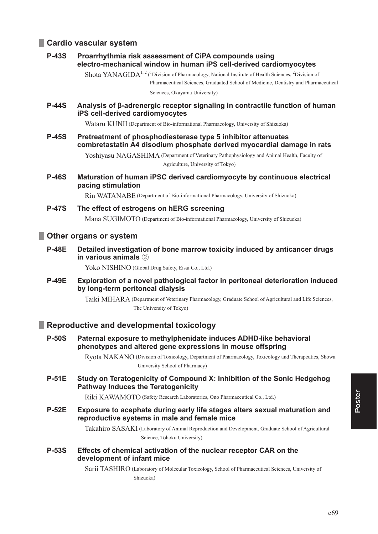# **Cardio vascular system**

**P-43S** Proarrhythmia risk assessment of CiPA compounds using electro-mechanical window in human iPS cell-derived cardiomyocytes

> Shota YANAGIDA<sup>1, 2</sup> (<sup>1</sup>Division of Pharmacology, National Institute of Health Sciences, <sup>2</sup>Division of Pharmaceutical Sciences, Graduated School of Medicine, Dentistry and Pharmaceutical

Sciences, Okayama University)

**P-44S** Analysis of β-adrenergic receptor signaling in contractile function of human **IPS cell-derived cardiomyocytes** 

Wataru KUNII (Department of Bio-informational Pharmacology, University of Shizuoka)

**P-45S** Pretreatment of phosphodiesterase type 5 inhibitor attenuates combretastatin A4 disodium phosphate derived myocardial damage in rats

> Yoshiyasu NAGASHIMA (Department of Veterinary Pathophysiology and Animal Health, Faculty of Agriculture, University of Tokyo)

**P-46S** Maturation of human iPSC derived cardiomyocyte by continuous electrical **pacing stimulation** 

Rin WATANABE (Department of Bio-informational Pharmacology, University of Shizuoka)

**P-47S** The effect of estrogens on hERG screening Mana SUGIMOTO (Department of Bio-informational Pharmacology, University of Shizuoka)

# **D** Other organs or system

**P-48E** Detailed investigation of bone marrow toxicity induced by anticancer drugs **in various animals** 2

Yoko NISHINO (Global Drug Safety, Eisai Co., Ltd.)

**P-49E** Exploration of a novel pathological factor in peritoneal deterioration induced **Exp. 1** Iona-term peritoneal dialysis

> Taiki MIHARA (Department of Veterinary Pharmacology, Graduate School of Agricultural and Life Sciences, The University of Tokyo)

# **Fig. 3** Reproductive and developmental toxicology

**P-50S** Paternal exposure to methylphenidate induces ADHD-like behavioral phenotypes and altered gene expressions in mouse offspring

> Ryota NAKANO (Division of Toxicology, Department of Pharmacology, Toxicology and Therapeutics, Showa University School of Pharmacy)

**P-51E** Study on Teratogenicity of Compound X: Inhibition of the Sonic Hedgehog **Pathway Induces the Teratogenicity** 

Riki KAWAMOTO (Safety Research Laboratories, Ono Pharmaceutical Co., Ltd.)

**P-52E** Exposure to acephate during early life stages alters sexual maturation and reproductive systems in male and female mice

> Takahiro SASAKI ( Laboratory of Animal Reproduction and Development, Graduate School of Agricultural Science, Tohoku University)

**P-53S** Effects of chemical activation of the nuclear receptor CAR on the development of infant mice

> Sarii TASHIRO (Laboratory of Molecular Toxicology, School of Pharmaceutical Sciences, University of Shizuoka)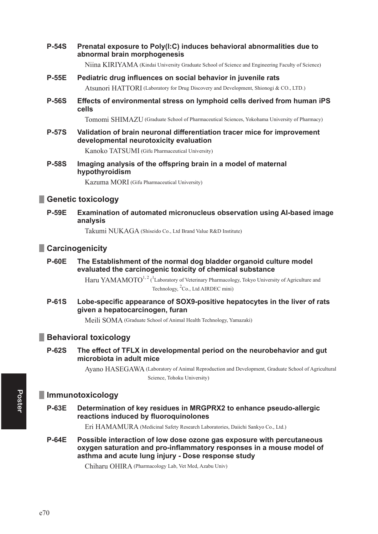**P-54S** Prenatal exposure to Poly(I:C) induces behavioral abnormalities due to abnormal brain morphogenesis

Niina KIRIYAMA (Kindai University Graduate School of Science and Engineering Faculty of Science)

- **P-55E** Pediatric drug influences on social behavior in juvenile rats Atsunori HATTORI (Laboratory for Drug Discovery and Development, Shionogi & CO., LTD.)
- **P-56S** Effects of environmental stress on lymphoid cells derived from human iPS cells

Tomomi SHIMAZU (Graduate School of Pharmaceutical Sciences, Yokohama University of Pharmacy)

**P-57S** Validation of brain neuronal differentiation tracer mice for improvement developmental neurotoxicity evaluation

Kanoko TATSUMI (Gifu Pharmaceutical University)

**P-58S** Imaging analysis of the offspring brain in a model of maternal hypothyroidism

Kazuma MORI (Gifu Pharmaceutical University)

# Genetic toxicology

**P-59F** Examination of automated micronucleus observation using Al-based image analysis

Takumi NUKAGA (Shiseido Co., Ltd Brand Value R&D Institute)

# **Carcinogenicity**

#### **P-60E** The Establishment of the normal dog bladder organoid culture model evaluated the carcinogenic toxicity of chemical substance

Haru YAMAMOTO<sup>1, 2</sup> (<sup>1</sup>Laboratory of Veterinary Pharmacology, Tokyo University of Agriculture and Technology, <sup>2</sup>Co., Ltd AIRDEC mini)

**P-61S** Lobe-specific appearance of SOX9-positive hepatocytes in the liver of rats given a hepatocarcinogen, furan

Meili SOMA (Graduate School of Animal Health Technology, Yamazaki)

### **Behavioral toxicology**

#### **P-62S** The effect of TFLX in developmental period on the neurobehavior and gut microbiota in adult mice

Ayano HASEGAWA (Laboratory of Animal Reproduction and Development, Graduate School of Agricultural Science, Tohoku University)

### **Immunotoxicology**

**P-63E** Determination of key residues in MRGPRX2 to enhance pseudo-allergic reactions induced by fluoroquinolones

Eri HAMAMURA (Medicinal Safety Research Laboratories, Daiichi Sankyo Co., Ltd.)

**P-64E** Possible interaction of low dose ozone gas exposure with percutaneous oxygen saturation and pro-inflammatory responses in a mouse model of asthma and acute lung injury - Dose response study

Chiharu OHIRA (Pharmacology Lab, Vet Med, Azabu Univ)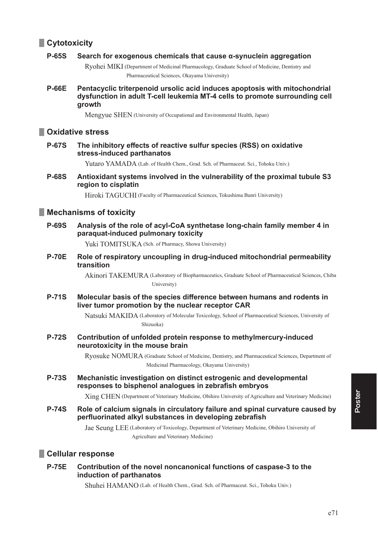# **Cytotoxicity**

#### Search for exogenous chemicals that cause a-synuclein aggregation **P-65S**

Rvohei MIKI (Department of Medicinal Pharmacology, Graduate School of Medicine, Dentistry and Pharmaceutical Sciences, Okayama University)

**P-66E** Pentacyclic triterpenoid ursolic acid induces apoptosis with mitochondrial dysfunction in adult T-cell leukemia MT-4 cells to promote surrounding cell growth

Mengyue SHEN (University of Occupational and Environmental Health, Japan)

# Oxidative stress

**P-67S** The inhibitory effects of reactive sulfur species (RSS) on oxidative stress-induced parthanatos

Yutaro YAMADA (Lab. of Health Chem., Grad. Sch. of Pharmaceut. Sci., Tohoku Univ.)

**P-68S** Antioxidant systems involved in the vulnerability of the proximal tubule S3 region to cisplatin

Hiroki TAGUCHI (Faculty of Pharmaceutical Sciences, Tokushima Bunri University)

# **Nechanisms of toxicity**

**P-69S** Analysis of the role of acyl-CoA synthetase long-chain family member 4 in paraquat-induced pulmonary toxicity

Yuki TOMITSUKA (Sch. of Pharmacy, Showa University)

**P-70F** Role of respiratory uncoupling in drug-induced mitochondrial permeability transition

> Akinori TAKEMURA (Laboratory of Biopharmaceutics, Graduate School of Pharmaceutical Sciences, Chiba University)

**P-71S** Molecular basis of the species difference between humans and rodents in liver tumor promotion by the nuclear receptor CAR

> Natsuki MAKIDA (Laboratory of Molecular Toxicology, School of Pharmaceutical Sciences, University of Shizuoka)

**P-72S** Contribution of unfolded protein response to methylmercury-induced neurotoxicity in the mouse brain

> Ryosuke NOMURA (Graduate School of Medicine, Dentistry, and Pharmaceutical Sciences, Department of Medicinal Pharmacology, Okayama University)

**P-73S** Mechanistic investigation on distinct estrogenic and developmental responses to bisphenol analogues in zebrafish embryos

Xing CHEN (Department of Veterinary Medicine, Obihiro University of Agriculture and Veterinary Medicine)

**P-74S** Role of calcium signals in circulatory failure and spinal curvature caused by perfluorinated alkyl substances in developing zebrafish

> Jae Seung LEE (Laboratory of Toxicology, Department of Veterinary Medicine, Obihiro University of Agriculture and Veterinary Medicine)

# Cellular response

#### **P-75E** Contribution of the novel noncanonical functions of caspase-3 to the induction of parthanatos

Shuhei HAMANO (Lab. of Health Chem., Grad. Sch. of Pharmaceut. Sci., Tohoku Univ.)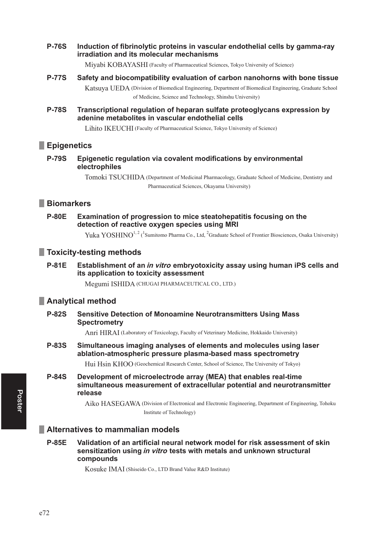**P-76S** Induction of fibrinolytic proteins in vascular endothelial cells by gamma-ray irradiation and its molecular mechanisms

Mivabi KOBAYASHI (Faculty of Pharmaceutical Sciences, Tokyo University of Science)

- **P-77S** Safety and biocompatibility evaluation of carbon nanohorns with bone tissue Katsuva UEDA (Division of Biomedical Engineering, Department of Biomedical Engineering, Graduate School of Medicine, Science and Technology, Shinshu University)
- **P-78S** Transcriptional regulation of heparan sulfate proteoglycans expression by adenine metabolites in vascular endothelial cells

Lihito IKEUCHI (Faculty of Pharmaceutical Science, Tokyo University of Science)

## **Epigenetics**

**P-79S** Epigenetic regulation via covalent modifications by environmental electrophiles

> Tomoki TSUCHIDA (Department of Medicinal Pharmacology, Graduate School of Medicine, Dentistry and Pharmaceutical Sciences, Okavama University)

# **Biomarkers**

**P-80E** Examination of progression to mice steatohepatitis focusing on the detection of reactive oxygen species using MRI

Yuka YOSHINO<sup>1, 2</sup> (<sup>1</sup>Sumitomo Pharma Co., Ltd, <sup>2</sup>Graduate School of Frontier Biosciences, Osaka University)

## Toxicity-testing methods

**P-81E** Establishment of an *in vitro* embrvotoxicity assay using human iPS cells and its application to toxicity assessment

Megumi ISHIDA (CHUGAI PHARMACEUTICAL CO., LTD.)

### **Analytical method**

**P-82S Sensitive Detection of Monoamine Neurotransmitters Using Mass Spectrometry** 

Anri HIRAI (Laboratory of Toxicology, Faculty of Veterinary Medicine, Hokkaido University)

**P-83S** Simultaneous imaging analyses of elements and molecules using laser ablation-atmospheric pressure plasma-based mass spectrometry

Hui Hsin KHOO (Geochemical Research Center, School of Science, The University of Tokyo)

**P-84S** Development of microelectrode array (MEA) that enables real-time simultaneous measurement of extracellular potential and neurotransmitter release

> Aiko HASEGAWA (Division of Electronical and Electronic Engineering, Department of Engineering, Tohoku Institute of Technology)

## Alternatives to mammalian models

**P-85F** Validation of an artificial neural network model for risk assessment of skin sensitization using in vitro tests with metals and unknown structural compounds

Kosuke IMAI (Shiseido Co., LTD Brand Value R&D Institute)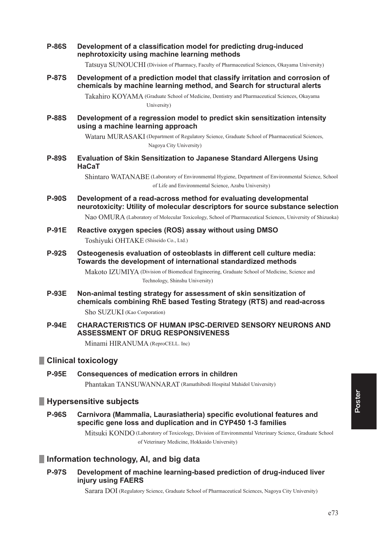**P-86S** Development of a classification model for predicting drug-induced nephrotoxicity using machine learning methods

Tatsuya SUNOUCHI (Division of Pharmacy, Faculty of Pharmaceutical Sciences, Okayama University)

**P-87S** Development of a prediction model that classify irritation and corrosion of chemicals by machine learning method, and Search for structural alerts

> Takahiro KOYAMA (Graduate School of Medicine, Dentistry and Pharmaceutical Sciences, Okayama Liniversity)

**P-88S** Development of a regression model to predict skin sensitization intensity using a machine learning approach

> Wataru MURASAKI (Department of Regulatory Science, Graduate School of Pharmaceutical Sciences, Nagoya City University)

**P-89S** Evaluation of Skin Sensitization to Japanese Standard Allergens Using **HaCaT** 

> Shintaro WATANABE (Laboratory of Environmental Hygiene, Department of Environmental Science, School of Life and Environmental Science, Azabu University)

**P-90S** Development of a read-across method for evaluating developmental neurotoxicity: Utility of molecular descriptors for source substance selection

Nao OMURA (Laboratory of Molecular Toxicology, School of Pharmaceutical Sciences, University of Shizuoka)

- **P-91E** Reactive oxygen species (ROS) assay without using DMSO Toshiyuki OHTAKE (Shiseido Co., Ltd.)
- **P-92S** Osteogenesis evaluation of osteoblasts in different cell culture media: Towards the development of international standardized methods

Makoto IZUMIYA (Division of Biomedical Engineering, Graduate School of Medicine, Science and Technology, Shinshu University)

**P-93E** Non-animal testing strategy for assessment of skin sensitization of chemicals combining RhE based Testing Strategy (RTS) and read-across

Sho SUZUKI (Kao Corporation)

**P-94E CHARACTERISTICS OF HUMAN IPSC-DERIVED SENSORY NEURONS AND ASSESSMENT OF DRUG RESPONSIVENESS** 

Minami HIRANUMA (ReproCELL. Inc)

### **Clinical toxicology**

**P-95F Consequences of medication errors in children** Phantakan TANSUWANNARAT (Ramathibodi Hospital Mahidol University)

### **Hypersensitive subjects**

**P-96S** Carnivora (Mammalia, Laurasiatheria) specific evolutional features and specific gene loss and duplication and in CYP450 1-3 families

> Mitsuki KONDO (Laboratory of Toxicology, Division of Environmental Veterinary Science, Graduate School of Veterinary Medicine, Hokkaido University)

### Information technology, AI, and big data

**P-97S** Development of machine learning-based prediction of drug-induced liver injury using FAERS

Sarara DOI (Regulatory Science, Graduate School of Pharmaceutical Sciences, Nagoya City University)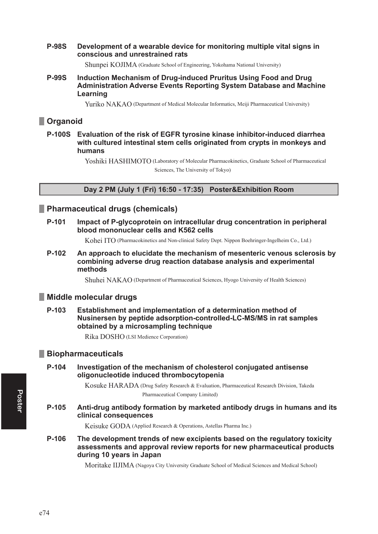#### **P-98S** Development of a wearable device for monitoring multiple vital signs in conscious and unrestrained rats

Shunpei KOJIMA (Graduate School of Engineering, Yokohama National University)

#### **P-99S** Induction Mechanism of Drug-induced Pruritus Using Food and Drug Administration Adverse Events Reporting System Database and Machine Learning

Yuriko NAKAO (Department of Medical Molecular Informatics, Meiji Pharmaceutical University)

# Organoid

P-100S Evaluation of the risk of EGFR tyrosine kinase inhibitor-induced diarrhea with cultured intestinal stem cells originated from crypts in monkeys and humans

> Yoshiki HASHIMOTO (Laboratory of Molecular Pharmacokinetics, Graduate School of Pharmaceutical Sciences, The University of Tokyo)

### Day 2 PM (July 1 (Fri) 16:50 - 17:35) Poster&Exhibition Room

## Pharmaceutical drugs (chemicals)

P-101 Impact of P-glycoprotein on intracellular drug concentration in peripheral blood mononuclear cells and K562 cells

Kohei ITO (Pharmacokinetics and Non-clinical Safety Dept. Nippon Boehringer-Ingelheim Co., Ltd.)

P-102 An approach to elucidate the mechanism of mesenteric venous sclerosis by combining adverse drug reaction database analysis and experimental methods

Shuhei NAKAO (Department of Pharmaceutical Sciences, Hyogo University of Health Sciences)

## Middle molecular drugs

Establishment and implementation of a determination method of P-103 Nusinersen by peptide adsorption-controlled-LC-MS/MS in rat samples obtained by a microsampling technique

Rika DOSHO (LSI Medience Corporation)

## **Biopharmaceuticals**

P-104 Investigation of the mechanism of cholesterol conjugated antisense oligonucleotide induced thrombocytopenia

> Kosuke HARADA (Drug Safety Research & Evaluation, Pharmaceutical Research Division, Takeda Pharmaceutical Company Limited)

P-105 Anti-drug antibody formation by marketed antibody drugs in humans and its clinical consequences

Keisuke GODA (Applied Research & Operations, Astellas Pharma Inc.)

P-106 The development trends of new excipients based on the regulatory toxicity assessments and approval review reports for new pharmaceutical products during 10 years in Japan

Moritake IIJIMA (Nagoya City University Graduate School of Medical Sciences and Medical School)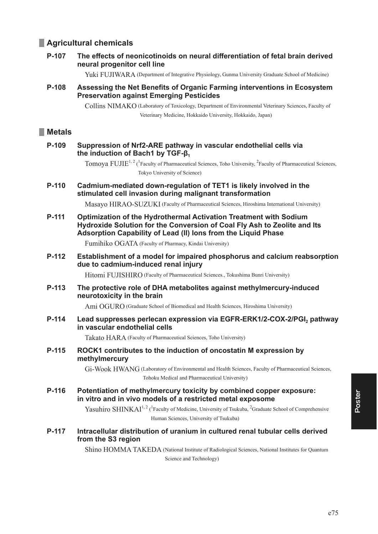# **Agricultural chemicals**

#### P-107 The effects of neonicotinoids on neural differentiation of fetal brain derived neural progenitor cell line

Yuki FUJIWARA (Department of Integrative Physiology, Gunma University Graduate School of Medicine)

Assessing the Net Benefits of Organic Farming interventions in Ecosystem P-108 **Preservation against Emerging Pesticides** 

> Collins NIMAKO (Laboratory of Toxicology, Department of Environmental Veterinary Sciences, Faculty of Veterinary Medicine, Hokkaido University, Hokkaido, Japan)

# **Metals**

P-109 Suppression of Nrf2-ARE pathway in vascular endothelial cells via the induction of Bach1 by TGF- $\beta_1$ 

> Tomoya FUJIE<sup>1, 2</sup> (<sup>1</sup>Faculty of Pharmaceutical Sciences, Toho University, <sup>2</sup>Faculty of Pharmaceutical Sciences, Tokyo University of Science)

 $P-110$ Cadmium-mediated down-regulation of TET1 is likely involved in the stimulated cell invasion during malignant transformation

Masavo HIRAO-SUZUKI (Faculty of Pharmaceutical Sciences, Hiroshima International University)

 $P-111$ Optimization of the Hydrothermal Activation Treatment with Sodium Hydroxide Solution for the Conversion of Coal Fly Ash to Zeolite and Its Adsorption Capability of Lead (II) lons from the Liquid Phase

Fumihiko OGATA (Faculty of Pharmacy, Kindai University)

P-112 Establishment of a model for impaired phosphorus and calcium reabsorption due to cadmium-induced renal injury

Hitomi FUJISHIRO (Faculty of Pharmaceutical Sciences., Tokushima Bunri University)

P-113 The protective role of DHA metabolites against methylmercury-induced neurotoxicity in the brain

Ami OGURO (Graduate School of Biomedical and Health Sciences, Hiroshima University)

 $P-114$ Lead suppresses perlecan expression via EGFR-ERK1/2-COX-2/PGI, pathway in vascular endothelial cells

Takato HARA (Faculty of Pharmaceutical Sciences, Toho University)

 $P-115$ ROCK1 contributes to the induction of oncostatin M expression by methylmercury

> Gi-Wook HWANG (Laboratory of Environmental and Health Sciences, Faculty of Pharmaceutical Sciences, Tohoku Medical and Pharmaceutical University)

P-116 Potentiation of methylmercury toxicity by combined copper exposure: in vitro and in vivo models of a restricted metal exposome

> Yasuhiro SHINKAI<sup>1,2</sup> (<sup>1</sup>Faculty of Medicine, University of Tsukuba, <sup>2</sup>Graduate School of Comprehensive Human Sciences, University of Tsukuba)

P-117 Intracellular distribution of uranium in cultured renal tubular cells derived from the S3 region

> Shino HOMMA TAKEDA (National Institute of Radiological Sciences, National Institutes for Ouantum Science and Technology)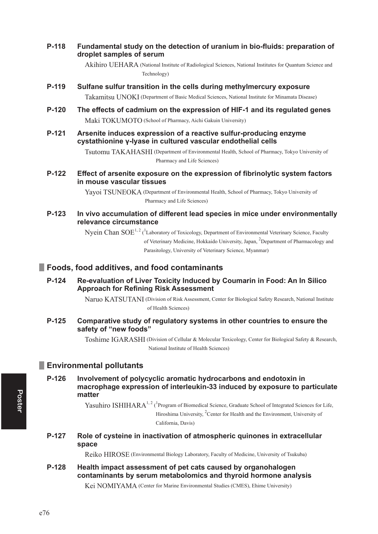#### P-118 Fundamental study on the detection of uranium in bio-fluids: preparation of droplet samples of serum

Akihiro UEHARA (National Institute of Radiological Sciences, National Institutes for Quantum Science and Technology)

P-119 Sulfane sulfur transition in the cells during methylmercury exposure

Takamitsu UNOKI (Department of Basic Medical Sciences, National Institute for Minamata Disease)

- $P-120$ The effects of cadmium on the expression of HIF-1 and its regulated genes Maki TOKUMOTO (School of Pharmacy, Aichi Gakuin University)
- P-121 Arsenite induces expression of a reactive sulfur-producing enzyme cystathionine y-lyase in cultured vascular endothelial cells

Tsutomu TAKAHASHI (Department of Environmental Health, School of Pharmacy, Tokyo University of Pharmacy and Life Sciences)

P-122 Effect of arsenite exposure on the expression of fibrinolytic system factors in mouse vascular tissues

> Yavoi TSUNEOKA (Department of Environmental Health, School of Pharmacy, Tokyo University of Pharmacy and Life Sciences)

P-123 In vivo accumulation of different lead species in mice under environmentally relevance circumstance

> Nyein Chan SOE<sup>1, 2</sup> (<sup>1</sup>Laboratory of Toxicology, Department of Environmental Veterinary Science, Faculty of Veterinary Medicine, Hokkaido University, Japan, <sup>2</sup>Department of Pharmacology and Parasitology, University of Veterinary Science, Myanmar)

# Foods, food additives, and food contaminants

P-124 Re-evaluation of Liver Toxicity Induced by Coumarin in Food: An In Silico **Approach for Refining Risk Assessment** 

> Naruo KATSUTANI (Division of Risk Assessment, Center for Biological Safety Research, National Institute of Health Sciences)

P-125 Comparative study of regulatory systems in other countries to ensure the safety of "new foods"

> Toshime IGARASHI (Division of Cellular & Molecular Toxicology, Center for Biological Safety & Research, National Institute of Health Sciences)

# **Environmental pollutants**

 $P-126$ Involvement of polycyclic aromatic hydrocarbons and endotoxin in macrophage expression of interleukin-33 induced by exposure to particulate matter

> Yasuhiro ISHIHARA<sup>1, 2</sup> (<sup>1</sup>Program of Biomedical Science, Graduate School of Integrated Sciences for Life, Hiroshima University, <sup>2</sup>Center for Health and the Environment, University of California, Davis)

P-127 Role of cysteine in inactivation of atmospheric quinones in extracellular space

Reiko HIROSE (Environmental Biology Laboratory, Faculty of Medicine, University of Tsukuba)

#### P-128 Health impact assessment of pet cats caused by organohalogen contaminants by serum metabolomics and thyroid hormone analysis

Kei NOMIYAMA (Center for Marine Environmental Studies (CMES), Ehime University)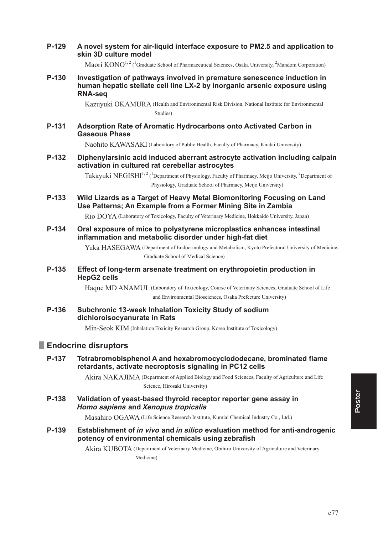**P-129** A novel system for air-liquid interface exposure to PM2.5 and application to **skin 3D culture model** 

Maori  $KONO^{1,2}$  (<sup>1</sup>Graduate School of Pharmaceutical Sciences, Osaka University, <sup>2</sup>Mandom Corporation)

**P-130** Investigation of pathways involved in premature senescence induction in human hepatic stellate cell line LX-2 by inorganic arsenic exposure using **RNA-sea** 

> Kazuyuki OKAMURA ( Health and Environmental Risk Division, National Institute for Environmental Studies)

### **3 \$GVRUSWLRQ5DWHRI\$URPDWLF+\GURFDUERQVRQWR\$FWLYDWHG&DUERQLQ Gaseous Phase**

Naohito KAWASAKI (Laboratory of Public Health, Faculty of Pharmacy, Kindai University)

**P-132** Diphenylarsinic acid induced aberrant astrocyte activation including calpain activation in cultured rat cerebellar astrocytes

> Takayuki NEGISHI<sup>1, 2</sup> (<sup>1</sup>Department of Physiology, Faculty of Pharmacy, Meijo University, <sup>2</sup>Department of Physiology, Graduate School of Pharmacy, Meijo University)

**P-133** Wild Lizards as a Target of Heavy Metal Biomonitoring Focusing on Land **Use Patterns: An Example from a Former Mining Site in Zambia** 

Rio DOYA (Laboratory of Toxicology, Faculty of Veterinary Medicine, Hokkaido University, Japan)

**P-134** Oral exposure of mice to polystyrene microplastics enhances intestinal **Inflammation and metabolic disorder under high-fat diet** 

> Yuka HASEGAWA (Department of Endocrinology and Metabolism, Kyoto Prefectural University of Medicine, Graduate School of Medical Science)

**P-135** Effect of long-term arsenate treatment on erythropoietin production in **HepG2** cells

> Haque MD ANAMUL (Laboratory of Toxicology, Course of Veterinary Sciences, Graduate School of Life and Environmental Biosciences, Osaka Prefecture University)

**P-136** Subchronic 13-week Inhalation Toxicity Study of sodium dichloroisocyanurate in Rats

Min-Seok KIM (Inhalation Toxicity Research Group, Korea Institute of Toxicology)

### **Endocrine disruptors**

**P-137** Tetrabromobisphenol A and hexabromocyclododecane, brominated flame retardants, activate necroptosis signaling in PC12 cells

> Akira NAKAJIMA ( Department of Applied Biology and Food Sciences, Faculty of Agriculture and Life Science, Hirosaki University)

**P-138** Validation of yeast-based thyroid receptor reporter gene assay in **Homo sapiens and Xenopus tropicalis** 

Masahiro OGAWA (Life Science Research Institute, Kumiai Chemical Industry Co., Ltd.)

**2**-139 Establishment of *in vivo* and *in silico* evaluation method for anti-androgenic potency of environmental chemicals using zebrafish

> Akira KUBOTA ( Department of Veterinary Medicine, Obihiro University of Agriculture and Veterinary Medicine)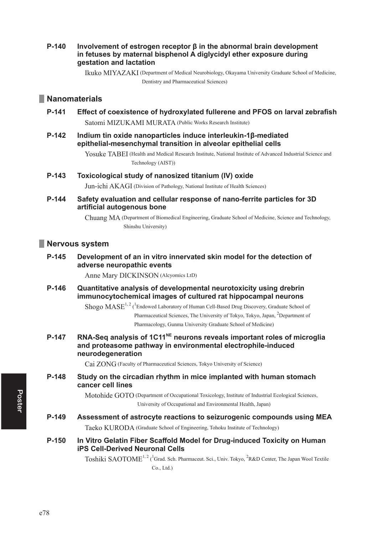#### $P-140$ Involvement of estrogen receptor  $\beta$  in the abnormal brain development in fetuses by maternal bisphenol A diglycidyl ether exposure during gestation and lactation

Ikuko MIYAZAKI (Department of Medical Neurobiology, Okayama University Graduate School of Medicine, Dentistry and Pharmaceutical Sciences)

## **Nanomaterials**

- P-141 Effect of coexistence of hydroxylated fullerene and PFOS on larval zebrafish Satomi MIZUKAMI MURATA (Public Works Research Institute)
- $P-142$ Indium tin oxide nanoparticles induce interleukin-1ß-mediated epithelial-mesenchymal transition in alveolar epithelial cells

Yosuke TABEI (Health and Medical Research Institute, National Institute of Advanced Industrial Science and Technology (AIST))

 $P-143$ Toxicological study of nanosized titanium (IV) oxide

Jun-ichi AKAGI (Division of Pathology, National Institute of Health Sciences)

P-144 Safety evaluation and cellular response of nano-ferrite particles for 3D artificial autogenous bone

> Chuang MA (Department of Biomedical Engineering, Graduate School of Medicine, Science and Technology, Shinshu University)

### Nervous system

P-145 Development of an in vitro innervated skin model for the detection of adverse neuropathic events

Anne Mary DICKINSON (Alcyomics LtD)

 $P-146$ Quantitative analysis of developmental neurotoxicity using drebrin immunocytochemical images of cultured rat hippocampal neurons

> Shogo MASE<sup>1, 2</sup> (<sup>1</sup>Endowed Laboratory of Human Cell-Based Drug Discovery, Graduate School of Pharmaceutical Sciences, The University of Tokyo, Tokyo, Japan, <sup>2</sup>Department of Pharmacology, Gunma University Graduate School of Medicine)

RNA-Seg analysis of 1C11<sup>NE</sup> neurons reveals important roles of microglia P-147 and proteasome pathway in environmental electrophile-induced neurodegeneration

Cai ZONG (Faculty of Pharmaceutical Sciences, Tokyo University of Science)

P-148 Study on the circadian rhythm in mice implanted with human stomach cancer cell lines

> Motohide GOTO (Department of Occupational Toxicology, Institute of Industrial Ecological Sciences, University of Occupational and Environmental Health, Japan)

- P-149 Assessment of astrocyte reactions to seizurogenic compounds using MEA Taeko KURODA (Graduate School of Engineering, Tohoku Institute of Technology)
- $P-150$ In Vitro Gelatin Fiber Scaffold Model for Drug-induced Toxicity on Human **iPS Cell-Derived Neuronal Cells**

Toshiki SAOTOME<sup>1,2</sup> (<sup>1</sup>Grad. Sch. Pharmaceut. Sci., Univ. Tokyo, <sup>2</sup>R&D Center, The Japan Wool Textile  $Co., Ltd.)$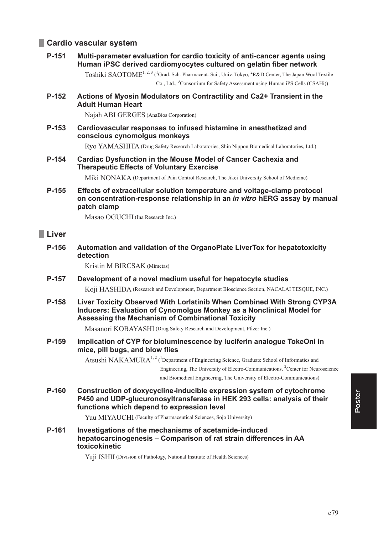# **Cardio vascular system**

#### P-151 Multi-parameter evaluation for cardio toxicity of anti-cancer agents using Human iPSC derived cardiomyocytes cultured on gelatin fiber network

Toshiki SAOTOME<sup>1, 2, 3</sup> (<sup>1</sup>Grad. Sch. Pharmaceut. Sci., Univ. Tokyo, <sup>2</sup>R&D Center, The Japan Wool Textile Co., Ltd., <sup>3</sup>Consortium for Safety Assessment using Human iPS Cells (CSAHi))

P-152 Actions of Myosin Modulators on Contractility and Ca2+ Transient in the **Adult Human Heart** 

Najah ABI GERGES (AnaBios Corporation)

P-153 Cardiovascular responses to infused histamine in anesthetized and conscious cynomolgus monkeys

Ryo YAMASHITA (Drug Safety Research Laboratories, Shin Nippon Biomedical Laboratories, Ltd.)

P-154 **Cardiac Dysfunction in the Mouse Model of Cancer Cachexia and Therapeutic Effects of Voluntary Exercise** 

Miki NONAKA (Department of Pain Control Research, The Jikei University School of Medicine)

P-155 Effects of extracellular solution temperature and voltage-clamp protocol on concentration-response relationship in an *in vitro* hERG assay by manual patch clamp

Masao OGUCHI (Ina Research Inc.)

## **Liver**

P-156 Automation and validation of the OrganoPlate LiverTox for hepatotoxicity detection

Kristin M BIRCSAK (Mimetas)

- Development of a novel medium useful for hepatocyte studies P-157 Koji HASHIDA (Research and Development, Department Bioscience Section, NACALAI TESQUE, INC.)
- $P-158$ Liver Toxicity Observed With Lorlatinib When Combined With Strong CYP3A Inducers: Evaluation of Cynomolgus Monkey as a Nonclinical Model for Assessing the Mechanism of Combinational Toxicity

Masanori KOBAYASHI (Drug Safety Research and Development, Pfizer Inc.)

Implication of CYP for bioluminescence by luciferin analogue TokeOni in P-159 mice, pill bugs, and blow flies

> Atsushi NAKAMURA<sup>1, 2</sup> (<sup>1</sup>Department of Engineering Science, Graduate School of Informatics and Engineering, The University of Electro-Communications, <sup>2</sup>Center for Neuroscience

and Biomedical Engineering, The University of Electro-Communications)

P-160 Construction of doxycycline-inducible expression system of cytochrome P450 and UDP-glucuronosyltransferase in HEK 293 cells: analysis of their functions which depend to expression level

Yuu MIYAUCHI (Faculty of Pharmaceutical Sciences, Sojo University)

P-161 Investigations of the mechanisms of acetamide-induced hepatocarcinogenesis - Comparison of rat strain differences in AA toxicokinetic

Yuji ISHII (Division of Pathology, National Institute of Health Sciences)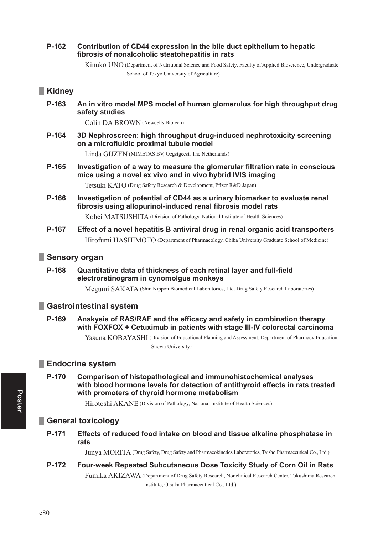#### P-162 Contribution of CD44 expression in the bile duct epithelium to hepatic fibrosis of nonalcoholic steatohepatitis in rats

Kinuko UNO (Department of Nutritional Science and Food Safety, Faculty of Applied Bioscience, Undergraduate School of Tokyo University of Agriculture)

# Kidney

P-163 An in vitro model MPS model of human glomerulus for high throughput drug safety studies

Colin DA BROWN (Newcells Biotech)

P-164 3D Nephroscreen: high throughput drug-induced nephrotoxicity screening on a microfluidic proximal tubule model

Linda GIJZEN (MIMETAS BV, Oegstgeest, The Netherlands)

P-165 Investigation of a way to measure the glomerular filtration rate in conscious mice using a novel ex vivo and in vivo hybrid IVIS imaging

Tetsuki KATO (Drug Safety Research & Development, Pfizer R&D Japan)

P-166 Investigation of potential of CD44 as a urinary biomarker to evaluate renal fibrosis using allopurinol-induced renal fibrosis model rats

Kohei MATSUSHITA (Division of Pathology, National Institute of Health Sciences)

P-167 Effect of a novel hepatitis B antiviral drug in renal organic acid transporters Hirofumi HASHIMOTO (Department of Pharmacology, Chiba University Graduate School of Medicine)

# Sensory organ

P-168 Quantitative data of thickness of each retinal layer and full-field electroretinogram in cynomolgus monkeys

Megumi SAKATA (Shin Nippon Biomedical Laboratories, Ltd. Drug Safety Research Laboratories)

# Gastrointestinal system

P-169 Anakysis of RAS/RAF and the efficacy and safety in combination therapy with FOXFOX + Cetuximub in patients with stage III-IV colorectal carcinoma

> Yasuna KOBAYASHI (Division of Educational Planning and Assessment, Department of Pharmacy Education, Showa University)

# **Endocrine system**

P-170 Comparison of histopathological and immunohistochemical analyses with blood hormone levels for detection of antithyroid effects in rats treated with promoters of thyroid hormone metabolism

Hirotoshi AKANE (Division of Pathology, National Institute of Health Sciences)

# General toxicology

P-171 Effects of reduced food intake on blood and tissue alkaline phosphatase in rats

Junya MORITA (Drug Safety, Drug Safety and Pharmacokinetics Laboratories, Taisho Pharmaceutical Co., Ltd.)

#### P-172 Four-week Repeated Subcutaneous Dose Toxicity Study of Corn Oil in Rats

Fumika AKIZAWA (Department of Drug Safety Research, Nonclinical Research Center, Tokushima Research Institute, Otsuka Pharmaceutical Co., Ltd.)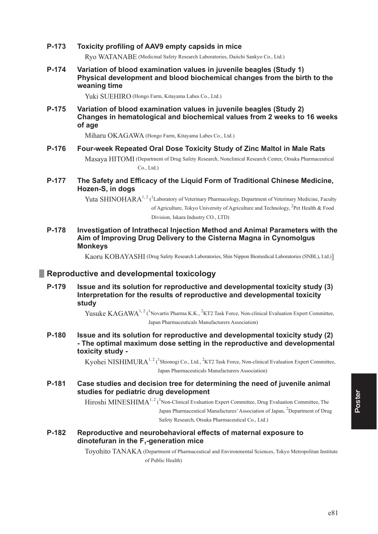- **P-173** Toxicity profiling of AAV9 empty capsids in mice Ryo WATANABE (Medicinal Safety Research Laboratories, Daiichi Sankyo Co., Ltd.)
- **P-174** Variation of blood examination values in juvenile beagles (Study 1) **Physical development and blood biochemical changes from the birth to the weaning time**

Yuki SUEHIRO (Hongo Farm, Kitayama Labes Co., Ltd.)

**P-175** Variation of blood examination values in juvenile beagles (Study 2) Changes in hematological and biochemical values from 2 weeks to 16 weeks **of age**

Miharu OKAGAWA (Hongo Farm, Kitayama Labes Co., Ltd.)

## **P-176** Four-week Repeated Oral Dose Toxicity Study of Zinc Maltol in Male Rats

Masaya HITOMI ( Department of Drug Safety Research, Nonclinical Research Center, Otsuka Pharmaceutical Co., Ltd.)

**P-177** The Safety and Efficacy of the Liquid Form of Traditional Chinese Medicine, **Hozen-S. in dogs** 

> Yuta SHINOHARA<sup>1, 2</sup> (<sup>1</sup>Laboratory of Veterinary Pharmacology, Department of Veterinary Medicine, Faculty of Agriculture, Tokyo University of Agriculture and Technology, <sup>2</sup>Pet Health & Food Division, Iskara Industry CO., LTD)

**P-178** Investigation of Intrathecal Injection Method and Animal Parameters with the Aim of Improving Drug Delivery to the Cisterna Magna in Cynomolgus **Monkeys** 

Kaoru KOBAYASHI (Drug Safety Research Laboratories, Shin Nippon Biomedical Laboratories (SNBL), Ltd.)]

# **Example 15 Reproductive and developmental toxicology**

**P-179** Issue and its solution for reproductive and developmental toxicity study (3) Interpretation for the results of reproductive and developmental toxicity study

> Yusuke KAGAWA<sup>1, 2</sup> (<sup>1</sup>Novartis Pharma K.K., <sup>2</sup>KT2 Task Force, Non-clinical Evaluation Expert Committee, Japan Pharmaceuticals Manufacturers Association)

**P-180** Issue and its solution for reproductive and developmental toxicity study (2) - The optimal maximum dose setting in the reproductive and developmental toxicity study -

> Kyohei NISHIMURA<sup>1, 2</sup> (<sup>1</sup>Shionogi Co., Ltd., <sup>2</sup>KT2 Task Force, Non-clinical Evaluation Expert Committee, Japan Pharmaceuticals Manufacturers Association)

**P-181** Case studies and decision tree for determining the need of juvenile animal studies for pediatric drug development

> $Hiroshi MINESHIMA<sup>1, 2</sup> (<sup>1</sup>Non-Clinical Evaluation Expert Committee, Drug Evaluation Committee, The$ Japan Pharmaceutical Manufactures' Association of Japan, <sup>2</sup>Department of Drug Safety Research, Otsuka Pharmaceutical Co., Ltd.)

**P-182** Reproductive and neurobehavioral effects of maternal exposure to **dinotefuran in the F<sub>1</sub>-generation mice** 

> Toyohito TANAKA ( Department of Pharmaceutical and Environmental Sciences, Tokyo Metropolitan Institute of Public Health)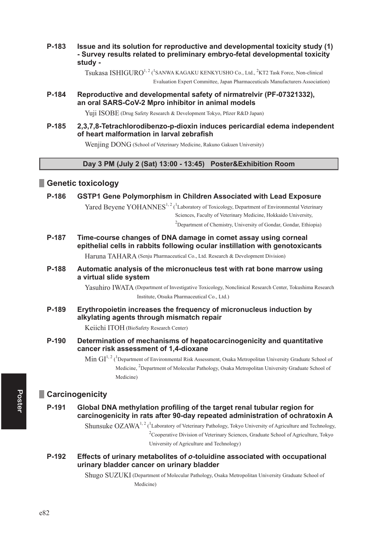P-183 Issue and its solution for reproductive and developmental toxicity study (1) - Survey results related to preliminary embryo-fetal developmental toxicity study -

Tsukasa ISHIGURO<sup>1, 2</sup> (<sup>1</sup>SANWA KAGAKU KENKYUSHO Co., Ltd., <sup>2</sup>KT2 Task Force, Non-clinical

Evaluation Expert Committee, Japan Pharmaceuticals Manufacturers Association)

#### P-184 Reproductive and developmental safety of nirmatrelyir (PF-07321332). an oral SARS-CoV-2 Mpro inhibitor in animal models

Yuji ISOBE (Drug Safety Research & Development Tokyo, Pfizer R&D Japan)

#### P-185 2.3.7.8-Tetrachlorodibenzo-p-dioxin induces pericardial edema independent of heart malformation in larval zebrafish

Wenjing DONG (School of Veterinary Medicine, Rakuno Gakuen University)

### Day 3 PM (July 2 (Sat) 13:00 - 13:45) Poster&Exhibition Room

# Genetic toxicology

#### P-186 GSTP1 Gene Polymorphism in Children Associated with Lead Exposure

Yared Bevene YOHANNES<sup>1, 2</sup> (<sup>1</sup>Laboratory of Toxicology, Department of Environmental Veterinary Sciences, Faculty of Veterinary Medicine, Hokkaido University,

<sup>2</sup>Department of Chemistry, University of Gondar, Gondar, Ethiopia)

P-187 Time-course changes of DNA damage in comet assay using corneal epithelial cells in rabbits following ocular instillation with genotoxicants

Haruna TAHARA (Senju Pharmaceutical Co., Ltd. Research & Development Division)

#### P-188 Automatic analysis of the micronucleus test with rat bone marrow using a virtual slide system

Yasuhiro IWATA (Department of Investigative Toxicology, Nonclinical Research Center, Tokushima Research Institute, Otsuka Pharmaceutical Co., Ltd.)

P-189 Erythropoietin increases the frequency of micronucleus induction by alkylating agents through mismatch repair

Keiichi ITOH (BioSafety Research Center)

P-190 Determination of mechanisms of hepatocarcinogenicity and quantitative cancer risk assessment of 1,4-dioxane

> Min  $GI^{1,2}$  (<sup>1</sup>Department of Environmental Risk Assessment, Osaka Metropolitan University Graduate School of Medicine, <sup>2</sup>Department of Molecular Pathology, Osaka Metropolitan University Graduate School of Medicine)

# **Carcinogenicity**

P-191 Global DNA methylation profiling of the target renal tubular region for carcinogenicity in rats after 90-day repeated administration of ochratoxin A

> Shunsuke OZAWA<sup>1, 2</sup> (<sup>1</sup>Laboratory of Veterinary Pathology, Tokyo University of Agriculture and Technology, <sup>2</sup>Cooperative Division of Veterinary Sciences, Graduate School of Agriculture, Tokyo University of Agriculture and Technology)

P-192 Effects of urinary metabolites of o-toluidine associated with occupational urinary bladder cancer on urinary bladder

> Shugo SUZUKI (Department of Molecular Pathology, Osaka Metropolitan University Graduate School of Medicine)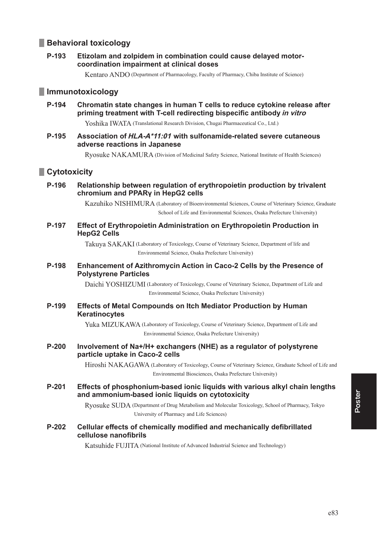# **Behavioral toxicology**

#### P-193 Etizolam and zolpidem in combination could cause delayed motorcoordination impairment at clinical doses

Kentaro ANDO (Department of Pharmacology, Faculty of Pharmacy, Chiba Institute of Science)

# **Immunotoxicology**

P-194 Chromatin state changes in human T cells to reduce cytokine release after priming treatment with T-cell redirecting bispecific antibody in vitro

Yoshika IWATA (Translational Research Division, Chugai Pharmaceutical Co., Ltd.)

#### P-195 Association of HLA-A\*11:01 with sulfonamide-related severe cutaneous adverse reactions in Japanese

Ryosuke NAKAMURA (Division of Medicinal Safety Science, National Institute of Health Sciences)

# Cytotoxicity

P-196 Relationship between regulation of erythropoietin production by trivalent chromium and PPARy in HepG2 cells

> Kazuhiko NISHIMURA (Laboratory of Bioenvironmental Sciences, Course of Veterinary Science, Graduate School of Life and Environmental Sciences, Osaka Prefecture University)

P-197 Effect of Erythropoietin Administration on Erythropoietin Production in **HepG2 Cells** 

> Takuya SAKAKI (Laboratory of Toxicology, Course of Veterinary Science, Department of life and Environmental Science, Osaka Prefecture University)

#### P-198 Enhancement of Azithromycin Action in Caco-2 Cells by the Presence of **Polystyrene Particles**

Daichi YOSHIZUMI (Laboratory of Toxicology, Course of Veterinary Science, Department of Life and Environmental Science, Osaka Prefecture University)

#### P-199 **Effects of Metal Compounds on Itch Mediator Production by Human** Keratinocytes

Yuka MIZUKAWA (Laboratory of Toxicology, Course of Veterinary Science, Department of Life and Environmental Science, Osaka Prefecture University)

 $P-200$ Involvement of Na+/H+ exchangers (NHE) as a regulator of polystyrene particle uptake in Caco-2 cells

> Hiroshi NAKAGAWA (Laboratory of Toxicology, Course of Veterinary Science, Graduate School of Life and Environmental Biosciences, Osaka Prefecture University)

P-201 Effects of phosphonium-based ionic liquids with various alkyl chain lengths and ammonium-based ionic liquids on cytotoxicity

> Ryosuke SUDA (Department of Drug Metabolism and Molecular Toxicology, School of Pharmacy, Tokyo University of Pharmacy and Life Sciences)

#### $P-202$ Cellular effects of chemically modified and mechanically defibrillated cellulose nanofibrils

Katsuhide FUJITA (National Institute of Advanced Industrial Science and Technology)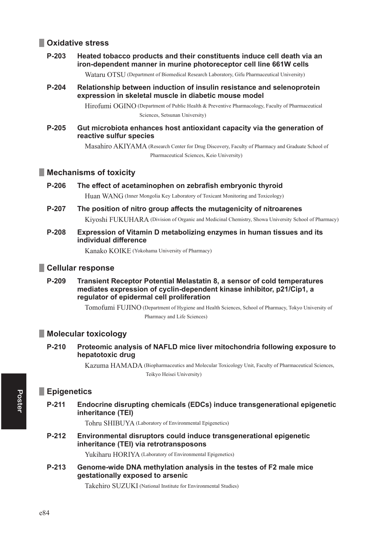# Oxidative stress

#### P-203 Heated tobacco products and their constituents induce cell death via an iron-dependent manner in murine photoreceptor cell line 661W cells

Wataru OTSU (Department of Biomedical Research Laboratory, Gifu Pharmaceutical University)

P-204 Relationship between induction of insulin resistance and selenoprotein expression in skeletal muscle in diabetic mouse model

> Hirofumi OGINO (Department of Public Health & Preventive Pharmacology, Faculty of Pharmaceutical Sciences, Setsunan University)

P-205 Gut microbiota enhances host antioxidant capacity via the generation of reactive sulfur species

> Masahiro AKIYAMA (Research Center for Drug Discovery, Faculty of Pharmacy and Graduate School of Pharmaceutical Sciences, Keio University)

### Mechanisms of toxicity

P-206 The effect of acetaminophen on zebrafish embryonic thyroid

Huan WANG (Inner Mongolia Key Laboratory of Toxicant Monitoring and Toxicology)

- P-207 The position of nitro group affects the mutagenicity of nitroarenes Kivoshi FUKUHARA (Division of Organic and Medicinal Chemistry, Showa University School of Pharmacy)
- P-208 Expression of Vitamin D metabolizing enzymes in human tissues and its individual difference

Kanako KOIKE (Yokohama University of Pharmacy)

### Cellular response

P-209 Transient Receptor Potential Melastatin 8, a sensor of cold temperatures mediates expression of cyclin-dependent kinase inhibitor, p21/Cip1, a requiator of epidermal cell proliferation

> Tomofumi FUJINO (Department of Hygiene and Health Sciences, School of Pharmacy, Tokyo University of Pharmacy and Life Sciences)

### **Molecular toxicology**

 $P-210$ Proteomic analysis of NAFLD mice liver mitochondria following exposure to hepatotoxic drug

> Kazuma HAMADA (Biopharmaceutics and Molecular Toxicology Unit, Faculty of Pharmaceutical Sciences, Teikyo Heisei University)

## **Epigenetics**

 $P-211$ Endocrine disrupting chemicals (EDCs) induce transgenerational epigenetic inheritance (TEI)

Tohru SHIBUYA (Laboratory of Environmental Epigenetics)

P-212 Environmental disruptors could induce transgenerational epigenetic inheritance (TEI) via retrotransposons

Yukiharu HORIYA (Laboratory of Environmental Epigenetics)

 $P-213$ Genome-wide DNA methylation analysis in the testes of F2 male mice gestationally exposed to arsenic

Takehiro SUZUKI (National Institute for Environmental Studies)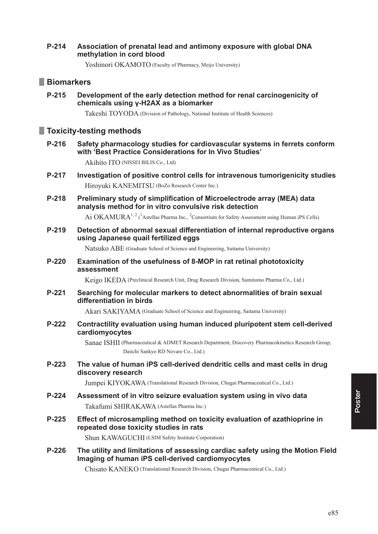#### $P-214$ Association of prenatal lead and antimony exposure with global DNA methylation in cord blood

Yoshinori OKAMOTO (Faculty of Pharmacy, Meijo University)

## **Biomarkers**

P-215 Development of the early detection method for renal carcinogenicity of chemicals using y-H2AX as a biomarker

Takeshi TOYODA (Division of Pathology, National Institute of Health Sciences)

# Toxicity-testing methods

P-216 Safety pharmacology studies for cardiovascular systems in ferrets conform with 'Best Practice Considerations for In Vivo Studies'

Akihito ITO (NISSEI BILIS Co., Ltd)

- P-217 Investigation of positive control cells for intravenous tumorigenicity studies Hiroyuki KANEMITSU (BoZo Research Center Inc.)
- P-218 Preliminary study of simplification of Microelectrode array (MEA) data analysis method for in vitro convulsive risk detection Ai OKAMURA<sup>1, 2</sup> (<sup>1</sup>Astellas Pharma Inc., <sup>2</sup>Consortium for Safety Assessment using Human iPS Cells)
- P-219 Detection of abnormal sexual differentiation of internal reproductive organs using Japanese quail fertilized eggs

Natsuko ABE (Graduate School of Science and Engineering, Saitama University)

 $P-220$ Examination of the usefulness of 8-MOP in rat retinal phototoxicity assessment

Keigo IKEDA (Preclinical Research Unit, Drug Research Division, Sumitomo Pharma Co., Ltd.)

 $P-221$ Searching for molecular markers to detect abnormalities of brain sexual differentiation in birds

Akari SAKIYAMA (Graduate School of Science and Engineering, Saitama University)

P-222 Contractility evaluation using human induced pluripotent stem cell-derived cardiomyocytes

> Sanae ISHII (Pharmaceutical & ADMET Research Department, Discovery Pharmacokinetics Research Group, Daiichi Sankvo RD Novare Co., Ltd.)

P-223 The value of human iPS cell-derived dendritic cells and mast cells in drug discovery research

Jumpei KIYOKAWA (Translational Research Division, Chugai Pharmaceutical Co., Ltd.)

- P-224 Assessment of in vitro seizure evaluation system using in vivo data Takafumi SHIRAKAWA (Astellas Pharma Inc.)
- $P-225$ Effect of microsampling method on toxicity evaluation of azathioprine in repeated dose toxicity studies in rats

Shun KAWAGUCHI (LSIM Safety Institute Corporation)

 $P-226$ The utility and limitations of assessing cardiac safety using the Motion Field Imaging of human iPS cell-derived cardiomyocytes

Chisato KANEKO (Translational Research Division, Chugai Pharmaceutical Co., Ltd.)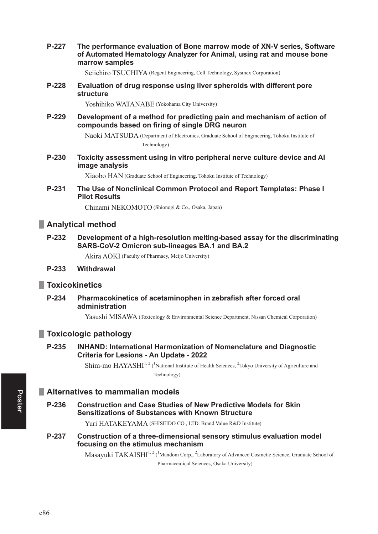P-227 The performance evaluation of Bone marrow mode of XN-V series, Software of Automated Hematology Analyzer for Animal, using rat and mouse bone marrow samples

Seiichiro TSUCHIYA (Regent Engineering, Cell Technology, Sysmex Corporation)

Evaluation of drug response using liver spheroids with different pore  $P-228$ structure

Yoshihiko WATANABE (Yokohama City University)

P-229 Development of a method for predicting pain and mechanism of action of compounds based on firing of single DRG neuron

> Naoki MATSUDA (Department of Electronics, Graduate School of Engineering, Tohoku Institute of Technology)

P-230 Toxicity assessment using in vitro peripheral nerve culture device and AI image analysis

Xiaobo HAN (Graduate School of Engineering, Tohoku Institute of Technology)

P-231 The Use of Nonclinical Common Protocol and Report Templates: Phase I **Pilot Results** 

Chinami NEKOMOTO (Shionogi & Co., Osaka, Japan)

### Analytical method

P-232 Development of a high-resolution melting-based assay for the discriminating SARS-CoV-2 Omicron sub-lineages BA.1 and BA.2

Akira AOKI (Faculty of Pharmacy, Meijo University)

#### P-233 Withdrawal

### **Toxicokinetics**

P-234 Pharmacokinetics of acetaminophen in zebrafish after forced oral administration

Yasushi MISAWA (Toxicology & Environmental Science Department, Nissan Chemical Corporation)

### Toxicologic pathology

P-235 **INHAND: International Harmonization of Nomenclature and Diagnostic** Criteria for Lesions - An Update - 2022

> $Shim$ -mo  $HAYASHI^{1,2}$  (<sup>1</sup>National Institute of Health Sciences, <sup>2</sup>Tokyo University of Agriculture and Technology)

## Alternatives to mammalian models

P-236 **Construction and Case Studies of New Predictive Models for Skin Sensitizations of Substances with Known Structure** 

Yuri HATAKEYAMA (SHISEIDO CO., LTD. Brand Value R&D Institute)

P-237 Construction of a three-dimensional sensory stimulus evaluation model focusing on the stimulus mechanism

> Masavuki TAKAISHI<sup>1, 2</sup> (<sup>1</sup>Mandom Corp., <sup>2</sup>Laboratory of Advanced Cosmetic Science, Graduate School of Pharmaceutical Sciences, Osaka University)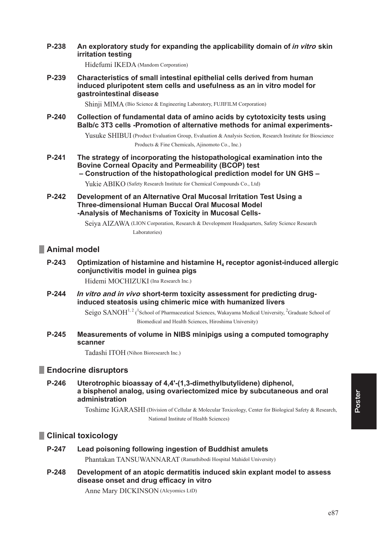#### P-238 An exploratory study for expanding the applicability domain of in vitro skin **irritation testing**

Hidefumi IKEDA (Mandom Corporation)

P-239 Characteristics of small intestinal epithelial cells derived from human induced pluripotent stem cells and usefulness as an in vitro model for gastrointestinal disease

Shinii MIMA (Bio Science & Engineering Laboratory, FUJIFILM Corporation)

 $P-240$ Collection of fundamental data of amino acids by cytotoxicity tests using Balb/c 3T3 cells -Promotion of alternative methods for animal experiments-

> Yusuke SHIBUI (Product Evaluation Group, Evaluation & Analysis Section, Research Institute for Bioscience Products & Fine Chemicals, Ajinomoto Co., Inc.)

 $P-241$ The strategy of incorporating the histopathological examination into the **Bovine Corneal Opacity and Permeability (BCOP) test** - Construction of the histopathological prediction model for UN GHS -

Yukie ABIKO (Safety Research Institute for Chemical Compounds Co., Ltd)

P-242 Development of an Alternative Oral Mucosal Irritation Test Using a **Three-dimensional Human Buccal Oral Mucosal Model** -Analysis of Mechanisms of Toxicity in Mucosal Cells-

> Seiya AIZAWA (LION Corporation, Research & Development Headquarters, Safety Science Research Laboratories)

## Animal model

 $P-243$ Optimization of histamine and histamine H<sub>4</sub> receptor agonist-induced allergic conjunctivitis model in guinea pigs

Hidemi MOCHIZUKI (Ina Research Inc.)

P-244 In vitro and in vivo short-term toxicity assessment for predicting druginduced steatosis using chimeric mice with humanized livers

> Seigo SANOH<sup>1, 2</sup> (<sup>1</sup>School of Pharmaceutical Sciences, Wakayama Medical University, <sup>2</sup>Graduate School of Biomedical and Health Sciences, Hiroshima University)

 $P-245$ Measurements of volume in NIBS minipigs using a computed tomography scanner

Tadashi ITOH (Nihon Bioresearch Inc.)

### Endocrine disruptors

P-246 Uterotrophic bioassay of 4,4'-(1,3-dimethylbutylidene) diphenol, a bisphenol analog, using ovariectomized mice by subcutaneous and oral administration

> Toshime IGARASHI (Division of Cellular & Molecular Toxicology, Center for Biological Safety & Research, National Institute of Health Sciences)

### Clinical toxicology

#### P-247 Lead poisoning following ingestion of Buddhist amulets

Phantakan TANSUWANNARAT (Ramathibodi Hospital Mahidol University)

P-248 Development of an atopic dermatitis induced skin explant model to assess disease onset and drug efficacy in vitro

Anne Mary DICKINSON (Alcyomics LtD)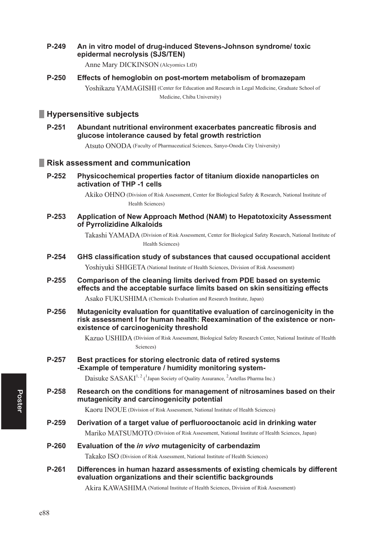#### P-249 An in vitro model of drug-induced Stevens-Johnson syndrome/toxic epidermal necrolysis (SJS/TEN)

Anne Mary DICKINSON (Alcyomics LtD)

 $P-250$ Effects of hemoglobin on post-mortem metabolism of bromazepam Yoshikazu YAMAGISHI (Center for Education and Research in Legal Medicine, Graduate School of Medicine, Chiba University)

## Hypersensitive subjects

P-251 Abundant nutritional environment exacerbates pancreatic fibrosis and glucose intolerance caused by fetal growth restriction

Atsuto ONODA (Faculty of Pharmaceutical Sciences, Sanyo-Onoda City University)

# Risk assessment and communication

 $P-252$ Physicochemical properties factor of titanium dioxide nanoparticles on activation of THP -1 cells

> Akiko OHNO (Division of Risk Assessment, Center for Biological Safety & Research, National Institute of Health Sciences)

 $P-253$ Application of New Approach Method (NAM) to Hepatotoxicity Assessment of Pyrrolizidine Alkaloids

> Takashi YAMADA (Division of Risk Assessment, Center for Biological Safety Research, National Institute of Health Sciences)

- P-254 GHS classification study of substances that caused occupational accident Yoshiyuki SHIGETA (National Institute of Health Sciences, Division of Risk Assessment)
- P-255 Comparison of the cleaning limits derived from PDE based on systemic effects and the acceptable surface limits based on skin sensitizing effects

Asako FUKUSHIMA (Chemicals Evaluation and Research Institute, Japan)

P-256 Mutagenicity evaluation for quantitative evaluation of carcinogenicity in the risk assessment I for human health: Reexamination of the existence or nonexistence of carcinogenicity threshold

> Kazuo USHIDA (Division of Risk Assessment, Biological Safety Research Center, National Institute of Health Sciences)

P-257 Best practices for storing electronic data of retired systems -Example of temperature / humidity monitoring system-

Daisuke SASAKI<sup>1, 2</sup> (<sup>1</sup>Japan Society of Quality Assurance, <sup>2</sup>Astellas Pharma Inc.)

P-258 Research on the conditions for management of nitrosamines based on their mutagenicity and carcinogenicity potential

Kaoru INOUE (Division of Risk Assessment, National Institute of Health Sciences)

- P-259 Derivation of a target value of perfluorooctanoic acid in drinking water Mariko MATSUMOTO (Division of Risk Assessment, National Institute of Health Sciences, Japan)
- P-260 Evaluation of the in vivo mutagenicity of carbendazim

Takako ISO (Division of Risk Assessment, National Institute of Health Sciences)

P-261 Differences in human hazard assessments of existing chemicals by different evaluation organizations and their scientific backgrounds

Akira KAWASHIMA (National Institute of Health Sciences, Division of Risk Assessment)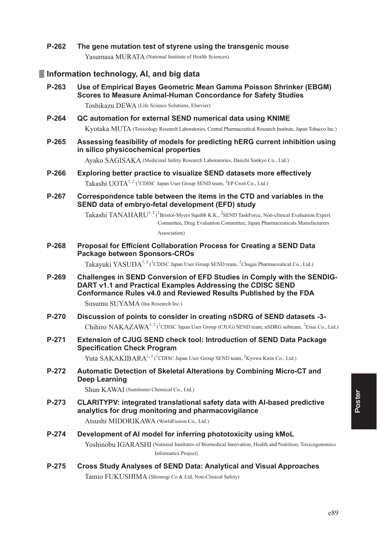P-262 The gene mutation test of styrene using the transgenic mouse Yasumasa MURATA (National Institute of Health Sciences)

# Information technology, AI, and big data

Use of Empirical Baves Geometric Mean Gamma Poisson Shrinker (EBGM) P-263 Scores to Measure Animal-Human Concordance for Safety Studies

Toshikazu DEWA (Life Science Solutions, Elsevier)

- P-264 QC automation for external SEND numerical data using KNIME Kyotaka MUTA (Toxicology Research Laboratories, Central Pharmaceutical Research Institute, Japan Tobacco Inc.)
- P-265 Assessing feasibility of models for predicting hERG current inhibition using in silico physicochemical properties

Ayako SAGISAKA (Medicinal Safety Research Laboratories, Daiichi Sankyo Co., Ltd.)

- Exploring better practice to visualize SEND datasets more effectively P-266 Takashi UOTA<sup>1, 2</sup> (<sup>1</sup>CDISC Japan User Group SEND team, <sup>2</sup>EP Croit Co., Ltd.)
- Correspondence table between the items in the CTD and variables in the P-267 SEND data of embryo-fetal development (EFD) study

Takashi TANAHARU<sup>1, 2</sup> (<sup>1</sup>Bristol-Myers Squibb K.K., <sup>2</sup>SEND TaskForce, Non-clinical Evaluation Expert Committee, Drug Evaluation Committee, Japan Pharmaceuticals Manufacturers

Association)

P-268 Proposal for Efficient Collaboration Process for Creating a SEND Data Package between Sponsors-CROs

Takayuki YASUDA<sup>1, 2</sup> (<sup>1</sup>CDISC Japan User Group SEND team, <sup>2</sup>Chugai Pharmaceutical Co., Ltd.)

P-269 Challenges in SEND Conversion of EFD Studies in Comply with the SENDIG-DART v1.1 and Practical Examples Addressing the CDISC SEND Conformance Rules v4.0 and Reviewed Results Published by the FDA

Susumu SUYAMA (Ina Research Inc.)

- Discussion of points to consider in creating nSDRG of SEND datasets -3-P-270 Chihiro NAKAZAWA<sup>1, 2</sup> (<sup>1</sup>CDISC Japan User Group (CJUG) SEND team, nSDRG subteam, <sup>2</sup>Eisai Co., Ltd.)
- P-271 Extension of CJUG SEND check tool: Introduction of SEND Data Package **Specification Check Program**

Yuta SAKAKIBARA<sup>1,2</sup> (<sup>1</sup>CDISC Japan User Group SEND team, <sup>2</sup>Kyowa Kirin Co., Ltd.)

P-272 Automatic Detection of Skeletal Alterations by Combining Micro-CT and Deep Learning

Shun KAWAI (Sumitomo Chemical Co., Ltd.)

P-273 CLARITYPV: integrated translational safety data with Al-based predictive analytics for drug monitoring and pharmacovigilance

Atsushi MIDORIKAWA (WorldFusion Co., Ltd.)

- P-274 Development of AI model for inferring phototoxicity using kMoL Yoshinobu IGARASHI (National Institutes of Biomedical Innovation, Health and Nutrition, Toxicogenomics Informatics Project)
- P-275 **Cross Study Analyses of SEND Data: Analytical and Visual Approaches** Tamio FUKUSHIMA (Shionogi Co & Ltd, Non-Clinical Safety)